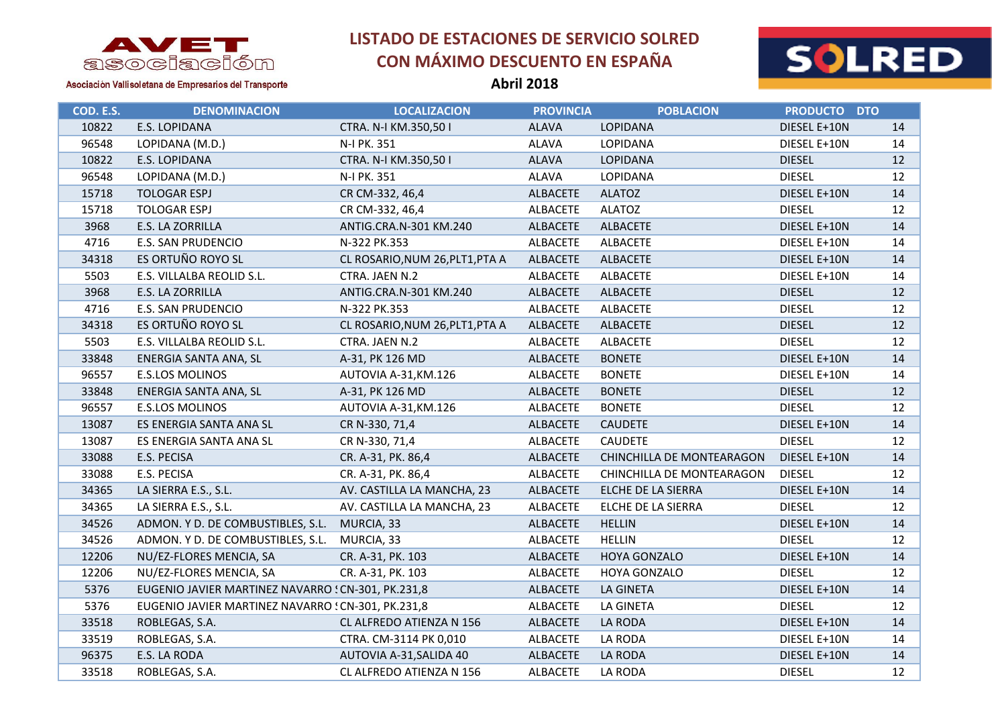

Asociación Vallisoletana de Empresarios del Transporte

### **LISTADO DE ESTACIONES DE SERVICIO SOLRED CON MÁXIMO DESCUENTO EN ESPAÑA**



| COD. E.S. | <b>DENOMINACION</b>                                | <b>LOCALIZACION</b>             | <b>PROVINCIA</b> | <b>POBLACION</b>          | PRODUCTO DTO  |    |
|-----------|----------------------------------------------------|---------------------------------|------------------|---------------------------|---------------|----|
| 10822     | E.S. LOPIDANA                                      | CTRA. N-I KM.350,501            | <b>ALAVA</b>     | <b>LOPIDANA</b>           | DIESEL E+10N  | 14 |
| 96548     | LOPIDANA (M.D.)                                    | N-I PK. 351                     | <b>ALAVA</b>     | LOPIDANA                  | DIESEL E+10N  | 14 |
| 10822     | E.S. LOPIDANA                                      | CTRA. N-I KM.350,501            | <b>ALAVA</b>     | <b>LOPIDANA</b>           | <b>DIESEL</b> | 12 |
| 96548     | LOPIDANA (M.D.)                                    | N-I PK. 351                     | <b>ALAVA</b>     | LOPIDANA                  | <b>DIESEL</b> | 12 |
| 15718     | <b>TOLOGAR ESPJ</b>                                | CR CM-332, 46,4                 | <b>ALBACETE</b>  | <b>ALATOZ</b>             | DIESEL E+10N  | 14 |
| 15718     | <b>TOLOGAR ESPJ</b>                                | CR CM-332, 46,4                 | ALBACETE         | <b>ALATOZ</b>             | <b>DIESEL</b> | 12 |
| 3968      | E.S. LA ZORRILLA                                   | ANTIG.CRA.N-301 KM.240          | ALBACETE         | ALBACETE                  | DIESEL E+10N  | 14 |
| 4716      | <b>E.S. SAN PRUDENCIO</b>                          | N-322 PK.353                    | <b>ALBACETE</b>  | ALBACETE                  | DIESEL E+10N  | 14 |
| 34318     | ES ORTUÑO ROYO SL                                  | CL ROSARIO, NUM 26, PLT1, PTA A | ALBACETE         | ALBACETE                  | DIESEL E+10N  | 14 |
| 5503      | E.S. VILLALBA REOLID S.L.                          | CTRA. JAEN N.2                  | <b>ALBACETE</b>  | <b>ALBACETE</b>           | DIESEL E+10N  | 14 |
| 3968      | E.S. LA ZORRILLA                                   | ANTIG.CRA.N-301 KM.240          | <b>ALBACETE</b>  | ALBACETE                  | <b>DIESEL</b> | 12 |
| 4716      | <b>E.S. SAN PRUDENCIO</b>                          | N-322 PK.353                    | ALBACETE         | ALBACETE                  | <b>DIESEL</b> | 12 |
| 34318     | ES ORTUÑO ROYO SL                                  | CL ROSARIO, NUM 26, PLT1, PTA A | ALBACETE         | <b>ALBACETE</b>           | <b>DIESEL</b> | 12 |
| 5503      | E.S. VILLALBA REOLID S.L.                          | CTRA. JAEN N.2                  | ALBACETE         | <b>ALBACETE</b>           | <b>DIESEL</b> | 12 |
| 33848     | ENERGIA SANTA ANA, SL                              | A-31, PK 126 MD                 | <b>ALBACETE</b>  | <b>BONETE</b>             | DIESEL E+10N  | 14 |
| 96557     | E.S.LOS MOLINOS                                    | AUTOVIA A-31, KM.126            | ALBACETE         | <b>BONETE</b>             | DIESEL E+10N  | 14 |
| 33848     | ENERGIA SANTA ANA, SL                              | A-31, PK 126 MD                 | ALBACETE         | <b>BONETE</b>             | <b>DIESEL</b> | 12 |
| 96557     | E.S.LOS MOLINOS                                    | AUTOVIA A-31, KM.126            | ALBACETE         | <b>BONETE</b>             | <b>DIESEL</b> | 12 |
| 13087     | ES ENERGIA SANTA ANA SL                            | CR N-330, 71,4                  | ALBACETE         | <b>CAUDETE</b>            | DIESEL E+10N  | 14 |
| 13087     | ES ENERGIA SANTA ANA SL                            | CR N-330, 71,4                  | <b>ALBACETE</b>  | <b>CAUDETE</b>            | <b>DIESEL</b> | 12 |
| 33088     | E.S. PECISA                                        | CR. A-31, PK. 86,4              | ALBACETE         | CHINCHILLA DE MONTEARAGON | DIESEL E+10N  | 14 |
| 33088     | E.S. PECISA                                        | CR. A-31, PK. 86,4              | ALBACETE         | CHINCHILLA DE MONTEARAGON | <b>DIESEL</b> | 12 |
| 34365     | LA SIERRA E.S., S.L.                               | AV. CASTILLA LA MANCHA, 23      | ALBACETE         | ELCHE DE LA SIERRA        | DIESEL E+10N  | 14 |
| 34365     | LA SIERRA E.S., S.L.                               | AV. CASTILLA LA MANCHA, 23      | ALBACETE         | ELCHE DE LA SIERRA        | <b>DIESEL</b> | 12 |
| 34526     | ADMON. Y D. DE COMBUSTIBLES, S.L.                  | MURCIA, 33                      | ALBACETE         | <b>HELLIN</b>             | DIESEL E+10N  | 14 |
| 34526     | ADMON. Y D. DE COMBUSTIBLES, S.L. MURCIA, 33       |                                 | ALBACETE         | <b>HELLIN</b>             | <b>DIESEL</b> | 12 |
| 12206     | NU/EZ-FLORES MENCIA, SA                            | CR. A-31, PK. 103               | ALBACETE         | HOYA GONZALO              | DIESEL E+10N  | 14 |
| 12206     | NU/EZ-FLORES MENCIA, SA                            | CR. A-31, PK. 103               | <b>ALBACETE</b>  | HOYA GONZALO              | <b>DIESEL</b> | 12 |
| 5376      | EUGENIO JAVIER MARTINEZ NAVARRO : CN-301, PK.231,8 |                                 | <b>ALBACETE</b>  | LA GINETA                 | DIESEL E+10N  | 14 |
| 5376      | EUGENIO JAVIER MARTINEZ NAVARRO : CN-301, PK.231,8 |                                 | ALBACETE         | LA GINETA                 | <b>DIESEL</b> | 12 |
| 33518     | ROBLEGAS, S.A.                                     | CL ALFREDO ATIENZA N 156        | ALBACETE         | LA RODA                   | DIESEL E+10N  | 14 |
| 33519     | ROBLEGAS, S.A.                                     | CTRA. CM-3114 PK 0,010          | ALBACETE         | LA RODA                   | DIESEL E+10N  | 14 |
| 96375     | E.S. LA RODA                                       | AUTOVIA A-31, SALIDA 40         | ALBACETE         | LA RODA                   | DIESEL E+10N  | 14 |
| 33518     | ROBLEGAS, S.A.                                     | CL ALFREDO ATIENZA N 156        | <b>ALBACETE</b>  | LA RODA                   | <b>DIESEL</b> | 12 |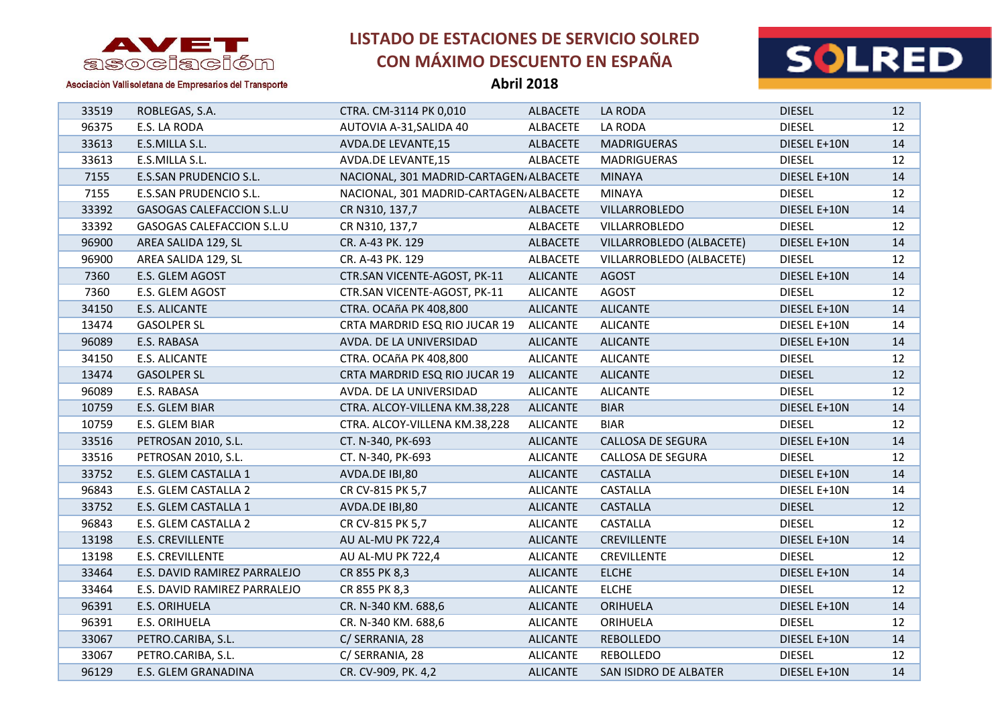

**Abril 2018**



| 33519 | ROBLEGAS, S.A.               | CTRA. CM-3114 PK 0,010                  | <b>ALBACETE</b> | LA RODA                  | <b>DIESEL</b> | 12 |
|-------|------------------------------|-----------------------------------------|-----------------|--------------------------|---------------|----|
| 96375 | E.S. LA RODA                 | AUTOVIA A-31, SALIDA 40                 | <b>ALBACETE</b> | LA RODA                  | <b>DIESEL</b> | 12 |
| 33613 | E.S.MILLA S.L.               | AVDA.DE LEVANTE,15                      | <b>ALBACETE</b> | <b>MADRIGUERAS</b>       | DIESEL E+10N  | 14 |
| 33613 | E.S.MILLA S.L.               | AVDA.DE LEVANTE,15                      | ALBACETE        | <b>MADRIGUERAS</b>       | <b>DIESEL</b> | 12 |
| 7155  | E.S.SAN PRUDENCIO S.L.       | NACIONAL, 301 MADRID-CARTAGEN, ALBACETE |                 | <b>MINAYA</b>            | DIESEL E+10N  | 14 |
| 7155  | E.S.SAN PRUDENCIO S.L.       | NACIONAL, 301 MADRID-CARTAGEN, ALBACETE |                 | <b>MINAYA</b>            | <b>DIESEL</b> | 12 |
| 33392 | GASOGAS CALEFACCION S.L.U    | CR N310, 137,7                          | ALBACETE        | VILLARROBLEDO            | DIESEL E+10N  | 14 |
| 33392 | GASOGAS CALEFACCION S.L.U    | CR N310, 137,7                          | ALBACETE        | VILLARROBLEDO            | <b>DIESEL</b> | 12 |
| 96900 | AREA SALIDA 129, SL          | CR. A-43 PK. 129                        | <b>ALBACETE</b> | VILLARROBLEDO (ALBACETE) | DIESEL E+10N  | 14 |
| 96900 | AREA SALIDA 129, SL          | CR. A-43 PK. 129                        | <b>ALBACETE</b> | VILLARROBLEDO (ALBACETE) | <b>DIESEL</b> | 12 |
| 7360  | E.S. GLEM AGOST              | CTR.SAN VICENTE-AGOST, PK-11            | <b>ALICANTE</b> | <b>AGOST</b>             | DIESEL E+10N  | 14 |
| 7360  | E.S. GLEM AGOST              | CTR.SAN VICENTE-AGOST, PK-11            | <b>ALICANTE</b> | <b>AGOST</b>             | <b>DIESEL</b> | 12 |
| 34150 | E.S. ALICANTE                | CTRA. OCAñA PK 408,800                  | <b>ALICANTE</b> | <b>ALICANTE</b>          | DIESEL E+10N  | 14 |
| 13474 | <b>GASOLPER SL</b>           | CRTA MARDRID ESQ RIO JUCAR 19           | <b>ALICANTE</b> | <b>ALICANTE</b>          | DIESEL E+10N  | 14 |
| 96089 | E.S. RABASA                  | AVDA. DE LA UNIVERSIDAD                 | <b>ALICANTE</b> | <b>ALICANTE</b>          | DIESEL E+10N  | 14 |
| 34150 | E.S. ALICANTE                | CTRA. OCAñA PK 408,800                  | <b>ALICANTE</b> | <b>ALICANTE</b>          | <b>DIESEL</b> | 12 |
| 13474 | <b>GASOLPER SL</b>           | CRTA MARDRID ESQ RIO JUCAR 19           | <b>ALICANTE</b> | <b>ALICANTE</b>          | <b>DIESEL</b> | 12 |
| 96089 | E.S. RABASA                  | AVDA. DE LA UNIVERSIDAD                 | <b>ALICANTE</b> | <b>ALICANTE</b>          | <b>DIESEL</b> | 12 |
| 10759 | E.S. GLEM BIAR               | CTRA. ALCOY-VILLENA KM.38,228           | <b>ALICANTE</b> | <b>BIAR</b>              | DIESEL E+10N  | 14 |
| 10759 | E.S. GLEM BIAR               | CTRA. ALCOY-VILLENA KM.38,228           | <b>ALICANTE</b> | <b>BIAR</b>              | <b>DIESEL</b> | 12 |
| 33516 | PETROSAN 2010, S.L.          | CT. N-340, PK-693                       | <b>ALICANTE</b> | CALLOSA DE SEGURA        | DIESEL E+10N  | 14 |
| 33516 | PETROSAN 2010, S.L.          | CT. N-340, PK-693                       | <b>ALICANTE</b> | CALLOSA DE SEGURA        | <b>DIESEL</b> | 12 |
| 33752 | E.S. GLEM CASTALLA 1         | AVDA.DE IBI,80                          | <b>ALICANTE</b> | <b>CASTALLA</b>          | DIESEL E+10N  | 14 |
| 96843 | E.S. GLEM CASTALLA 2         | CR CV-815 PK 5,7                        | <b>ALICANTE</b> | <b>CASTALLA</b>          | DIESEL E+10N  | 14 |
| 33752 | E.S. GLEM CASTALLA 1         | AVDA.DE IBI,80                          | <b>ALICANTE</b> | <b>CASTALLA</b>          | <b>DIESEL</b> | 12 |
| 96843 | E.S. GLEM CASTALLA 2         | CR CV-815 PK 5,7                        | <b>ALICANTE</b> | CASTALLA                 | <b>DIESEL</b> | 12 |
| 13198 | E.S. CREVILLENTE             | AU AL-MU PK 722,4                       | <b>ALICANTE</b> | <b>CREVILLENTE</b>       | DIESEL E+10N  | 14 |
| 13198 | E.S. CREVILLENTE             | AU AL-MU PK 722,4                       | <b>ALICANTE</b> | CREVILLENTE              | <b>DIESEL</b> | 12 |
| 33464 | E.S. DAVID RAMIREZ PARRALEJO | CR 855 PK 8,3                           | <b>ALICANTE</b> | <b>ELCHE</b>             | DIESEL E+10N  | 14 |
| 33464 | E.S. DAVID RAMIREZ PARRALEJO | CR 855 PK 8,3                           | <b>ALICANTE</b> | <b>ELCHE</b>             | <b>DIESEL</b> | 12 |
| 96391 | E.S. ORIHUELA                | CR. N-340 KM. 688,6                     | <b>ALICANTE</b> | ORIHUELA                 | DIESEL E+10N  | 14 |
| 96391 | E.S. ORIHUELA                | CR. N-340 KM. 688,6                     | <b>ALICANTE</b> | ORIHUELA                 | <b>DIESEL</b> | 12 |
| 33067 | PETRO.CARIBA, S.L.           | C/ SERRANIA, 28                         | <b>ALICANTE</b> | <b>REBOLLEDO</b>         | DIESEL E+10N  | 14 |
| 33067 | PETRO.CARIBA, S.L.           | C/ SERRANIA, 28                         | <b>ALICANTE</b> | REBOLLEDO                | <b>DIESEL</b> | 12 |
| 96129 | E.S. GLEM GRANADINA          | CR. CV-909, PK. 4,2                     | <b>ALICANTE</b> | SAN ISIDRO DE ALBATER    | DIESEL E+10N  | 14 |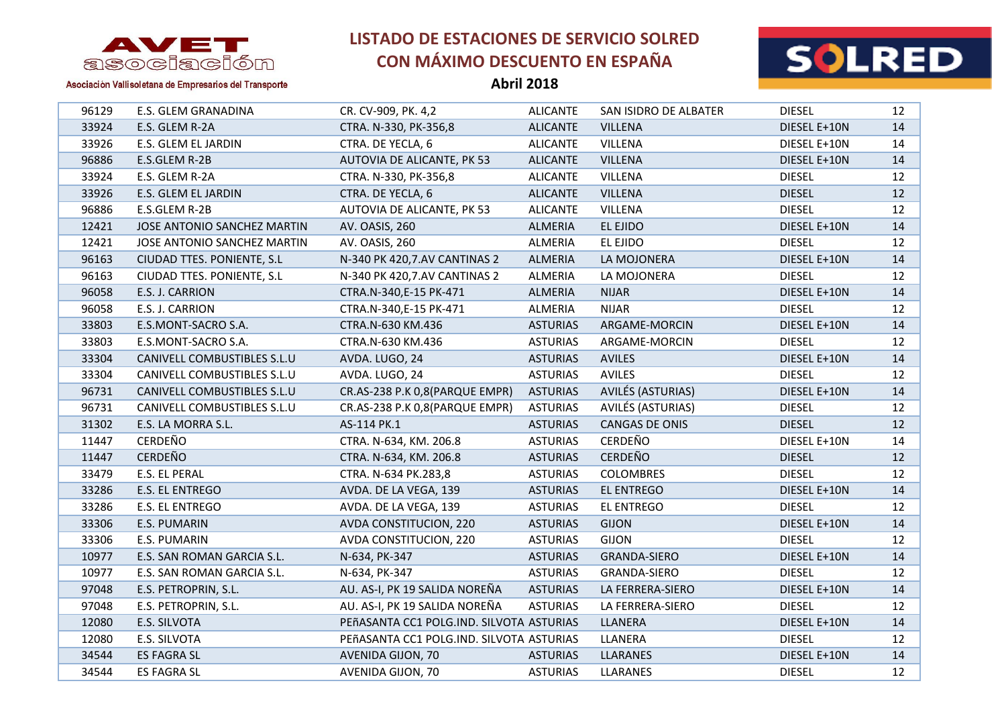

**Abril 2018**



| 96129 | E.S. GLEM GRANADINA         | CR. CV-909, PK. 4,2                      | <b>ALICANTE</b> | SAN ISIDRO DE ALBATER | <b>DIESEL</b> | 12 |
|-------|-----------------------------|------------------------------------------|-----------------|-----------------------|---------------|----|
| 33924 | E.S. GLEM R-2A              | CTRA. N-330, PK-356,8                    | <b>ALICANTE</b> | <b>VILLENA</b>        | DIESEL E+10N  | 14 |
| 33926 | E.S. GLEM EL JARDIN         | CTRA. DE YECLA, 6                        | <b>ALICANTE</b> | VILLENA               | DIESEL E+10N  | 14 |
| 96886 | E.S.GLEM R-2B               | AUTOVIA DE ALICANTE, PK 53               | <b>ALICANTE</b> | <b>VILLENA</b>        | DIESEL E+10N  | 14 |
| 33924 | E.S. GLEM R-2A              | CTRA. N-330, PK-356,8                    | <b>ALICANTE</b> | VILLENA               | <b>DIESEL</b> | 12 |
| 33926 | E.S. GLEM EL JARDIN         | CTRA. DE YECLA, 6                        | <b>ALICANTE</b> | <b>VILLENA</b>        | <b>DIESEL</b> | 12 |
| 96886 | E.S.GLEM R-2B               | AUTOVIA DE ALICANTE, PK 53               | <b>ALICANTE</b> | VILLENA               | <b>DIESEL</b> | 12 |
| 12421 | JOSE ANTONIO SANCHEZ MARTIN | AV. OASIS, 260                           | <b>ALMERIA</b>  | EL EJIDO              | DIESEL E+10N  | 14 |
| 12421 | JOSE ANTONIO SANCHEZ MARTIN | AV. OASIS, 260                           | ALMERIA         | EL EJIDO              | <b>DIESEL</b> | 12 |
| 96163 | CIUDAD TTES. PONIENTE, S.L  | N-340 PK 420,7.AV CANTINAS 2             | ALMERIA         | LA MOJONERA           | DIESEL E+10N  | 14 |
| 96163 | CIUDAD TTES. PONIENTE, S.L  | N-340 PK 420,7.AV CANTINAS 2             | ALMERIA         | LA MOJONERA           | <b>DIESEL</b> | 12 |
| 96058 | E.S. J. CARRION             | CTRA.N-340,E-15 PK-471                   | <b>ALMERIA</b>  | <b>NIJAR</b>          | DIESEL E+10N  | 14 |
| 96058 | E.S. J. CARRION             | CTRA.N-340,E-15 PK-471                   | ALMERIA         | <b>NIJAR</b>          | <b>DIESEL</b> | 12 |
| 33803 | E.S.MONT-SACRO S.A.         | CTRA.N-630 KM.436                        | <b>ASTURIAS</b> | ARGAME-MORCIN         | DIESEL E+10N  | 14 |
| 33803 | E.S.MONT-SACRO S.A.         | CTRA.N-630 KM.436                        | <b>ASTURIAS</b> | ARGAME-MORCIN         | <b>DIESEL</b> | 12 |
| 33304 | CANIVELL COMBUSTIBLES S.L.U | AVDA. LUGO, 24                           | <b>ASTURIAS</b> | <b>AVILES</b>         | DIESEL E+10N  | 14 |
| 33304 | CANIVELL COMBUSTIBLES S.L.U | AVDA. LUGO, 24                           | <b>ASTURIAS</b> | <b>AVILES</b>         | <b>DIESEL</b> | 12 |
| 96731 | CANIVELL COMBUSTIBLES S.L.U | CR.AS-238 P.K 0,8(PARQUE EMPR)           | <b>ASTURIAS</b> | AVILÉS (ASTURIAS)     | DIESEL E+10N  | 14 |
| 96731 | CANIVELL COMBUSTIBLES S.L.U | CR.AS-238 P.K 0,8(PARQUE EMPR)           | <b>ASTURIAS</b> | AVILÉS (ASTURIAS)     | <b>DIESEL</b> | 12 |
| 31302 | E.S. LA MORRA S.L.          | AS-114 PK.1                              | <b>ASTURIAS</b> | CANGAS DE ONIS        | <b>DIESEL</b> | 12 |
| 11447 | CERDEÑO                     | CTRA. N-634, KM. 206.8                   | <b>ASTURIAS</b> | CERDEÑO               | DIESEL E+10N  | 14 |
| 11447 | <b>CERDEÑO</b>              | CTRA. N-634, KM. 206.8                   | <b>ASTURIAS</b> | <b>CERDEÑO</b>        | <b>DIESEL</b> | 12 |
| 33479 | E.S. EL PERAL               | CTRA. N-634 PK.283,8                     | <b>ASTURIAS</b> | <b>COLOMBRES</b>      | <b>DIESEL</b> | 12 |
| 33286 | E.S. EL ENTREGO             | AVDA. DE LA VEGA, 139                    | <b>ASTURIAS</b> | EL ENTREGO            | DIESEL E+10N  | 14 |
| 33286 | E.S. EL ENTREGO             | AVDA. DE LA VEGA, 139                    | <b>ASTURIAS</b> | EL ENTREGO            | <b>DIESEL</b> | 12 |
| 33306 | E.S. PUMARIN                | AVDA CONSTITUCION, 220                   | <b>ASTURIAS</b> | <b>GIJON</b>          | DIESEL E+10N  | 14 |
| 33306 | E.S. PUMARIN                | AVDA CONSTITUCION, 220                   | <b>ASTURIAS</b> | <b>GIJON</b>          | <b>DIESEL</b> | 12 |
| 10977 | E.S. SAN ROMAN GARCIA S.L.  | N-634, PK-347                            | <b>ASTURIAS</b> | <b>GRANDA-SIERO</b>   | DIESEL E+10N  | 14 |
| 10977 | E.S. SAN ROMAN GARCIA S.L.  | N-634, PK-347                            | <b>ASTURIAS</b> | GRANDA-SIERO          | <b>DIESEL</b> | 12 |
| 97048 | E.S. PETROPRIN, S.L.        | AU. AS-I, PK 19 SALIDA NOREÑA            | <b>ASTURIAS</b> | LA FERRERA-SIERO      | DIESEL E+10N  | 14 |
| 97048 | E.S. PETROPRIN, S.L.        | AU. AS-I, PK 19 SALIDA NOREÑA            | <b>ASTURIAS</b> | LA FERRERA-SIERO      | <b>DIESEL</b> | 12 |
| 12080 | E.S. SILVOTA                | PEñASANTA CC1 POLG.IND. SILVOTA ASTURIAS |                 | LLANERA               | DIESEL E+10N  | 14 |
| 12080 | E.S. SILVOTA                | PEÑASANTA CC1 POLG.IND. SILVOTA ASTURIAS |                 | LLANERA               | <b>DIESEL</b> | 12 |
| 34544 | ES FAGRA SL                 | AVENIDA GIJON, 70                        | <b>ASTURIAS</b> | <b>LLARANES</b>       | DIESEL E+10N  | 14 |
| 34544 | <b>ES FAGRA SL</b>          | AVENIDA GIJON, 70                        | <b>ASTURIAS</b> | <b>LLARANES</b>       | <b>DIESEL</b> | 12 |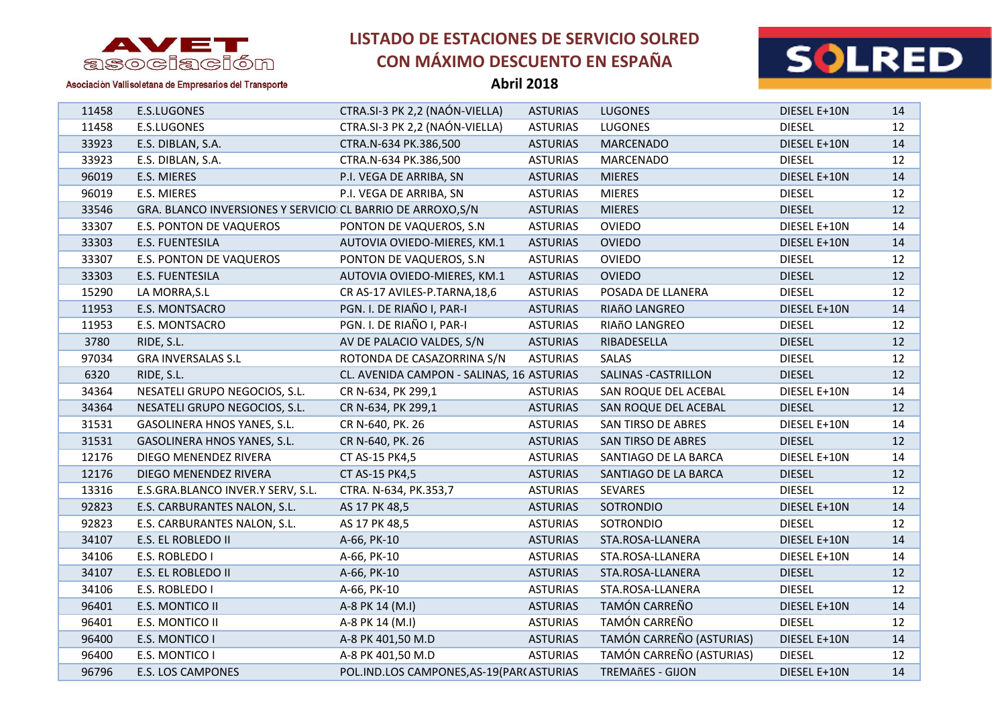



Asociación Vallisoletana de Empresarios del Transporte

| 11458 | E.S.LUGONES                                                  | CTRA.SI-3 PK 2,2 (NAÓN-VIELLA)             | <b>ASTURIAS</b> | <b>LUGONES</b>           | DIESEL E+10N  | 14 |
|-------|--------------------------------------------------------------|--------------------------------------------|-----------------|--------------------------|---------------|----|
| 11458 | E.S.LUGONES                                                  | CTRA.SI-3 PK 2,2 (NAÓN-VIELLA)             | <b>ASTURIAS</b> | <b>LUGONES</b>           | <b>DIESEL</b> | 12 |
| 33923 | E.S. DIBLAN, S.A.                                            | CTRA.N-634 PK.386,500                      | <b>ASTURIAS</b> | <b>MARCENADO</b>         | DIESEL E+10N  | 14 |
| 33923 | E.S. DIBLAN, S.A.                                            | CTRA.N-634 PK.386,500                      | <b>ASTURIAS</b> | MARCENADO                | <b>DIESEL</b> | 12 |
| 96019 | E.S. MIERES                                                  | P.I. VEGA DE ARRIBA, SN                    | <b>ASTURIAS</b> | <b>MIERES</b>            | DIESEL E+10N  | 14 |
| 96019 | E.S. MIERES                                                  | P.I. VEGA DE ARRIBA, SN                    | <b>ASTURIAS</b> | <b>MIERES</b>            | <b>DIESEL</b> | 12 |
| 33546 | GRA. BLANCO INVERSIONES Y SERVICIO: CL BARRIO DE ARROXO, S/N |                                            | <b>ASTURIAS</b> | <b>MIERES</b>            | <b>DIESEL</b> | 12 |
| 33307 | E.S. PONTON DE VAQUEROS                                      | PONTON DE VAQUEROS, S.N.                   | <b>ASTURIAS</b> | <b>OVIEDO</b>            | DIESEL E+10N  | 14 |
| 33303 | E.S. FUENTESILA                                              | AUTOVIA OVIEDO-MIERES, KM.1                | <b>ASTURIAS</b> | <b>OVIEDO</b>            | DIESEL E+10N  | 14 |
| 33307 | E.S. PONTON DE VAQUEROS                                      | PONTON DE VAQUEROS, S.N.                   | <b>ASTURIAS</b> | <b>OVIEDO</b>            | <b>DIESEL</b> | 12 |
| 33303 | E.S. FUENTESILA                                              | AUTOVIA OVIEDO-MIERES, KM.1                | <b>ASTURIAS</b> | <b>OVIEDO</b>            | <b>DIESEL</b> | 12 |
| 15290 | LA MORRA, S.L                                                | CR AS-17 AVILES-P.TARNA, 18,6              | <b>ASTURIAS</b> | POSADA DE LLANERA        | <b>DIESEL</b> | 12 |
| 11953 | E.S. MONTSACRO                                               | PGN. I. DE RIAÑO I, PAR-I                  | <b>ASTURIAS</b> | RIAñO LANGREO            | DIESEL E+10N  | 14 |
| 11953 | E.S. MONTSACRO                                               | PGN. I. DE RIAÑO I, PAR-I                  | <b>ASTURIAS</b> | RIAñO LANGREO            | <b>DIESEL</b> | 12 |
| 3780  | RIDE, S.L.                                                   | AV DE PALACIO VALDES, S/N                  | <b>ASTURIAS</b> | RIBADESELLA              | <b>DIESEL</b> | 12 |
| 97034 | <b>GRA INVERSALAS S.L</b>                                    | ROTONDA DE CASAZORRINA S/N                 | <b>ASTURIAS</b> | <b>SALAS</b>             | <b>DIESEL</b> | 12 |
| 6320  | RIDE, S.L.                                                   | CL. AVENIDA CAMPON - SALINAS, 16 ASTURIAS  |                 | SALINAS - CASTRILLON     | <b>DIESEL</b> | 12 |
| 34364 | NESATELI GRUPO NEGOCIOS, S.L.                                | CR N-634, PK 299,1                         | <b>ASTURIAS</b> | SAN ROQUE DEL ACEBAL     | DIESEL E+10N  | 14 |
| 34364 | NESATELI GRUPO NEGOCIOS, S.L.                                | CR N-634, PK 299,1                         | <b>ASTURIAS</b> | SAN ROQUE DEL ACEBAL     | <b>DIESEL</b> | 12 |
| 31531 | GASOLINERA HNOS YANES, S.L.                                  | CR N-640, PK. 26                           | <b>ASTURIAS</b> | SAN TIRSO DE ABRES       | DIESEL E+10N  | 14 |
| 31531 | GASOLINERA HNOS YANES, S.L.                                  | CR N-640, PK. 26                           | <b>ASTURIAS</b> | SAN TIRSO DE ABRES       | <b>DIESEL</b> | 12 |
| 12176 | DIEGO MENENDEZ RIVERA                                        | CT AS-15 PK4,5                             | <b>ASTURIAS</b> | SANTIAGO DE LA BARCA     | DIESEL E+10N  | 14 |
| 12176 | DIEGO MENENDEZ RIVERA                                        | CT AS-15 PK4,5                             | <b>ASTURIAS</b> | SANTIAGO DE LA BARCA     | <b>DIESEL</b> | 12 |
| 13316 | E.S.GRA.BLANCO INVER.Y SERV, S.L.                            | CTRA. N-634, PK.353,7                      | <b>ASTURIAS</b> | SEVARES                  | <b>DIESEL</b> | 12 |
| 92823 | E.S. CARBURANTES NALON, S.L.                                 | AS 17 PK 48,5                              | <b>ASTURIAS</b> | SOTRONDIO                | DIESEL E+10N  | 14 |
| 92823 | E.S. CARBURANTES NALON, S.L.                                 | AS 17 PK 48,5                              | <b>ASTURIAS</b> | <b>SOTRONDIO</b>         | <b>DIESEL</b> | 12 |
| 34107 | E.S. EL ROBLEDO II                                           | A-66, PK-10                                | <b>ASTURIAS</b> | STA.ROSA-LLANERA         | DIESEL E+10N  | 14 |
| 34106 | E.S. ROBLEDO I                                               | A-66, PK-10                                | <b>ASTURIAS</b> | STA.ROSA-LLANERA         | DIESEL E+10N  | 14 |
| 34107 | E.S. EL ROBLEDO II                                           | A-66, PK-10                                | <b>ASTURIAS</b> | STA.ROSA-LLANERA         | <b>DIESEL</b> | 12 |
| 34106 | E.S. ROBLEDO I                                               | A-66, PK-10                                | <b>ASTURIAS</b> | STA.ROSA-LLANERA         | <b>DIESEL</b> | 12 |
| 96401 | E.S. MONTICO II                                              | A-8 PK 14 (M.I)                            | <b>ASTURIAS</b> | TAMÓN CARREÑO            | DIESEL E+10N  | 14 |
| 96401 | E.S. MONTICO II                                              | A-8 PK 14 (M.I)                            | <b>ASTURIAS</b> | TAMÓN CARREÑO            | <b>DIESEL</b> | 12 |
| 96400 | E.S. MONTICO I                                               | A-8 PK 401,50 M.D                          | <b>ASTURIAS</b> | TAMÓN CARREÑO (ASTURIAS) | DIESEL E+10N  | 14 |
| 96400 | E.S. MONTICO I                                               | A-8 PK 401,50 M.D                          | <b>ASTURIAS</b> | TAMÓN CARREÑO (ASTURIAS) | <b>DIESEL</b> | 12 |
| 96796 | <b>E.S. LOS CAMPONES</b>                                     | POL.IND.LOS CAMPONES, AS-19 (PAR (ASTURIAS |                 | <b>TREMAñES - GIJON</b>  | DIESEL E+10N  | 14 |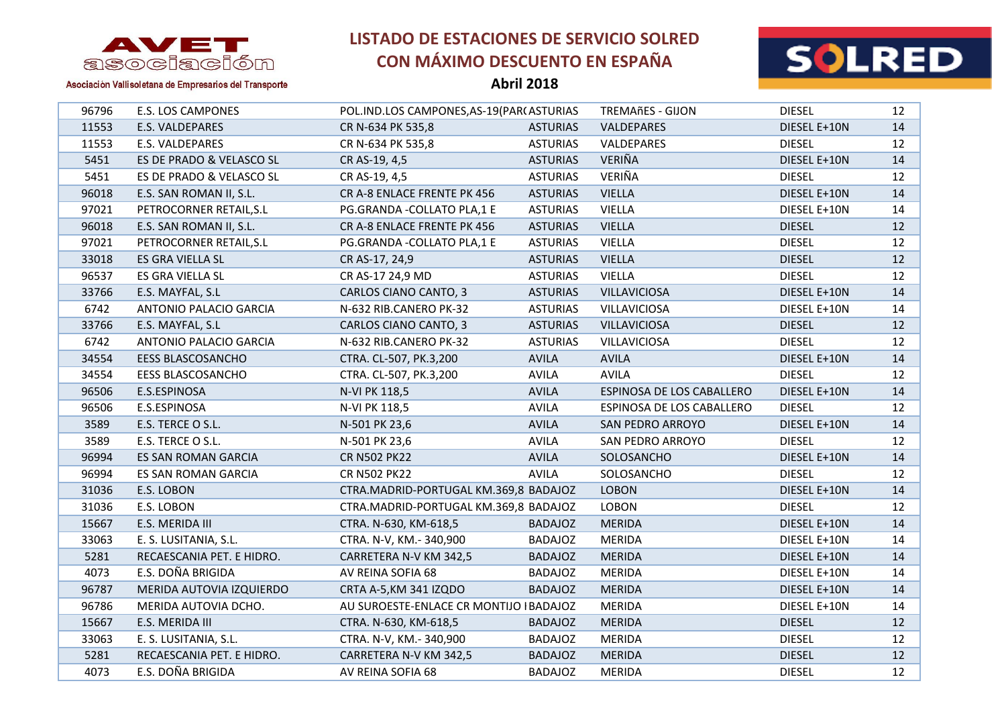

**Abril 2018**



| 96796 | <b>E.S. LOS CAMPONES</b>  | POL.IND.LOS CAMPONES, AS-19 (PAR ASTURIAS |                 | <b>TREMAñES - GIJON</b>   | <b>DIESEL</b> | 12 |
|-------|---------------------------|-------------------------------------------|-----------------|---------------------------|---------------|----|
| 11553 | E.S. VALDEPARES           | CR N-634 PK 535,8                         | <b>ASTURIAS</b> | VALDEPARES                | DIESEL E+10N  | 14 |
| 11553 | E.S. VALDEPARES           | CR N-634 PK 535,8                         | <b>ASTURIAS</b> | VALDEPARES                | <b>DIESEL</b> | 12 |
| 5451  | ES DE PRADO & VELASCO SL  | CR AS-19, 4,5                             | <b>ASTURIAS</b> | VERIÑA                    | DIESEL E+10N  | 14 |
| 5451  | ES DE PRADO & VELASCO SL  | CR AS-19, 4,5                             | <b>ASTURIAS</b> | VERIÑA                    | <b>DIESEL</b> | 12 |
| 96018 | E.S. SAN ROMAN II, S.L.   | CR A-8 ENLACE FRENTE PK 456               | <b>ASTURIAS</b> | <b>VIELLA</b>             | DIESEL E+10N  | 14 |
| 97021 | PETROCORNER RETAIL, S.L   | PG.GRANDA - COLLATO PLA, 1 E              | <b>ASTURIAS</b> | <b>VIELLA</b>             | DIESEL E+10N  | 14 |
| 96018 | E.S. SAN ROMAN II, S.L.   | CR A-8 ENLACE FRENTE PK 456               | <b>ASTURIAS</b> | <b>VIELLA</b>             | <b>DIESEL</b> | 12 |
| 97021 | PETROCORNER RETAIL, S.L   | PG.GRANDA - COLLATO PLA, 1 E              | <b>ASTURIAS</b> | <b>VIELLA</b>             | <b>DIESEL</b> | 12 |
| 33018 | ES GRA VIELLA SL          | CR AS-17, 24,9                            | <b>ASTURIAS</b> | <b>VIELLA</b>             | <b>DIESEL</b> | 12 |
| 96537 | ES GRA VIELLA SL          | CR AS-17 24,9 MD                          | <b>ASTURIAS</b> | <b>VIELLA</b>             | <b>DIESEL</b> | 12 |
| 33766 | E.S. MAYFAL, S.L          | CARLOS CIANO CANTO, 3                     | <b>ASTURIAS</b> | VILLAVICIOSA              | DIESEL E+10N  | 14 |
| 6742  | ANTONIO PALACIO GARCIA    | N-632 RIB.CANERO PK-32                    | <b>ASTURIAS</b> | <b>VILLAVICIOSA</b>       | DIESEL E+10N  | 14 |
| 33766 | E.S. MAYFAL, S.L          | CARLOS CIANO CANTO, 3                     | <b>ASTURIAS</b> | <b>VILLAVICIOSA</b>       | <b>DIESEL</b> | 12 |
| 6742  | ANTONIO PALACIO GARCIA    | N-632 RIB.CANERO PK-32                    | <b>ASTURIAS</b> | VILLAVICIOSA              | <b>DIESEL</b> | 12 |
| 34554 | <b>EESS BLASCOSANCHO</b>  | CTRA. CL-507, PK.3,200                    | <b>AVILA</b>    | <b>AVILA</b>              | DIESEL E+10N  | 14 |
| 34554 | <b>EESS BLASCOSANCHO</b>  | CTRA. CL-507, PK.3,200                    | <b>AVILA</b>    | <b>AVILA</b>              | <b>DIESEL</b> | 12 |
| 96506 | E.S.ESPINOSA              | N-VI PK 118,5                             | <b>AVILA</b>    | ESPINOSA DE LOS CABALLERO | DIESEL E+10N  | 14 |
| 96506 | E.S.ESPINOSA              | N-VI PK 118,5                             | <b>AVILA</b>    | ESPINOSA DE LOS CABALLERO | <b>DIESEL</b> | 12 |
| 3589  | E.S. TERCE O S.L.         | N-501 PK 23,6                             | <b>AVILA</b>    | <b>SAN PEDRO ARROYO</b>   | DIESEL E+10N  | 14 |
| 3589  | E.S. TERCE O S.L.         | N-501 PK 23,6                             | <b>AVILA</b>    | SAN PEDRO ARROYO          | <b>DIESEL</b> | 12 |
| 96994 | ES SAN ROMAN GARCIA       | <b>CR N502 PK22</b>                       | <b>AVILA</b>    | SOLOSANCHO                | DIESEL E+10N  | 14 |
| 96994 | ES SAN ROMAN GARCIA       | <b>CR N502 PK22</b>                       | <b>AVILA</b>    | SOLOSANCHO                | <b>DIESEL</b> | 12 |
| 31036 | E.S. LOBON                | CTRA.MADRID-PORTUGAL KM.369,8 BADAJOZ     |                 | <b>LOBON</b>              | DIESEL E+10N  | 14 |
| 31036 | E.S. LOBON                | CTRA.MADRID-PORTUGAL KM.369,8 BADAJOZ     |                 | <b>LOBON</b>              | <b>DIESEL</b> | 12 |
| 15667 | E.S. MERIDA III           | CTRA. N-630, KM-618,5                     | <b>BADAJOZ</b>  | <b>MERIDA</b>             | DIESEL E+10N  | 14 |
| 33063 | E. S. LUSITANIA, S.L.     | CTRA. N-V, KM.- 340,900                   | <b>BADAJOZ</b>  | <b>MERIDA</b>             | DIESEL E+10N  | 14 |
| 5281  | RECAESCANIA PET. E HIDRO. | CARRETERA N-V KM 342,5                    | <b>BADAJOZ</b>  | <b>MERIDA</b>             | DIESEL E+10N  | 14 |
| 4073  | E.S. DOÑA BRIGIDA         | AV REINA SOFIA 68                         | <b>BADAJOZ</b>  | <b>MERIDA</b>             | DIESEL E+10N  | 14 |
| 96787 | MERIDA AUTOVIA IZQUIERDO  | CRTA A-5, KM 341 IZQDO                    | <b>BADAJOZ</b>  | <b>MERIDA</b>             | DIESEL E+10N  | 14 |
| 96786 | MERIDA AUTOVIA DCHO.      | AU SUROESTE-ENLACE CR MONTIJO I BADAJOZ   |                 | <b>MERIDA</b>             | DIESEL E+10N  | 14 |
| 15667 | E.S. MERIDA III           | CTRA. N-630, KM-618,5                     | <b>BADAJOZ</b>  | <b>MERIDA</b>             | <b>DIESEL</b> | 12 |
| 33063 | E. S. LUSITANIA, S.L.     | CTRA. N-V, KM.- 340,900                   | <b>BADAJOZ</b>  | <b>MERIDA</b>             | <b>DIESEL</b> | 12 |
| 5281  | RECAESCANIA PET. E HIDRO. | CARRETERA N-V KM 342,5                    | <b>BADAJOZ</b>  | <b>MERIDA</b>             | <b>DIESEL</b> | 12 |
| 4073  | E.S. DOÑA BRIGIDA         | AV REINA SOFIA 68                         | <b>BADAJOZ</b>  | <b>MERIDA</b>             | <b>DIESEL</b> | 12 |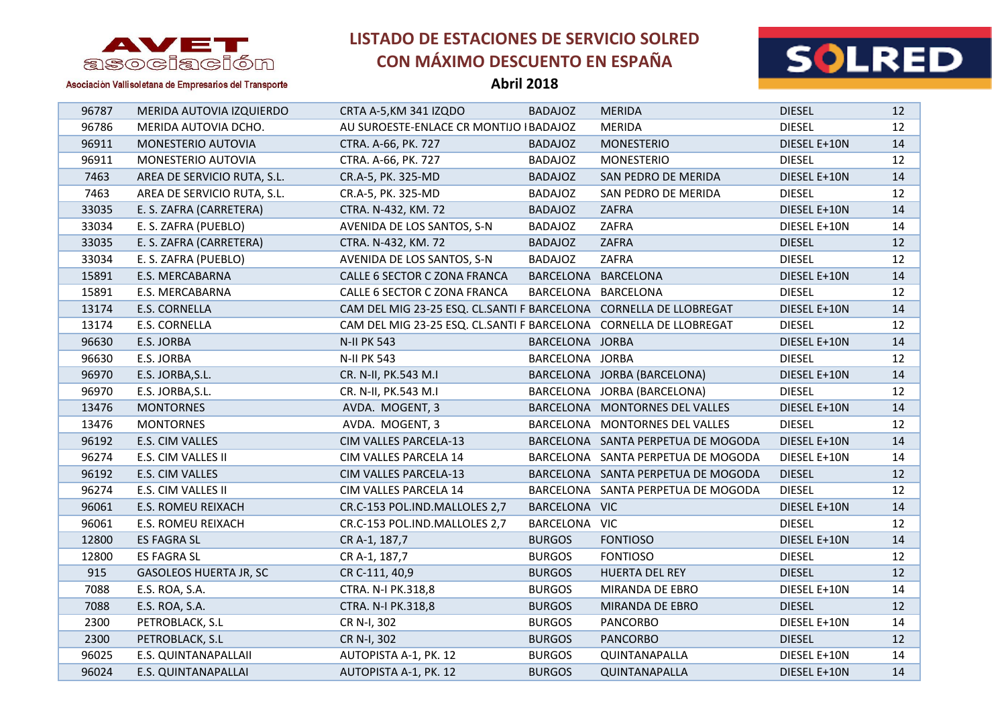

**Abril 2018**



| 96787 | MERIDA AUTOVIA IZQUIERDO      | CRTA A-5, KM 341 IZQDO                                             | <b>BADAJOZ</b>  | <b>MERIDA</b>                      | <b>DIESEL</b> | 12 |
|-------|-------------------------------|--------------------------------------------------------------------|-----------------|------------------------------------|---------------|----|
| 96786 | MERIDA AUTOVIA DCHO.          | AU SUROESTE-ENLACE CR MONTIJO I BADAJOZ                            |                 | <b>MERIDA</b>                      | <b>DIESEL</b> | 12 |
| 96911 | MONESTERIO AUTOVIA            | CTRA. A-66, PK. 727                                                | <b>BADAJOZ</b>  | <b>MONESTERIO</b>                  | DIESEL E+10N  | 14 |
| 96911 | MONESTERIO AUTOVIA            | CTRA. A-66, PK. 727                                                | <b>BADAJOZ</b>  | <b>MONESTERIO</b>                  | <b>DIESEL</b> | 12 |
| 7463  | AREA DE SERVICIO RUTA, S.L.   | CR.A-5, PK. 325-MD                                                 | <b>BADAJOZ</b>  | SAN PEDRO DE MERIDA                | DIESEL E+10N  | 14 |
| 7463  | AREA DE SERVICIO RUTA, S.L.   | CR.A-5, PK. 325-MD                                                 | <b>BADAJOZ</b>  | SAN PEDRO DE MERIDA                | <b>DIESEL</b> | 12 |
| 33035 | E. S. ZAFRA (CARRETERA)       | CTRA. N-432, KM. 72                                                | <b>BADAJOZ</b>  | ZAFRA                              | DIESEL E+10N  | 14 |
| 33034 | E. S. ZAFRA (PUEBLO)          | AVENIDA DE LOS SANTOS, S-N                                         | <b>BADAJOZ</b>  | ZAFRA                              | DIESEL E+10N  | 14 |
| 33035 | E. S. ZAFRA (CARRETERA)       | CTRA. N-432, KM. 72                                                | <b>BADAJOZ</b>  | ZAFRA                              | <b>DIESEL</b> | 12 |
| 33034 | E. S. ZAFRA (PUEBLO)          | AVENIDA DE LOS SANTOS, S-N                                         | <b>BADAJOZ</b>  | ZAFRA                              | <b>DIESEL</b> | 12 |
| 15891 | E.S. MERCABARNA               | CALLE 6 SECTOR C ZONA FRANCA                                       |                 | BARCELONA BARCELONA                | DIESEL E+10N  | 14 |
| 15891 | E.S. MERCABARNA               | CALLE 6 SECTOR C ZONA FRANCA                                       |                 | BARCELONA BARCELONA                | <b>DIESEL</b> | 12 |
| 13174 | E.S. CORNELLA                 | CAM DEL MIG 23-25 ESQ. CL.SANTI F BARCELONA CORNELLA DE LLOBREGAT  |                 |                                    | DIESEL E+10N  | 14 |
| 13174 | E.S. CORNELLA                 | CAM DEL MIG 23-25 ESQ. CL.SANTI F BARCELONA  CORNELLA DE LLOBREGAT |                 |                                    | <b>DIESEL</b> | 12 |
| 96630 | E.S. JORBA                    | <b>N-II PK 543</b>                                                 | BARCELONA JORBA |                                    | DIESEL E+10N  | 14 |
| 96630 | E.S. JORBA                    | <b>N-II PK 543</b>                                                 | BARCELONA JORBA |                                    | <b>DIESEL</b> | 12 |
| 96970 | E.S. JORBA, S.L.              | CR. N-II, PK.543 M.I                                               |                 | BARCELONA JORBA (BARCELONA)        | DIESEL E+10N  | 14 |
| 96970 | E.S. JORBA, S.L.              | CR. N-II, PK.543 M.I                                               |                 | BARCELONA JORBA (BARCELONA)        | <b>DIESEL</b> | 12 |
| 13476 | <b>MONTORNES</b>              | AVDA. MOGENT, 3                                                    |                 | BARCELONA MONTORNES DEL VALLES     | DIESEL E+10N  | 14 |
| 13476 | <b>MONTORNES</b>              | AVDA. MOGENT, 3                                                    |                 | BARCELONA MONTORNES DEL VALLES     | <b>DIESEL</b> | 12 |
| 96192 | E.S. CIM VALLES               | CIM VALLES PARCELA-13                                              |                 | BARCELONA SANTA PERPETUA DE MOGODA | DIESEL E+10N  | 14 |
| 96274 | E.S. CIM VALLES II            | CIM VALLES PARCELA 14                                              |                 | BARCELONA SANTA PERPETUA DE MOGODA | DIESEL E+10N  | 14 |
| 96192 | E.S. CIM VALLES               | CIM VALLES PARCELA-13                                              |                 | BARCELONA SANTA PERPETUA DE MOGODA | <b>DIESEL</b> | 12 |
| 96274 | E.S. CIM VALLES II            | CIM VALLES PARCELA 14                                              |                 | BARCELONA SANTA PERPETUA DE MOGODA | <b>DIESEL</b> | 12 |
| 96061 | E.S. ROMEU REIXACH            | CR.C-153 POL.IND.MALLOLES 2,7                                      | BARCELONA VIC   |                                    | DIESEL E+10N  | 14 |
| 96061 | E.S. ROMEU REIXACH            | CR.C-153 POL.IND.MALLOLES 2,7                                      | BARCELONA VIC   |                                    | <b>DIESEL</b> | 12 |
| 12800 | <b>ES FAGRA SL</b>            | CR A-1, 187,7                                                      | <b>BURGOS</b>   | <b>FONTIOSO</b>                    | DIESEL E+10N  | 14 |
| 12800 | ES FAGRA SL                   | CR A-1, 187,7                                                      | <b>BURGOS</b>   | <b>FONTIOSO</b>                    | <b>DIESEL</b> | 12 |
| 915   | <b>GASOLEOS HUERTA JR, SC</b> | CR C-111, 40,9                                                     | <b>BURGOS</b>   | HUERTA DEL REY                     | <b>DIESEL</b> | 12 |
| 7088  | E.S. ROA, S.A.                | CTRA. N-I PK.318,8                                                 | <b>BURGOS</b>   | MIRANDA DE EBRO                    | DIESEL E+10N  | 14 |
| 7088  | E.S. ROA, S.A.                | CTRA. N-I PK.318,8                                                 | <b>BURGOS</b>   | MIRANDA DE EBRO                    | <b>DIESEL</b> | 12 |
| 2300  | PETROBLACK, S.L               | CR N-I, 302                                                        | <b>BURGOS</b>   | <b>PANCORBO</b>                    | DIESEL E+10N  | 14 |
| 2300  | PETROBLACK, S.L               | CR N-I, 302                                                        | <b>BURGOS</b>   | <b>PANCORBO</b>                    | <b>DIESEL</b> | 12 |
| 96025 | E.S. QUINTANAPALLAII          | AUTOPISTA A-1, PK. 12                                              | <b>BURGOS</b>   | QUINTANAPALLA                      | DIESEL E+10N  | 14 |
| 96024 | E.S. QUINTANAPALLAI           | AUTOPISTA A-1, PK. 12                                              | <b>BURGOS</b>   | QUINTANAPALLA                      | DIESEL E+10N  | 14 |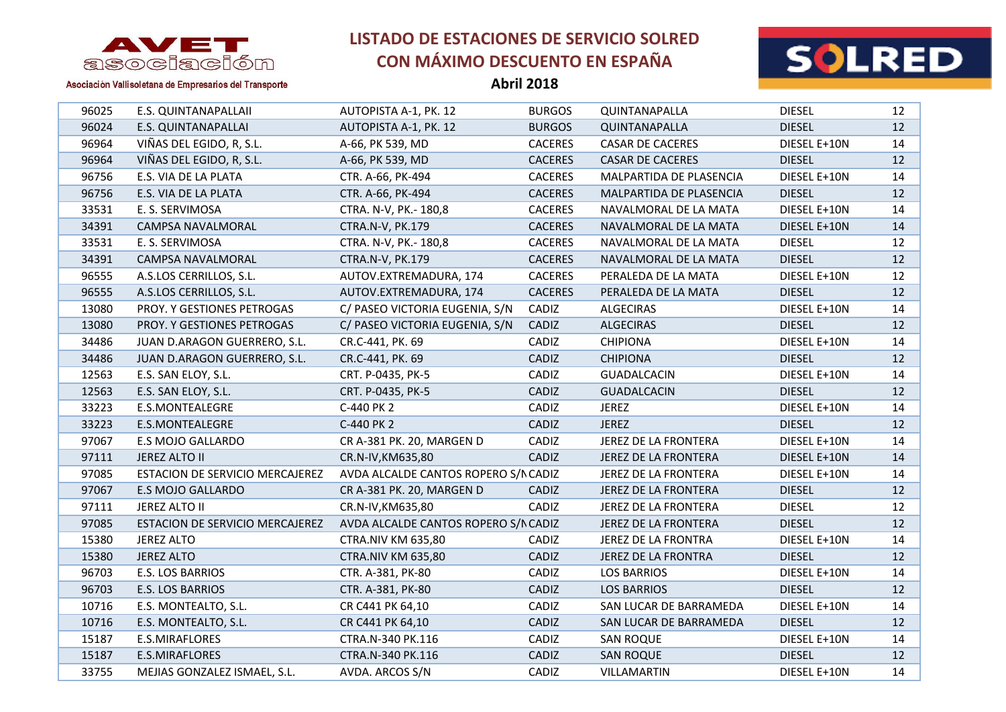

**Abril 2018**



| 96025 | E.S. QUINTANAPALLAII            | AUTOPISTA A-1, PK. 12                | <b>BURGOS</b>  | QUINTANAPALLA           | <b>DIESEL</b> | 12 |
|-------|---------------------------------|--------------------------------------|----------------|-------------------------|---------------|----|
| 96024 | E.S. QUINTANAPALLAI             | AUTOPISTA A-1, PK. 12                | <b>BURGOS</b>  | QUINTANAPALLA           | <b>DIESEL</b> | 12 |
| 96964 | VIÑAS DEL EGIDO, R, S.L.        | A-66, PK 539, MD                     | <b>CACERES</b> | <b>CASAR DE CACERES</b> | DIESEL E+10N  | 14 |
| 96964 | VIÑAS DEL EGIDO, R, S.L.        | A-66, PK 539, MD                     | <b>CACERES</b> | <b>CASAR DE CACERES</b> | <b>DIESEL</b> | 12 |
| 96756 | E.S. VIA DE LA PLATA            | CTR. A-66, PK-494                    | <b>CACERES</b> | MALPARTIDA DE PLASENCIA | DIESEL E+10N  | 14 |
| 96756 | E.S. VIA DE LA PLATA            | CTR. A-66, PK-494                    | <b>CACERES</b> | MALPARTIDA DE PLASENCIA | <b>DIESEL</b> | 12 |
| 33531 | E. S. SERVIMOSA                 | CTRA. N-V, PK.- 180,8                | <b>CACERES</b> | NAVALMORAL DE LA MATA   | DIESEL E+10N  | 14 |
| 34391 | CAMPSA NAVALMORAL               | CTRA.N-V, PK.179                     | <b>CACERES</b> | NAVALMORAL DE LA MATA   | DIESEL E+10N  | 14 |
| 33531 | E. S. SERVIMOSA                 | CTRA. N-V, PK.- 180,8                | <b>CACERES</b> | NAVALMORAL DE LA MATA   | <b>DIESEL</b> | 12 |
| 34391 | CAMPSA NAVALMORAL               | CTRA.N-V, PK.179                     | <b>CACERES</b> | NAVALMORAL DE LA MATA   | <b>DIESEL</b> | 12 |
| 96555 | A.S.LOS CERRILLOS, S.L.         | AUTOV.EXTREMADURA, 174               | <b>CACERES</b> | PERALEDA DE LA MATA     | DIESEL E+10N  | 12 |
| 96555 | A.S.LOS CERRILLOS, S.L.         | AUTOV.EXTREMADURA, 174               | <b>CACERES</b> | PERALEDA DE LA MATA     | <b>DIESEL</b> | 12 |
| 13080 | PROY. Y GESTIONES PETROGAS      | C/ PASEO VICTORIA EUGENIA, S/N       | CADIZ          | <b>ALGECIRAS</b>        | DIESEL E+10N  | 14 |
| 13080 | PROY. Y GESTIONES PETROGAS      | C/ PASEO VICTORIA EUGENIA, S/N       | CADIZ          | <b>ALGECIRAS</b>        | <b>DIESEL</b> | 12 |
| 34486 | JUAN D.ARAGON GUERRERO, S.L.    | CR.C-441, PK. 69                     | CADIZ          | <b>CHIPIONA</b>         | DIESEL E+10N  | 14 |
| 34486 | JUAN D.ARAGON GUERRERO, S.L.    | CR.C-441, PK. 69                     | CADIZ          | <b>CHIPIONA</b>         | <b>DIESEL</b> | 12 |
| 12563 | E.S. SAN ELOY, S.L.             | CRT. P-0435, PK-5                    | CADIZ          | <b>GUADALCACIN</b>      | DIESEL E+10N  | 14 |
| 12563 | E.S. SAN ELOY, S.L.             | CRT. P-0435, PK-5                    | CADIZ          | <b>GUADALCACIN</b>      | <b>DIESEL</b> | 12 |
| 33223 | E.S.MONTEALEGRE                 | C-440 PK 2                           | CADIZ          | <b>JEREZ</b>            | DIESEL E+10N  | 14 |
| 33223 | E.S.MONTEALEGRE                 | C-440 PK 2                           | CADIZ          | <b>JEREZ</b>            | <b>DIESEL</b> | 12 |
| 97067 | E.S MOJO GALLARDO               | CR A-381 PK. 20, MARGEN D            | CADIZ          | JEREZ DE LA FRONTERA    | DIESEL E+10N  | 14 |
| 97111 | JEREZ ALTO II                   | CR.N-IV, KM635, 80                   | CADIZ          | JEREZ DE LA FRONTERA    | DIESEL E+10N  | 14 |
| 97085 | ESTACION DE SERVICIO MERCAJEREZ | AVDA ALCALDE CANTOS ROPERO S/N CADIZ |                | JEREZ DE LA FRONTERA    | DIESEL E+10N  | 14 |
| 97067 | E.S MOJO GALLARDO               | CR A-381 PK. 20, MARGEN D            | CADIZ          | JEREZ DE LA FRONTERA    | <b>DIESEL</b> | 12 |
| 97111 | JEREZ ALTO II                   | CR.N-IV, KM635, 80                   | CADIZ          | JEREZ DE LA FRONTERA    | <b>DIESEL</b> | 12 |
| 97085 | ESTACION DE SERVICIO MERCAJEREZ | AVDA ALCALDE CANTOS ROPERO S/N CADIZ |                | JEREZ DE LA FRONTERA    | <b>DIESEL</b> | 12 |
| 15380 | <b>JEREZ ALTO</b>               | <b>CTRA.NIV KM 635,80</b>            | CADIZ          | JEREZ DE LA FRONTRA     | DIESEL E+10N  | 14 |
| 15380 | <b>JEREZ ALTO</b>               | <b>CTRA.NIV KM 635,80</b>            | CADIZ          | JEREZ DE LA FRONTRA     | <b>DIESEL</b> | 12 |
| 96703 | E.S. LOS BARRIOS                | CTR. A-381, PK-80                    | CADIZ          | <b>LOS BARRIOS</b>      | DIESEL E+10N  | 14 |
| 96703 | E.S. LOS BARRIOS                | CTR. A-381, PK-80                    | CADIZ          | <b>LOS BARRIOS</b>      | <b>DIESEL</b> | 12 |
| 10716 | E.S. MONTEALTO, S.L.            | CR C441 PK 64,10                     | CADIZ          | SAN LUCAR DE BARRAMEDA  | DIESEL E+10N  | 14 |
| 10716 | E.S. MONTEALTO, S.L.            | CR C441 PK 64,10                     | CADIZ          | SAN LUCAR DE BARRAMEDA  | <b>DIESEL</b> | 12 |
| 15187 | E.S.MIRAFLORES                  | CTRA.N-340 PK.116                    | CADIZ          | <b>SAN ROQUE</b>        | DIESEL E+10N  | 14 |
| 15187 | E.S.MIRAFLORES                  | CTRA.N-340 PK.116                    | CADIZ          | <b>SAN ROQUE</b>        | <b>DIESEL</b> | 12 |
| 33755 | MEJIAS GONZALEZ ISMAEL, S.L.    | AVDA. ARCOS S/N                      | CADIZ          | VILLAMARTIN             | DIESEL E+10N  | 14 |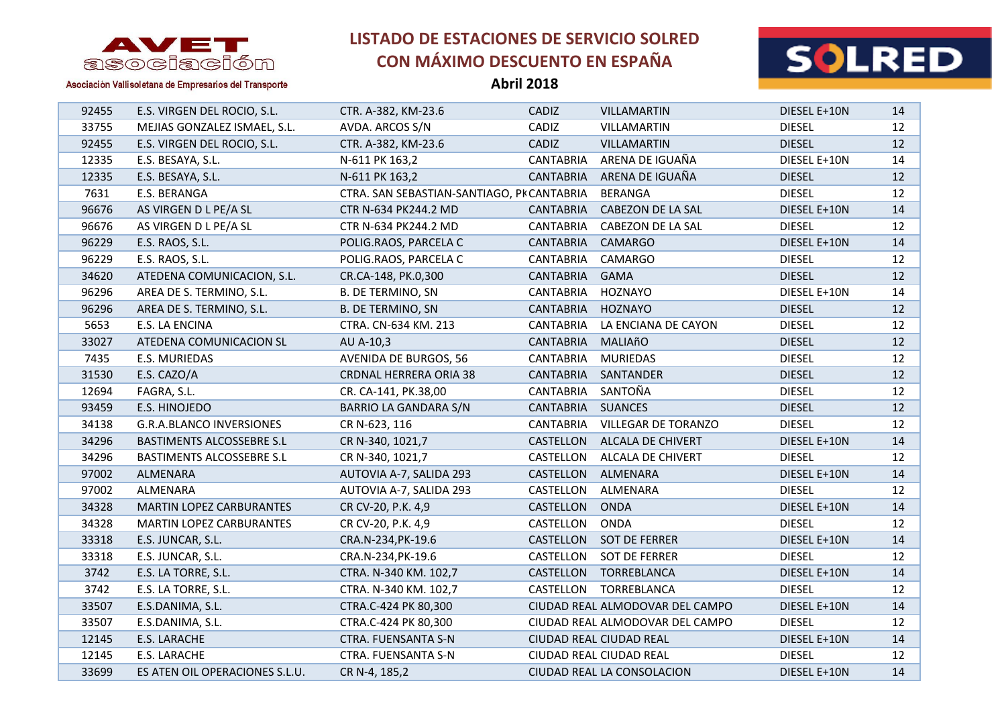

**Abril 2018**



| 92455 | E.S. VIRGEN DEL ROCIO, S.L.     | CTR. A-382, KM-23.6                        | CADIZ              | VILLAMARTIN                     | DIESEL E+10N  | 14 |
|-------|---------------------------------|--------------------------------------------|--------------------|---------------------------------|---------------|----|
| 33755 | MEJIAS GONZALEZ ISMAEL, S.L.    | AVDA. ARCOS S/N                            | CADIZ              | VILLAMARTIN                     | <b>DIESEL</b> | 12 |
| 92455 | E.S. VIRGEN DEL ROCIO, S.L.     | CTR. A-382, KM-23.6                        | CADIZ              | <b>VILLAMARTIN</b>              | <b>DIESEL</b> | 12 |
| 12335 | E.S. BESAYA, S.L.               | N-611 PK 163,2                             | <b>CANTABRIA</b>   | ARENA DE IGUAÑA                 | DIESEL E+10N  | 14 |
| 12335 | E.S. BESAYA, S.L.               | N-611 PK 163,2                             | CANTABRIA          | ARENA DE IGUAÑA                 | <b>DIESEL</b> | 12 |
| 7631  | E.S. BERANGA                    | CTRA. SAN SEBASTIAN-SANTIAGO, PK CANTABRIA |                    | <b>BERANGA</b>                  | <b>DIESEL</b> | 12 |
| 96676 | AS VIRGEN D L PE/A SL           | CTR N-634 PK244.2 MD                       | <b>CANTABRIA</b>   | CABEZON DE LA SAL               | DIESEL E+10N  | 14 |
| 96676 | AS VIRGEN D L PE/A SL           | CTR N-634 PK244.2 MD                       | <b>CANTABRIA</b>   | CABEZON DE LA SAL               | <b>DIESEL</b> | 12 |
| 96229 | E.S. RAOS, S.L.                 | POLIG.RAOS, PARCELA C                      | <b>CANTABRIA</b>   | CAMARGO                         | DIESEL E+10N  | 14 |
| 96229 | E.S. RAOS, S.L.                 | POLIG.RAOS, PARCELA C                      | <b>CANTABRIA</b>   | CAMARGO                         | <b>DIESEL</b> | 12 |
| 34620 | ATEDENA COMUNICACION, S.L.      | CR.CA-148, PK.0,300                        | CANTABRIA          | <b>GAMA</b>                     | <b>DIESEL</b> | 12 |
| 96296 | AREA DE S. TERMINO, S.L.        | <b>B. DE TERMINO, SN</b>                   | <b>CANTABRIA</b>   | HOZNAYO                         | DIESEL E+10N  | 14 |
| 96296 | AREA DE S. TERMINO, S.L.        | <b>B. DE TERMINO, SN</b>                   | <b>CANTABRIA</b>   | HOZNAYO                         | <b>DIESEL</b> | 12 |
| 5653  | E.S. LA ENCINA                  | CTRA. CN-634 KM. 213                       | CANTABRIA          | LA ENCIANA DE CAYON             | <b>DIESEL</b> | 12 |
| 33027 | ATEDENA COMUNICACION SL         | AU A-10,3                                  | CANTABRIA          | MALIAñO                         | <b>DIESEL</b> | 12 |
| 7435  | E.S. MURIEDAS                   | <b>AVENIDA DE BURGOS, 56</b>               | CANTABRIA          | <b>MURIEDAS</b>                 | <b>DIESEL</b> | 12 |
| 31530 | E.S. CAZO/A                     | <b>CRDNAL HERRERA ORIA 38</b>              | CANTABRIA          | SANTANDER                       | <b>DIESEL</b> | 12 |
| 12694 | FAGRA, S.L.                     | CR. CA-141, PK.38,00                       | CANTABRIA          | SANTOÑA                         | <b>DIESEL</b> | 12 |
| 93459 | E.S. HINOJEDO                   | BARRIO LA GANDARA S/N                      | CANTABRIA SUANCES  |                                 | <b>DIESEL</b> | 12 |
| 34138 | <b>G.R.A.BLANCO INVERSIONES</b> | CR N-623, 116                              | CANTABRIA          | <b>VILLEGAR DE TORANZO</b>      | <b>DIESEL</b> | 12 |
| 34296 | BASTIMENTS ALCOSSEBRE S.L       | CR N-340, 1021,7                           |                    | CASTELLON ALCALA DE CHIVERT     | DIESEL E+10N  | 14 |
| 34296 | BASTIMENTS ALCOSSEBRE S.L       | CR N-340, 1021,7                           |                    | CASTELLON ALCALA DE CHIVERT     | <b>DIESEL</b> | 12 |
| 97002 | ALMENARA                        | AUTOVIA A-7, SALIDA 293                    | CASTELLON ALMENARA |                                 | DIESEL E+10N  | 14 |
| 97002 | ALMENARA                        | AUTOVIA A-7, SALIDA 293                    | CASTELLON          | ALMENARA                        | <b>DIESEL</b> | 12 |
| 34328 | <b>MARTIN LOPEZ CARBURANTES</b> | CR CV-20, P.K. 4,9                         | CASTELLON          | <b>ONDA</b>                     | DIESEL E+10N  | 14 |
| 34328 | MARTIN LOPEZ CARBURANTES        | CR CV-20, P.K. 4,9                         | CASTELLON          | <b>ONDA</b>                     | <b>DIESEL</b> | 12 |
| 33318 | E.S. JUNCAR, S.L.               | CRA.N-234, PK-19.6                         |                    | CASTELLON SOT DE FERRER         | DIESEL E+10N  | 14 |
| 33318 | E.S. JUNCAR, S.L.               | CRA.N-234, PK-19.6                         |                    | CASTELLON SOT DE FERRER         | <b>DIESEL</b> | 12 |
| 3742  | E.S. LA TORRE, S.L.             | CTRA. N-340 KM. 102,7                      |                    | CASTELLON TORREBLANCA           | DIESEL E+10N  | 14 |
| 3742  | E.S. LA TORRE, S.L.             | CTRA. N-340 KM. 102,7                      |                    | CASTELLON TORREBLANCA           | <b>DIESEL</b> | 12 |
| 33507 | E.S.DANIMA, S.L.                | CTRA.C-424 PK 80,300                       |                    | CIUDAD REAL ALMODOVAR DEL CAMPO | DIESEL E+10N  | 14 |
| 33507 | E.S.DANIMA, S.L.                | CTRA.C-424 PK 80,300                       |                    | CIUDAD REAL ALMODOVAR DEL CAMPO | <b>DIESEL</b> | 12 |
| 12145 | E.S. LARACHE                    | <b>CTRA. FUENSANTA S-N</b>                 |                    | CIUDAD REAL CIUDAD REAL         | DIESEL E+10N  | 14 |
| 12145 | E.S. LARACHE                    | CTRA. FUENSANTA S-N                        |                    | CIUDAD REAL CIUDAD REAL         | <b>DIESEL</b> | 12 |
| 33699 | ES ATEN OIL OPERACIONES S.L.U.  | CR N-4, 185,2                              |                    | CIUDAD REAL LA CONSOLACION      | DIESEL E+10N  | 14 |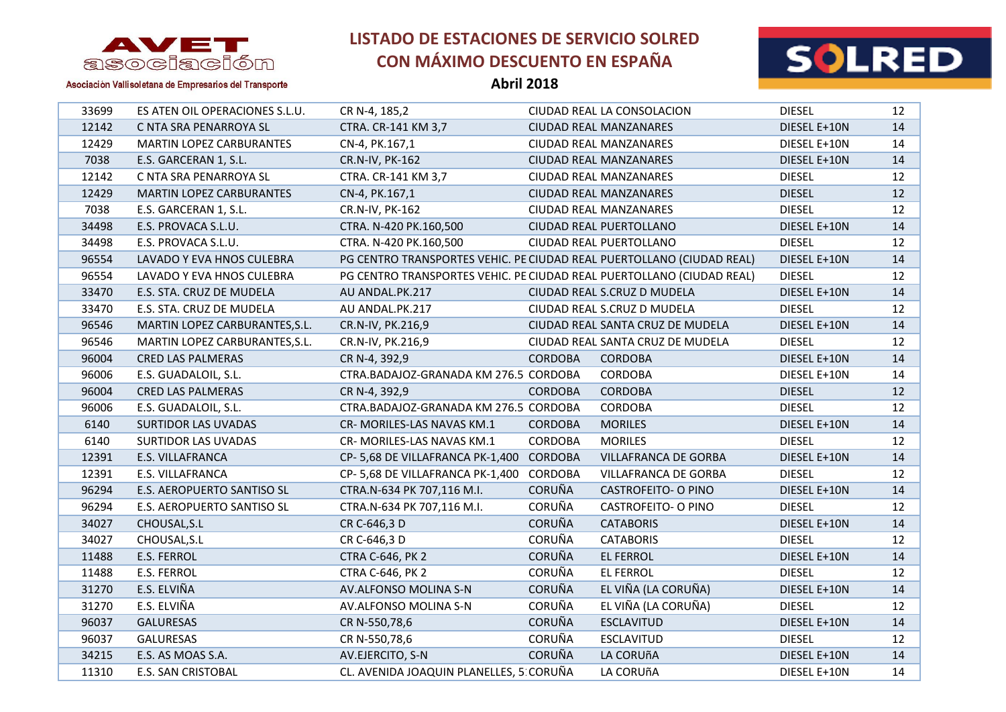

**Abril 2018**



| 33699 | ES ATEN OIL OPERACIONES S.L.U.  | CR N-4, 185,2                                                         |                | CIUDAD REAL LA CONSOLACION       | <b>DIESEL</b> | 12 |
|-------|---------------------------------|-----------------------------------------------------------------------|----------------|----------------------------------|---------------|----|
| 12142 | C NTA SRA PENARROYA SL          | CTRA. CR-141 KM 3,7                                                   |                | <b>CIUDAD REAL MANZANARES</b>    | DIESEL E+10N  | 14 |
| 12429 | MARTIN LOPEZ CARBURANTES        | CN-4, PK.167,1                                                        |                | CIUDAD REAL MANZANARES           | DIESEL E+10N  | 14 |
| 7038  | E.S. GARCERAN 1, S.L.           | CR.N-IV, PK-162                                                       |                | CIUDAD REAL MANZANARES           | DIESEL E+10N  | 14 |
| 12142 | C NTA SRA PENARROYA SL          | CTRA. CR-141 KM 3,7                                                   |                | CIUDAD REAL MANZANARES           | <b>DIESEL</b> | 12 |
| 12429 | <b>MARTIN LOPEZ CARBURANTES</b> | CN-4, PK.167,1                                                        |                | CIUDAD REAL MANZANARES           | <b>DIESEL</b> | 12 |
| 7038  | E.S. GARCERAN 1, S.L.           | CR.N-IV, PK-162                                                       |                | CIUDAD REAL MANZANARES           | <b>DIESEL</b> | 12 |
| 34498 | E.S. PROVACA S.L.U.             | CTRA. N-420 PK.160,500                                                |                | CIUDAD REAL PUERTOLLANO          | DIESEL E+10N  | 14 |
| 34498 | E.S. PROVACA S.L.U.             | CTRA. N-420 PK.160,500                                                |                | CIUDAD REAL PUERTOLLANO          | <b>DIESEL</b> | 12 |
| 96554 | LAVADO Y EVA HNOS CULEBRA       | PG CENTRO TRANSPORTES VEHIC. PE CIUDAD REAL PUERTOLLANO (CIUDAD REAL) |                |                                  | DIESEL E+10N  | 14 |
| 96554 | LAVADO Y EVA HNOS CULEBRA       | PG CENTRO TRANSPORTES VEHIC. PE CIUDAD REAL PUERTOLLANO (CIUDAD REAL) |                |                                  | <b>DIESEL</b> | 12 |
| 33470 | E.S. STA. CRUZ DE MUDELA        | AU ANDAL.PK.217                                                       |                | CIUDAD REAL S.CRUZ D MUDELA      | DIESEL E+10N  | 14 |
| 33470 | E.S. STA. CRUZ DE MUDELA        | AU ANDAL.PK.217                                                       |                | CIUDAD REAL S.CRUZ D MUDELA      | <b>DIESEL</b> | 12 |
| 96546 | MARTIN LOPEZ CARBURANTES, S.L.  | CR.N-IV, PK.216,9                                                     |                | CIUDAD REAL SANTA CRUZ DE MUDELA | DIESEL E+10N  | 14 |
| 96546 | MARTIN LOPEZ CARBURANTES, S.L.  | CR.N-IV, PK.216,9                                                     |                | CIUDAD REAL SANTA CRUZ DE MUDELA | <b>DIESEL</b> | 12 |
| 96004 | <b>CRED LAS PALMERAS</b>        | CR N-4, 392,9                                                         | <b>CORDOBA</b> | <b>CORDOBA</b>                   | DIESEL E+10N  | 14 |
| 96006 | E.S. GUADALOIL, S.L.            | CTRA.BADAJOZ-GRANADA KM 276.5 CORDOBA                                 |                | <b>CORDOBA</b>                   | DIESEL E+10N  | 14 |
| 96004 | <b>CRED LAS PALMERAS</b>        | CR N-4, 392,9                                                         | <b>CORDOBA</b> | <b>CORDOBA</b>                   | <b>DIESEL</b> | 12 |
| 96006 | E.S. GUADALOIL, S.L.            | CTRA.BADAJOZ-GRANADA KM 276.5 CORDOBA                                 |                | <b>CORDOBA</b>                   | <b>DIESEL</b> | 12 |
| 6140  | <b>SURTIDOR LAS UVADAS</b>      | CR- MORILES-LAS NAVAS KM.1                                            | <b>CORDOBA</b> | <b>MORILES</b>                   | DIESEL E+10N  | 14 |
| 6140  | <b>SURTIDOR LAS UVADAS</b>      | CR- MORILES-LAS NAVAS KM.1                                            | <b>CORDOBA</b> | <b>MORILES</b>                   | <b>DIESEL</b> | 12 |
| 12391 | E.S. VILLAFRANCA                | CP-5,68 DE VILLAFRANCA PK-1,400                                       | <b>CORDOBA</b> | VILLAFRANCA DE GORBA             | DIESEL E+10N  | 14 |
| 12391 | E.S. VILLAFRANCA                | CP-5,68 DE VILLAFRANCA PK-1,400                                       | CORDOBA        | VILLAFRANCA DE GORBA             | <b>DIESEL</b> | 12 |
| 96294 | E.S. AEROPUERTO SANTISO SL      | CTRA.N-634 PK 707,116 M.I.                                            | <b>CORUÑA</b>  | <b>CASTROFEITO- O PINO</b>       | DIESEL E+10N  | 14 |
| 96294 | E.S. AEROPUERTO SANTISO SL      | CTRA.N-634 PK 707,116 M.I.                                            | <b>CORUÑA</b>  | <b>CASTROFEITO- O PINO</b>       | <b>DIESEL</b> | 12 |
| 34027 | CHOUSAL, S.L                    | CR C-646,3 D                                                          | <b>CORUÑA</b>  | <b>CATABORIS</b>                 | DIESEL E+10N  | 14 |
| 34027 | CHOUSAL, S.L                    | CR C-646,3 D                                                          | <b>CORUÑA</b>  | <b>CATABORIS</b>                 | <b>DIESEL</b> | 12 |
| 11488 | E.S. FERROL                     | <b>CTRA C-646, PK 2</b>                                               | <b>CORUÑA</b>  | EL FERROL                        | DIESEL E+10N  | 14 |
| 11488 | E.S. FERROL                     | CTRA C-646, PK 2                                                      | CORUÑA         | <b>EL FERROL</b>                 | <b>DIESEL</b> | 12 |
| 31270 | E.S. ELVIÑA                     | AV.ALFONSO MOLINA S-N                                                 | <b>CORUÑA</b>  | EL VIÑA (LA CORUÑA)              | DIESEL E+10N  | 14 |
| 31270 | E.S. ELVIÑA                     | AV.ALFONSO MOLINA S-N                                                 | CORUÑA         | EL VIÑA (LA CORUÑA)              | <b>DIESEL</b> | 12 |
| 96037 | <b>GALURESAS</b>                | CR N-550,78,6                                                         | <b>CORUÑA</b>  | <b>ESCLAVITUD</b>                | DIESEL E+10N  | 14 |
| 96037 | <b>GALURESAS</b>                | CR N-550,78,6                                                         | CORUÑA         | <b>ESCLAVITUD</b>                | <b>DIESEL</b> | 12 |
| 34215 | E.S. AS MOAS S.A.               | AV.EJERCITO, S-N                                                      | <b>CORUÑA</b>  | LA CORUñA                        | DIESEL E+10N  | 14 |
| 11310 | <b>E.S. SAN CRISTOBAL</b>       | CL. AVENIDA JOAQUIN PLANELLES, 5 CORUÑA                               |                | LA CORUÑA                        | DIESEL E+10N  | 14 |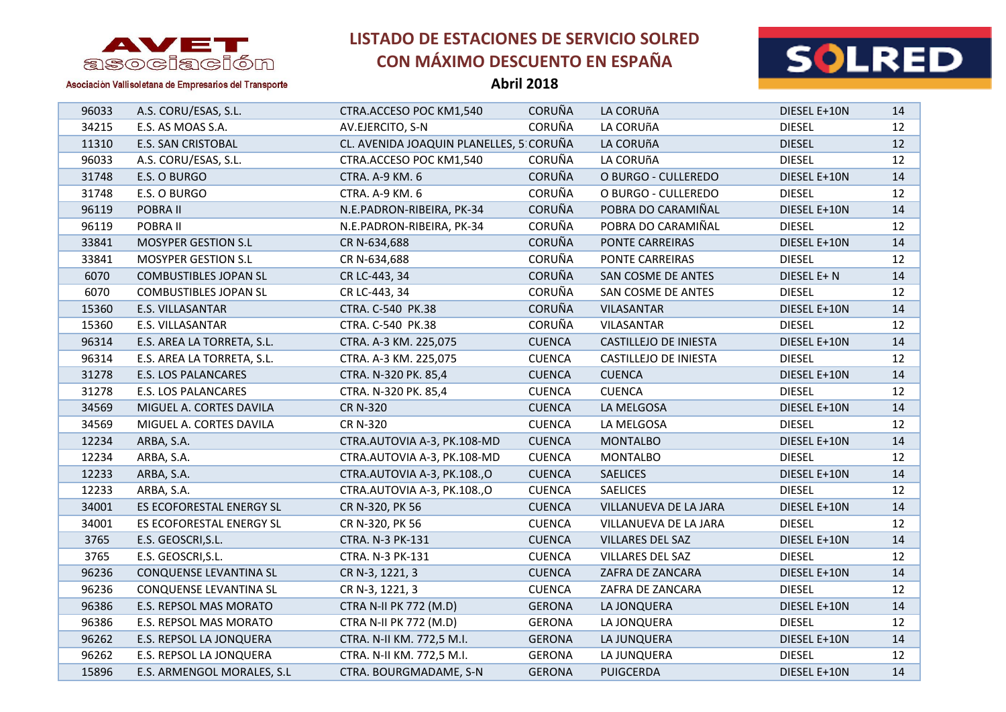



| <b>Abril 2018</b> |  |
|-------------------|--|
|-------------------|--|

| 96033 | A.S. CORU/ESAS, S.L.         | CTRA.ACCESO POC KM1,540                 | <b>CORUÑA</b> | LA CORUñA                    | DIESEL E+10N  | 14              |
|-------|------------------------------|-----------------------------------------|---------------|------------------------------|---------------|-----------------|
| 34215 | E.S. AS MOAS S.A.            | AV.EJERCITO, S-N                        | CORUÑA        | LA CORUñA                    | <b>DIESEL</b> | 12              |
| 11310 | <b>E.S. SAN CRISTOBAL</b>    | CL. AVENIDA JOAQUIN PLANELLES, 5 CORUÑA |               | LA CORUñA                    | <b>DIESEL</b> | 12 <sup>2</sup> |
| 96033 | A.S. CORU/ESAS, S.L.         | CTRA.ACCESO POC KM1,540                 | CORUÑA        | LA CORUñA                    | <b>DIESEL</b> | 12              |
| 31748 | E.S. O BURGO                 | CTRA. A-9 KM. 6                         | <b>CORUÑA</b> | O BURGO - CULLEREDO          | DIESEL E+10N  | 14              |
| 31748 | E.S. O BURGO                 | CTRA. A-9 KM. 6                         | CORUÑA        | O BURGO - CULLEREDO          | <b>DIESEL</b> | 12              |
| 96119 | POBRA II                     | N.E.PADRON-RIBEIRA, PK-34               | CORUÑA        | POBRA DO CARAMIÑAL           | DIESEL E+10N  | 14              |
| 96119 | POBRA II                     | N.E.PADRON-RIBEIRA, PK-34               | <b>CORUÑA</b> | POBRA DO CARAMIÑAL           | <b>DIESEL</b> | 12              |
| 33841 | MOSYPER GESTION S.L          | CR N-634,688                            | <b>CORUÑA</b> | PONTE CARREIRAS              | DIESEL E+10N  | 14              |
| 33841 | <b>MOSYPER GESTION S.L</b>   | CR N-634,688                            | CORUÑA        | PONTE CARREIRAS              | <b>DIESEL</b> | 12              |
| 6070  | <b>COMBUSTIBLES JOPAN SL</b> | CR LC-443, 34                           | <b>CORUÑA</b> | SAN COSME DE ANTES           | DIESEL E+ N   | 14              |
| 6070  | <b>COMBUSTIBLES JOPAN SL</b> | CR LC-443, 34                           | <b>CORUÑA</b> | SAN COSME DE ANTES           | <b>DIESEL</b> | 12              |
| 15360 | E.S. VILLASANTAR             | CTRA. C-540 PK.38                       | <b>CORUÑA</b> | VILASANTAR                   | DIESEL E+10N  | 14              |
| 15360 | E.S. VILLASANTAR             | CTRA. C-540 PK.38                       | CORUÑA        | VILASANTAR                   | <b>DIESEL</b> | 12              |
| 96314 | E.S. AREA LA TORRETA, S.L.   | CTRA. A-3 KM. 225,075                   | <b>CUENCA</b> | CASTILLEJO DE INIESTA        | DIESEL E+10N  | 14              |
| 96314 | E.S. AREA LA TORRETA, S.L.   | CTRA. A-3 KM. 225,075                   | <b>CUENCA</b> | <b>CASTILLEJO DE INIESTA</b> | <b>DIESEL</b> | 12              |
| 31278 | E.S. LOS PALANCARES          | CTRA. N-320 PK. 85,4                    | <b>CUENCA</b> | <b>CUENCA</b>                | DIESEL E+10N  | 14              |
| 31278 | E.S. LOS PALANCARES          | CTRA. N-320 PK. 85,4                    | <b>CUENCA</b> | <b>CUENCA</b>                | <b>DIESEL</b> | 12              |
| 34569 | MIGUEL A. CORTES DAVILA      | <b>CR N-320</b>                         | <b>CUENCA</b> | LA MELGOSA                   | DIESEL E+10N  | 14              |
| 34569 | MIGUEL A. CORTES DAVILA      | <b>CR N-320</b>                         | <b>CUENCA</b> | LA MELGOSA                   | <b>DIESEL</b> | 12              |
| 12234 | ARBA, S.A.                   | CTRA.AUTOVIA A-3, PK.108-MD             | <b>CUENCA</b> | <b>MONTALBO</b>              | DIESEL E+10N  | 14              |
| 12234 | ARBA, S.A.                   | CTRA.AUTOVIA A-3, PK.108-MD             | <b>CUENCA</b> | <b>MONTALBO</b>              | <b>DIESEL</b> | 12              |
| 12233 | ARBA, S.A.                   | CTRA.AUTOVIA A-3, PK.108.,O             | <b>CUENCA</b> | <b>SAELICES</b>              | DIESEL E+10N  | 14              |
| 12233 | ARBA, S.A.                   | CTRA.AUTOVIA A-3, PK.108.,O             | <b>CUENCA</b> | <b>SAELICES</b>              | <b>DIESEL</b> | 12              |
| 34001 | ES ECOFORESTAL ENERGY SL     | CR N-320, PK 56                         | <b>CUENCA</b> | VILLANUEVA DE LA JARA        | DIESEL E+10N  | 14              |
| 34001 | ES ECOFORESTAL ENERGY SL     | CR N-320, PK 56                         | <b>CUENCA</b> | VILLANUEVA DE LA JARA        | <b>DIESEL</b> | 12              |
| 3765  | E.S. GEOSCRI, S.L.           | CTRA. N-3 PK-131                        | <b>CUENCA</b> | VILLARES DEL SAZ             | DIESEL E+10N  | 14              |
| 3765  | E.S. GEOSCRI, S.L.           | CTRA. N-3 PK-131                        | <b>CUENCA</b> | VILLARES DEL SAZ             | <b>DIESEL</b> | 12              |
| 96236 | CONQUENSE LEVANTINA SL       | CR N-3, 1221, 3                         | <b>CUENCA</b> | ZAFRA DE ZANCARA             | DIESEL E+10N  | 14              |
| 96236 | CONQUENSE LEVANTINA SL       | CR N-3, 1221, 3                         | <b>CUENCA</b> | ZAFRA DE ZANCARA             | <b>DIESEL</b> | 12              |
| 96386 | E.S. REPSOL MAS MORATO       | CTRA N-II PK 772 (M.D)                  | <b>GERONA</b> | LA JONQUERA                  | DIESEL E+10N  | 14              |
| 96386 | E.S. REPSOL MAS MORATO       | CTRA N-II PK 772 (M.D)                  | <b>GERONA</b> | LA JONQUERA                  | <b>DIESEL</b> | 12              |
| 96262 | E.S. REPSOL LA JONQUERA      | CTRA. N-II KM. 772,5 M.I.               | <b>GERONA</b> | LA JUNQUERA                  | DIESEL E+10N  | 14              |
| 96262 | E.S. REPSOL LA JONQUERA      | CTRA. N-II KM. 772,5 M.I.               | <b>GERONA</b> | LA JUNQUERA                  | <b>DIESEL</b> | 12              |
| 15896 | E.S. ARMENGOL MORALES, S.L   | CTRA. BOURGMADAME, S-N                  | <b>GERONA</b> | <b>PUIGCERDA</b>             | DIESEL E+10N  | 14              |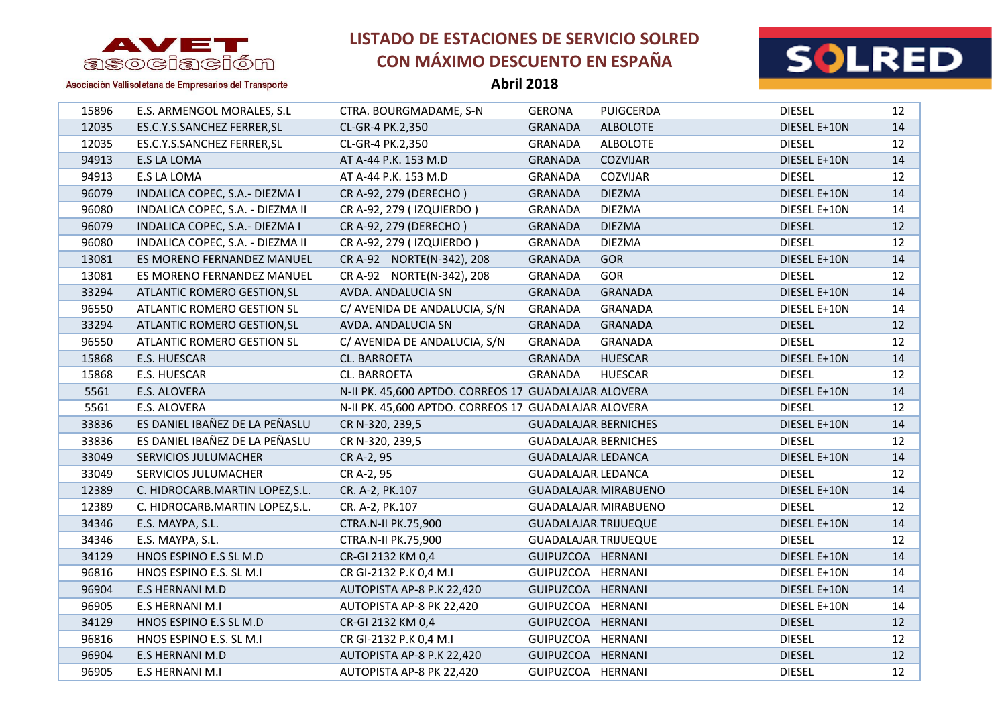



| <b>Abril 2018</b> |
|-------------------|
|                   |

| 15896 | E.S. ARMENGOL MORALES, S.L       | CTRA. BOURGMADAME, S-N                               | <b>GERONA</b>               | <b>PUIGCERDA</b> | <b>DIESEL</b> | 12 |
|-------|----------------------------------|------------------------------------------------------|-----------------------------|------------------|---------------|----|
| 12035 | ES.C.Y.S.SANCHEZ FERRER, SL      | CL-GR-4 PK.2,350                                     | <b>GRANADA</b>              | <b>ALBOLOTE</b>  | DIESEL E+10N  | 14 |
| 12035 | ES.C.Y.S.SANCHEZ FERRER, SL      | CL-GR-4 PK.2,350                                     | <b>GRANADA</b>              | <b>ALBOLOTE</b>  | <b>DIESEL</b> | 12 |
| 94913 | E.S LA LOMA                      | AT A-44 P.K. 153 M.D                                 | <b>GRANADA</b>              | <b>COZVIJAR</b>  | DIESEL E+10N  | 14 |
| 94913 | E.S LA LOMA                      | AT A-44 P.K. 153 M.D                                 | <b>GRANADA</b>              | COZVIJAR         | <b>DIESEL</b> | 12 |
| 96079 | INDALICA COPEC, S.A.- DIEZMA I   | CR A-92, 279 (DERECHO)                               | <b>GRANADA</b>              | <b>DIEZMA</b>    | DIESEL E+10N  | 14 |
| 96080 | INDALICA COPEC, S.A. - DIEZMA II | CR A-92, 279 (IZQUIERDO)                             | GRANADA                     | <b>DIEZMA</b>    | DIESEL E+10N  | 14 |
| 96079 | INDALICA COPEC, S.A.- DIEZMA I   | CR A-92, 279 (DERECHO)                               | <b>GRANADA</b>              | <b>DIEZMA</b>    | <b>DIESEL</b> | 12 |
| 96080 | INDALICA COPEC, S.A. - DIEZMA II | CR A-92, 279 (IZQUIERDO)                             | <b>GRANADA</b>              | <b>DIEZMA</b>    | <b>DIESEL</b> | 12 |
| 13081 | ES MORENO FERNANDEZ MANUEL       | CR A-92 NORTE(N-342), 208                            | <b>GRANADA</b>              | <b>GOR</b>       | DIESEL E+10N  | 14 |
| 13081 | ES MORENO FERNANDEZ MANUEL       | CR A-92 NORTE(N-342), 208                            | <b>GRANADA</b>              | <b>GOR</b>       | <b>DIESEL</b> | 12 |
| 33294 | ATLANTIC ROMERO GESTION, SL      | AVDA. ANDALUCIA SN                                   | <b>GRANADA</b>              | <b>GRANADA</b>   | DIESEL E+10N  | 14 |
| 96550 | ATLANTIC ROMERO GESTION SL       | C/ AVENIDA DE ANDALUCIA, S/N                         | <b>GRANADA</b>              | <b>GRANADA</b>   | DIESEL E+10N  | 14 |
| 33294 | ATLANTIC ROMERO GESTION, SL      | AVDA. ANDALUCIA SN                                   | <b>GRANADA</b>              | <b>GRANADA</b>   | <b>DIESEL</b> | 12 |
| 96550 | ATLANTIC ROMERO GESTION SL       | C/ AVENIDA DE ANDALUCIA, S/N                         | GRANADA                     | <b>GRANADA</b>   | <b>DIESEL</b> | 12 |
| 15868 | E.S. HUESCAR                     | CL. BARROETA                                         | <b>GRANADA</b>              | <b>HUESCAR</b>   | DIESEL E+10N  | 14 |
| 15868 | E.S. HUESCAR                     | CL. BARROETA                                         | <b>GRANADA</b>              | <b>HUESCAR</b>   | <b>DIESEL</b> | 12 |
| 5561  | E.S. ALOVERA                     | N-II PK. 45,600 APTDO. CORREOS 17 GUADALAJAR ALOVERA |                             |                  | DIESEL E+10N  | 14 |
| 5561  | E.S. ALOVERA                     | N-II PK. 45,600 APTDO. CORREOS 17 GUADALAJAR ALOVERA |                             |                  | <b>DIESEL</b> | 12 |
| 33836 | ES DANIEL IBAÑEZ DE LA PEÑASLU   | CR N-320, 239,5                                      | <b>GUADALAJAR BERNICHES</b> |                  | DIESEL E+10N  | 14 |
| 33836 | ES DANIEL IBAÑEZ DE LA PEÑASLU   | CR N-320, 239,5                                      | <b>GUADALAJAR BERNICHES</b> |                  | <b>DIESEL</b> | 12 |
| 33049 | SERVICIOS JULUMACHER             | CR A-2, 95                                           | <b>GUADALAJAR LEDANCA</b>   |                  | DIESEL E+10N  | 14 |
| 33049 | SERVICIOS JULUMACHER             | CR A-2, 95                                           | GUADALAJAR LEDANCA          |                  | <b>DIESEL</b> | 12 |
| 12389 | C. HIDROCARB.MARTIN LOPEZ, S.L.  | CR. A-2, PK.107                                      | <b>GUADALAJAR MIRABUENO</b> |                  | DIESEL E+10N  | 14 |
| 12389 | C. HIDROCARB.MARTIN LOPEZ, S.L.  | CR. A-2, PK.107                                      | GUADALAJAR MIRABUENO        |                  | <b>DIESEL</b> | 12 |
| 34346 | E.S. MAYPA, S.L.                 | CTRA.N-II PK.75,900                                  | <b>GUADALAJAR TRIJUEQUE</b> |                  | DIESEL E+10N  | 14 |
| 34346 | E.S. MAYPA, S.L.                 | CTRA.N-II PK.75,900                                  | <b>GUADALAJAR TRIJUEQUE</b> |                  | <b>DIESEL</b> | 12 |
| 34129 | HNOS ESPINO E.S SL M.D           | CR-GI 2132 KM 0,4                                    | GUIPUZCOA HERNANI           |                  | DIESEL E+10N  | 14 |
| 96816 | HNOS ESPINO E.S. SL M.I          | CR GI-2132 P.K 0,4 M.I                               | GUIPUZCOA HERNANI           |                  | DIESEL E+10N  | 14 |
| 96904 | E.S HERNANI M.D                  | AUTOPISTA AP-8 P.K 22,420                            | GUIPUZCOA HERNANI           |                  | DIESEL E+10N  | 14 |
| 96905 | E.S HERNANI M.I                  | AUTOPISTA AP-8 PK 22,420                             | GUIPUZCOA HERNANI           |                  | DIESEL E+10N  | 14 |
| 34129 | HNOS ESPINO E.S SL M.D           | CR-GI 2132 KM 0,4                                    | GUIPUZCOA HERNANI           |                  | <b>DIESEL</b> | 12 |
| 96816 | HNOS ESPINO E.S. SL M.I          | CR GI-2132 P.K 0,4 M.I                               | GUIPUZCOA HERNANI           |                  | <b>DIESEL</b> | 12 |
| 96904 | E.S HERNANI M.D                  | AUTOPISTA AP-8 P.K 22,420                            | GUIPUZCOA HERNANI           |                  | <b>DIESEL</b> | 12 |
| 96905 | E.S HERNANI M.I                  | AUTOPISTA AP-8 PK 22,420                             | GUIPUZCOA HERNANI           |                  | <b>DIESEL</b> | 12 |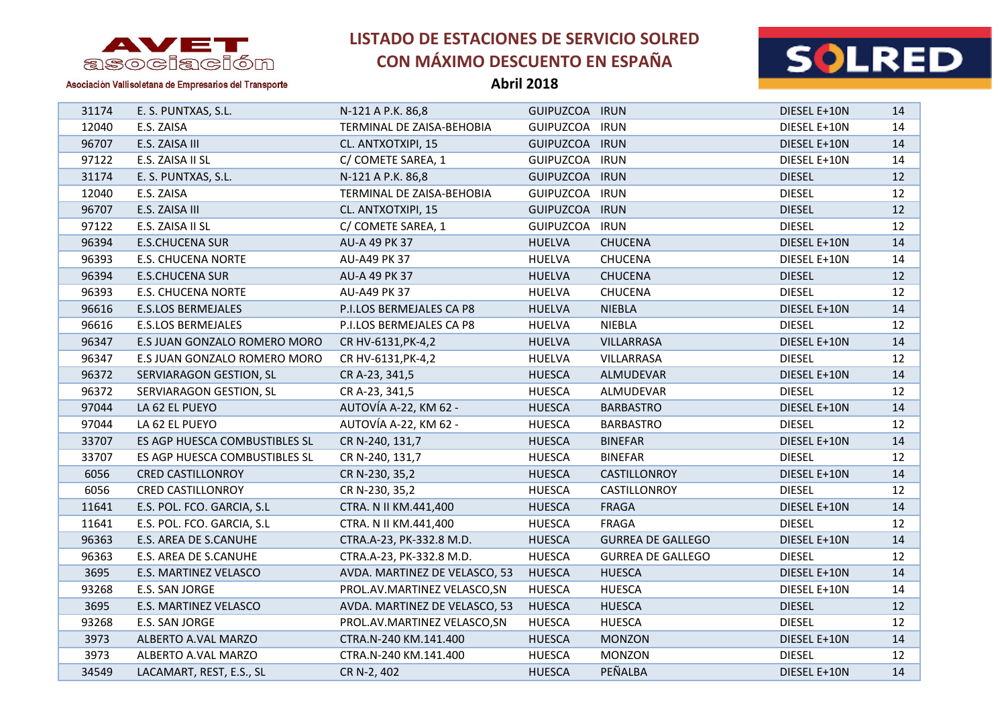



Asociación Vallisoletana de Empresarios del Transporte

| 31174 | E. S. PUNTXAS, S.L.           | N-121 A P.K. 86,8             | GUIPUZCOA IRUN |                          | DIESEL E+10N  | 14 |
|-------|-------------------------------|-------------------------------|----------------|--------------------------|---------------|----|
| 12040 | E.S. ZAISA                    | TERMINAL DE ZAISA-BEHOBIA     | GUIPUZCOA IRUN |                          | DIESEL E+10N  | 14 |
| 96707 | E.S. ZAISA III                | CL. ANTXOTXIPI, 15            | GUIPUZCOA IRUN |                          | DIESEL E+10N  | 14 |
| 97122 | E.S. ZAISA II SL              | C/ COMETE SAREA, 1            | GUIPUZCOA IRUN |                          | DIESEL E+10N  | 14 |
| 31174 | E. S. PUNTXAS, S.L.           | N-121 A P.K. 86,8             | GUIPUZCOA IRUN |                          | <b>DIESEL</b> | 12 |
| 12040 | E.S. ZAISA                    | TERMINAL DE ZAISA-BEHOBIA     | GUIPUZCOA IRUN |                          | <b>DIESEL</b> | 12 |
| 96707 | E.S. ZAISA III                | CL. ANTXOTXIPI, 15            | GUIPUZCOA IRUN |                          | <b>DIESEL</b> | 12 |
| 97122 | E.S. ZAISA II SL              | C/ COMETE SAREA, 1            | GUIPUZCOA IRUN |                          | <b>DIESEL</b> | 12 |
| 96394 | <b>E.S.CHUCENA SUR</b>        | AU-A 49 PK 37                 | <b>HUELVA</b>  | <b>CHUCENA</b>           | DIESEL E+10N  | 14 |
| 96393 | <b>E.S. CHUCENA NORTE</b>     | AU-A49 PK 37                  | <b>HUELVA</b>  | <b>CHUCENA</b>           | DIESEL E+10N  | 14 |
| 96394 | <b>E.S.CHUCENA SUR</b>        | AU-A 49 PK 37                 | <b>HUELVA</b>  | <b>CHUCENA</b>           | <b>DIESEL</b> | 12 |
| 96393 | <b>E.S. CHUCENA NORTE</b>     | AU-A49 PK 37                  | <b>HUELVA</b>  | <b>CHUCENA</b>           | <b>DIESEL</b> | 12 |
| 96616 | <b>E.S.LOS BERMEJALES</b>     | P.I.LOS BERMEJALES CA P8      | <b>HUELVA</b>  | <b>NIEBLA</b>            | DIESEL E+10N  | 14 |
| 96616 | <b>E.S.LOS BERMEJALES</b>     | P.I.LOS BERMEJALES CA P8      | <b>HUELVA</b>  | <b>NIEBLA</b>            | <b>DIESEL</b> | 12 |
| 96347 | E.S JUAN GONZALO ROMERO MORO  | CR HV-6131, PK-4, 2           | <b>HUELVA</b>  | VILLARRASA               | DIESEL E+10N  | 14 |
| 96347 | E.S JUAN GONZALO ROMERO MORO  | CR HV-6131, PK-4, 2           | <b>HUELVA</b>  | VILLARRASA               | <b>DIESEL</b> | 12 |
| 96372 | SERVIARAGON GESTION, SL       | CR A-23, 341,5                | <b>HUESCA</b>  | ALMUDEVAR                | DIESEL E+10N  | 14 |
| 96372 | SERVIARAGON GESTION, SL       | CR A-23, 341,5                | <b>HUESCA</b>  | ALMUDEVAR                | <b>DIESEL</b> | 12 |
| 97044 | LA 62 EL PUEYO                | AUTOVÍA A-22, KM 62 -         | <b>HUESCA</b>  | <b>BARBASTRO</b>         | DIESEL E+10N  | 14 |
| 97044 | LA 62 EL PUEYO                | AUTOVÍA A-22, KM 62 -         | <b>HUESCA</b>  | <b>BARBASTRO</b>         | <b>DIESEL</b> | 12 |
| 33707 | ES AGP HUESCA COMBUSTIBLES SL | CR N-240, 131,7               | <b>HUESCA</b>  | <b>BINEFAR</b>           | DIESEL E+10N  | 14 |
| 33707 | ES AGP HUESCA COMBUSTIBLES SL | CR N-240, 131,7               | <b>HUESCA</b>  | <b>BINEFAR</b>           | <b>DIESEL</b> | 12 |
| 6056  | <b>CRED CASTILLONROY</b>      | CR N-230, 35,2                | <b>HUESCA</b>  | CASTILLONROY             | DIESEL E+10N  | 14 |
| 6056  | <b>CRED CASTILLONROY</b>      | CR N-230, 35,2                | <b>HUESCA</b>  | CASTILLONROY             | <b>DIESEL</b> | 12 |
| 11641 | E.S. POL. FCO. GARCIA, S.L    | CTRA. N II KM.441,400         | <b>HUESCA</b>  | <b>FRAGA</b>             | DIESEL E+10N  | 14 |
| 11641 | E.S. POL. FCO. GARCIA, S.L    | CTRA. N II KM.441,400         | <b>HUESCA</b>  | <b>FRAGA</b>             | <b>DIESEL</b> | 12 |
| 96363 | E.S. AREA DE S.CANUHE         | CTRA.A-23, PK-332.8 M.D.      | <b>HUESCA</b>  | <b>GURREA DE GALLEGO</b> | DIESEL E+10N  | 14 |
| 96363 | E.S. AREA DE S.CANUHE         | CTRA.A-23, PK-332.8 M.D.      | <b>HUESCA</b>  | <b>GURREA DE GALLEGO</b> | <b>DIESEL</b> | 12 |
| 3695  | E.S. MARTINEZ VELASCO         | AVDA. MARTINEZ DE VELASCO, 53 | <b>HUESCA</b>  | <b>HUESCA</b>            | DIESEL E+10N  | 14 |
| 93268 | E.S. SAN JORGE                | PROL.AV.MARTINEZ VELASCO,SN   | <b>HUESCA</b>  | <b>HUESCA</b>            | DIESEL E+10N  | 14 |
| 3695  | E.S. MARTINEZ VELASCO         | AVDA. MARTINEZ DE VELASCO, 53 | <b>HUESCA</b>  | <b>HUESCA</b>            | <b>DIESEL</b> | 12 |
| 93268 | E.S. SAN JORGE                | PROL.AV.MARTINEZ VELASCO,SN   | <b>HUESCA</b>  | <b>HUESCA</b>            | <b>DIESEL</b> | 12 |
| 3973  | ALBERTO A.VAL MARZO           | CTRA.N-240 KM.141.400         | <b>HUESCA</b>  | <b>MONZON</b>            | DIESEL E+10N  | 14 |
| 3973  | ALBERTO A.VAL MARZO           | CTRA.N-240 KM.141.400         | <b>HUESCA</b>  | <b>MONZON</b>            | <b>DIESEL</b> | 12 |
| 34549 | LACAMART, REST, E.S., SL      | CR N-2, 402                   | <b>HUESCA</b>  | PEÑALBA                  | DIESEL E+10N  | 14 |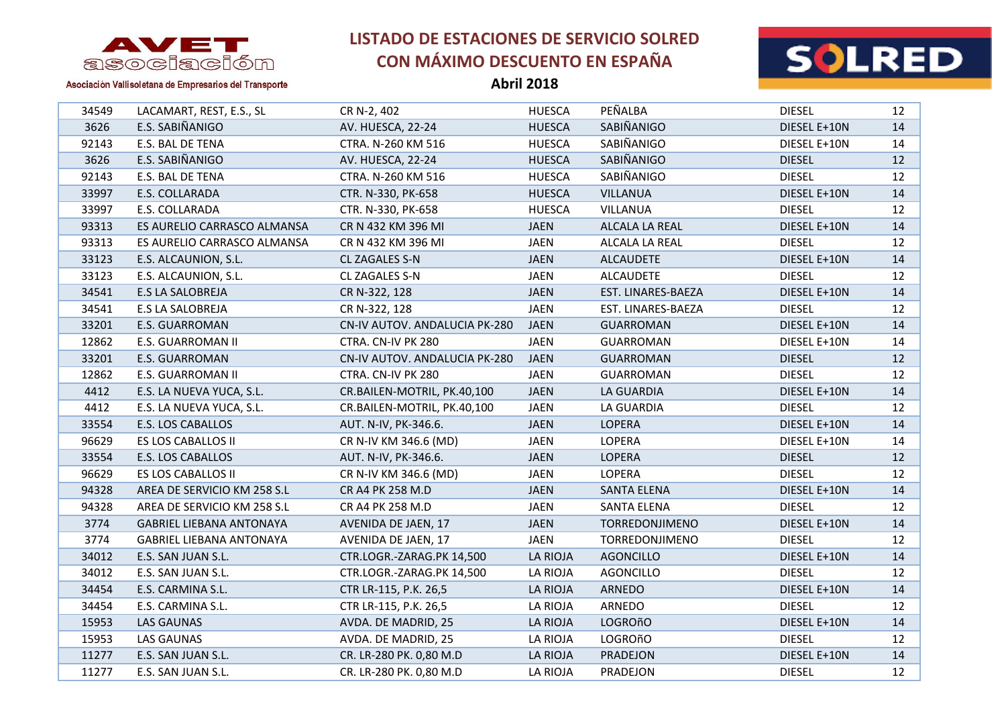

**Abril 2018**



Asociación Vallisoletana de Empresarios del Transporte

| 34549 | LACAMART, REST, E.S., SL        | CR N-2, 402                          | <b>HUESCA</b>   | PEÑALBA               | <b>DIESEL</b> | 12 |
|-------|---------------------------------|--------------------------------------|-----------------|-----------------------|---------------|----|
| 3626  | E.S. SABIÑANIGO                 | AV. HUESCA, 22-24                    | <b>HUESCA</b>   | SABIÑANIGO            | DIESEL E+10N  | 14 |
| 92143 | E.S. BAL DE TENA                | CTRA. N-260 KM 516                   | <b>HUESCA</b>   | SABIÑANIGO            | DIESEL E+10N  | 14 |
| 3626  | E.S. SABIÑANIGO                 | AV. HUESCA, 22-24                    | <b>HUESCA</b>   | SABIÑANIGO            | <b>DIESEL</b> | 12 |
| 92143 | E.S. BAL DE TENA                | CTRA. N-260 KM 516                   | <b>HUESCA</b>   | SABIÑANIGO            | <b>DIESEL</b> | 12 |
| 33997 | E.S. COLLARADA                  | CTR. N-330, PK-658                   | <b>HUESCA</b>   | <b>VILLANUA</b>       | DIESEL E+10N  | 14 |
| 33997 | E.S. COLLARADA                  | CTR. N-330, PK-658                   | <b>HUESCA</b>   | <b>VILLANUA</b>       | <b>DIESEL</b> | 12 |
| 93313 | ES AURELIO CARRASCO ALMANSA     | CR N 432 KM 396 MI                   | <b>JAEN</b>     | ALCALA LA REAL        | DIESEL E+10N  | 14 |
| 93313 | ES AURELIO CARRASCO ALMANSA     | CR N 432 KM 396 MI                   | <b>JAEN</b>     | ALCALA LA REAL        | <b>DIESEL</b> | 12 |
| 33123 | E.S. ALCAUNION, S.L.            | CL ZAGALES S-N                       | <b>JAEN</b>     | <b>ALCAUDETE</b>      | DIESEL E+10N  | 14 |
| 33123 | E.S. ALCAUNION, S.L.            | CL ZAGALES S-N                       | <b>JAEN</b>     | <b>ALCAUDETE</b>      | <b>DIESEL</b> | 12 |
| 34541 | <b>E.S LA SALOBREJA</b>         | CR N-322, 128                        | <b>JAEN</b>     | EST. LINARES-BAEZA    | DIESEL E+10N  | 14 |
| 34541 | E.S LA SALOBREJA                | CR N-322, 128                        | <b>JAEN</b>     | EST. LINARES-BAEZA    | <b>DIESEL</b> | 12 |
| 33201 | <b>E.S. GUARROMAN</b>           | CN-IV AUTOV. ANDALUCIA PK-280        | <b>JAEN</b>     | <b>GUARROMAN</b>      | DIESEL E+10N  | 14 |
| 12862 | E.S. GUARROMAN II               | CTRA. CN-IV PK 280                   | <b>JAEN</b>     | GUARROMAN             | DIESEL E+10N  | 14 |
| 33201 | E.S. GUARROMAN                  | <b>CN-IV AUTOV. ANDALUCIA PK-280</b> | <b>JAEN</b>     | <b>GUARROMAN</b>      | <b>DIESEL</b> | 12 |
| 12862 | E.S. GUARROMAN II               | CTRA. CN-IV PK 280                   | <b>JAEN</b>     | <b>GUARROMAN</b>      | <b>DIESEL</b> | 12 |
| 4412  | E.S. LA NUEVA YUCA, S.L.        | CR.BAILEN-MOTRIL, PK.40,100          | <b>JAEN</b>     | LA GUARDIA            | DIESEL E+10N  | 14 |
| 4412  | E.S. LA NUEVA YUCA, S.L.        | CR.BAILEN-MOTRIL, PK.40,100          | JAEN            | LA GUARDIA            | <b>DIESEL</b> | 12 |
| 33554 | E.S. LOS CABALLOS               | AUT. N-IV, PK-346.6.                 | <b>JAEN</b>     | <b>LOPERA</b>         | DIESEL E+10N  | 14 |
| 96629 | ES LOS CABALLOS II              | CR N-IV KM 346.6 (MD)                | <b>JAEN</b>     | <b>LOPERA</b>         | DIESEL E+10N  | 14 |
| 33554 | E.S. LOS CABALLOS               | AUT. N-IV, PK-346.6.                 | <b>JAEN</b>     | <b>LOPERA</b>         | <b>DIESEL</b> | 12 |
| 96629 | ES LOS CABALLOS II              | CR N-IV KM 346.6 (MD)                | <b>JAEN</b>     | LOPERA                | <b>DIESEL</b> | 12 |
| 94328 | AREA DE SERVICIO KM 258 S.L     | CR A4 PK 258 M.D                     | <b>JAEN</b>     | <b>SANTA ELENA</b>    | DIESEL E+10N  | 14 |
| 94328 | AREA DE SERVICIO KM 258 S.L     | CR A4 PK 258 M.D                     | <b>JAEN</b>     | SANTA ELENA           | <b>DIESEL</b> | 12 |
| 3774  | <b>GABRIEL LIEBANA ANTONAYA</b> | AVENIDA DE JAEN, 17                  | <b>JAEN</b>     | TORREDONJIMENO        | DIESEL E+10N  | 14 |
| 3774  | <b>GABRIEL LIEBANA ANTONAYA</b> | AVENIDA DE JAEN, 17                  | <b>JAEN</b>     | <b>TORREDONJIMENO</b> | <b>DIESEL</b> | 12 |
| 34012 | E.S. SAN JUAN S.L.              | CTR.LOGR.-ZARAG.PK 14,500            | LA RIOJA        | <b>AGONCILLO</b>      | DIESEL E+10N  | 14 |
| 34012 | E.S. SAN JUAN S.L.              | CTR.LOGR.-ZARAG.PK 14,500            | LA RIOJA        | <b>AGONCILLO</b>      | <b>DIESEL</b> | 12 |
| 34454 | E.S. CARMINA S.L.               | CTR LR-115, P.K. 26,5                | LA RIOJA        | ARNEDO                | DIESEL E+10N  | 14 |
| 34454 | E.S. CARMINA S.L.               | CTR LR-115, P.K. 26,5                | <b>LA RIOJA</b> | ARNEDO                | <b>DIESEL</b> | 12 |
| 15953 | <b>LAS GAUNAS</b>               | AVDA. DE MADRID, 25                  | <b>LA RIOJA</b> | <b>LOGROñO</b>        | DIESEL E+10N  | 14 |

 LAS GAUNAS AVDA. DE MADRID, 25 LA RIOJA LOGROñO DIESEL 12 E.S. SAN JUAN S.L. CR. LR-280 PK. 0,80 M.D LA RIOJA PRADEJON DIESEL E+10N 14 E.S. SAN JUAN S.L. CR. LR-280 PK. 0,80 M.D LA RIOJA PRADEJON DIESEL 12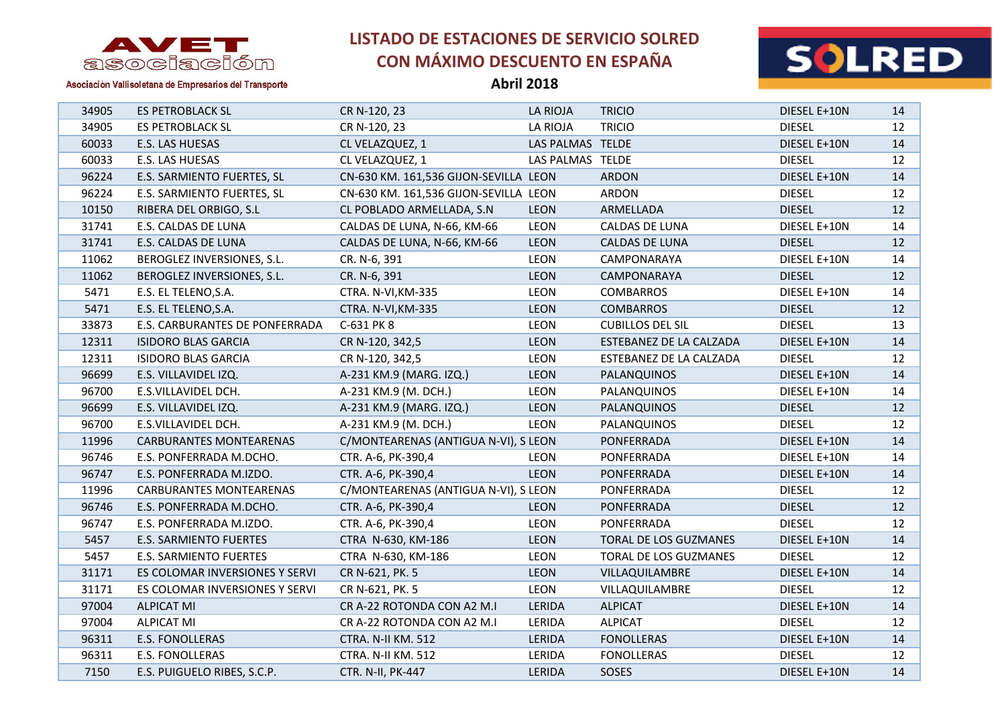

**Abril 2018**



| 34905 | <b>ES PETROBLACK SL</b>        | CR N-120, 23                          | <b>LA RIOJA</b>  | <b>TRICIO</b>           | DIESEL E+10N  | 14 |
|-------|--------------------------------|---------------------------------------|------------------|-------------------------|---------------|----|
| 34905 | <b>ES PETROBLACK SL</b>        | CR N-120, 23                          | LA RIOJA         | <b>TRICIO</b>           | <b>DIESEL</b> | 12 |
| 60033 | E.S. LAS HUESAS                | CL VELAZQUEZ, 1                       | LAS PALMAS TELDE |                         | DIESEL E+10N  | 14 |
| 60033 | E.S. LAS HUESAS                | CL VELAZQUEZ, 1                       | LAS PALMAS TELDE |                         | <b>DIESEL</b> | 12 |
| 96224 | E.S. SARMIENTO FUERTES, SL     | CN-630 KM. 161,536 GIJON-SEVILLA LEON |                  | <b>ARDON</b>            | DIESEL E+10N  | 14 |
| 96224 | E.S. SARMIENTO FUERTES, SL     | CN-630 KM. 161,536 GIJON-SEVILLA LEON |                  | ARDON                   | <b>DIESEL</b> | 12 |
| 10150 | RIBERA DEL ORBIGO, S.L         | CL POBLADO ARMELLADA, S.N             | <b>LEON</b>      | ARMELLADA               | <b>DIESEL</b> | 12 |
| 31741 | E.S. CALDAS DE LUNA            | CALDAS DE LUNA, N-66, KM-66           | <b>LEON</b>      | CALDAS DE LUNA          | DIESEL E+10N  | 14 |
| 31741 | E.S. CALDAS DE LUNA            | CALDAS DE LUNA, N-66, KM-66           | <b>LEON</b>      | <b>CALDAS DE LUNA</b>   | <b>DIESEL</b> | 12 |
| 11062 | BEROGLEZ INVERSIONES, S.L.     | CR. N-6, 391                          | LEON             | CAMPONARAYA             | DIESEL E+10N  | 14 |
| 11062 | BEROGLEZ INVERSIONES, S.L.     | CR. N-6, 391                          | <b>LEON</b>      | CAMPONARAYA             | <b>DIESEL</b> | 12 |
| 5471  | E.S. EL TELENO, S.A.           | CTRA. N-VI, KM-335                    | LEON             | <b>COMBARROS</b>        | DIESEL E+10N  | 14 |
| 5471  | E.S. EL TELENO, S.A.           | CTRA. N-VI, KM-335                    | <b>LEON</b>      | <b>COMBARROS</b>        | <b>DIESEL</b> | 12 |
| 33873 | E.S. CARBURANTES DE PONFERRADA | C-631 PK 8                            | <b>LEON</b>      | <b>CUBILLOS DEL SIL</b> | <b>DIESEL</b> | 13 |
| 12311 | <b>ISIDORO BLAS GARCIA</b>     | CR N-120, 342,5                       | <b>LEON</b>      | ESTEBANEZ DE LA CALZADA | DIESEL E+10N  | 14 |
| 12311 | <b>ISIDORO BLAS GARCIA</b>     | CR N-120, 342,5                       | <b>LEON</b>      | ESTEBANEZ DE LA CALZADA | <b>DIESEL</b> | 12 |
| 96699 | E.S. VILLAVIDEL IZQ.           | A-231 KM.9 (MARG. IZQ.)               | <b>LEON</b>      | PALANQUINOS             | DIESEL E+10N  | 14 |
| 96700 | E.S.VILLAVIDEL DCH.            | A-231 KM.9 (M. DCH.)                  | <b>LEON</b>      | PALANQUINOS             | DIESEL E+10N  | 14 |
| 96699 | E.S. VILLAVIDEL IZQ.           | A-231 KM.9 (MARG. IZQ.)               | LEON             | PALANQUINOS             | <b>DIESEL</b> | 12 |
| 96700 | E.S.VILLAVIDEL DCH.            | A-231 KM.9 (M. DCH.)                  | <b>LEON</b>      | PALANQUINOS             | <b>DIESEL</b> | 12 |
| 11996 | <b>CARBURANTES MONTEARENAS</b> | C/MONTEARENAS (ANTIGUA N-VI), S LEON  |                  | PONFERRADA              | DIESEL E+10N  | 14 |
| 96746 | E.S. PONFERRADA M.DCHO.        | CTR. A-6, PK-390,4                    | LEON             | PONFERRADA              | DIESEL E+10N  | 14 |
| 96747 | E.S. PONFERRADA M.IZDO.        | CTR. A-6, PK-390,4                    | <b>LEON</b>      | PONFERRADA              | DIESEL E+10N  | 14 |
| 11996 | <b>CARBURANTES MONTEARENAS</b> | C/MONTEARENAS (ANTIGUA N-VI), S LEON  |                  | PONFERRADA              | <b>DIESEL</b> | 12 |
| 96746 | E.S. PONFERRADA M.DCHO.        | CTR. A-6, PK-390,4                    | <b>LEON</b>      | PONFERRADA              | <b>DIESEL</b> | 12 |
| 96747 | E.S. PONFERRADA M.IZDO.        | CTR. A-6, PK-390,4                    | LEON             | PONFERRADA              | <b>DIESEL</b> | 12 |
| 5457  | E.S. SARMIENTO FUERTES         | CTRA N-630, KM-186                    | <b>LEON</b>      | TORAL DE LOS GUZMANES   | DIESEL E+10N  | 14 |
| 5457  | E.S. SARMIENTO FUERTES         | CTRA N-630, KM-186                    | LEON             | TORAL DE LOS GUZMANES   | <b>DIESEL</b> | 12 |
| 31171 | ES COLOMAR INVERSIONES Y SERVI | CR N-621, PK. 5                       | <b>LEON</b>      | VILLAQUILAMBRE          | DIESEL E+10N  | 14 |
| 31171 | ES COLOMAR INVERSIONES Y SERVI | CR N-621, PK. 5                       | LEON             | VILLAQUILAMBRE          | <b>DIESEL</b> | 12 |
| 97004 | <b>ALPICAT MI</b>              | CR A-22 ROTONDA CON A2 M.I            | LERIDA           | <b>ALPICAT</b>          | DIESEL E+10N  | 14 |
| 97004 | <b>ALPICAT MI</b>              | CR A-22 ROTONDA CON A2 M.I            | LERIDA           | <b>ALPICAT</b>          | <b>DIESEL</b> | 12 |
| 96311 | E.S. FONOLLERAS                | CTRA. N-II KM. 512                    | LERIDA           | <b>FONOLLERAS</b>       | DIESEL E+10N  | 14 |
| 96311 | <b>E.S. FONOLLERAS</b>         | CTRA. N-II KM. 512                    | LERIDA           | <b>FONOLLERAS</b>       | <b>DIESEL</b> | 12 |
| 7150  | E.S. PUIGUELO RIBES, S.C.P.    | CTR. N-II, PK-447                     | LERIDA           | SOSES                   | DIESEL E+10N  | 14 |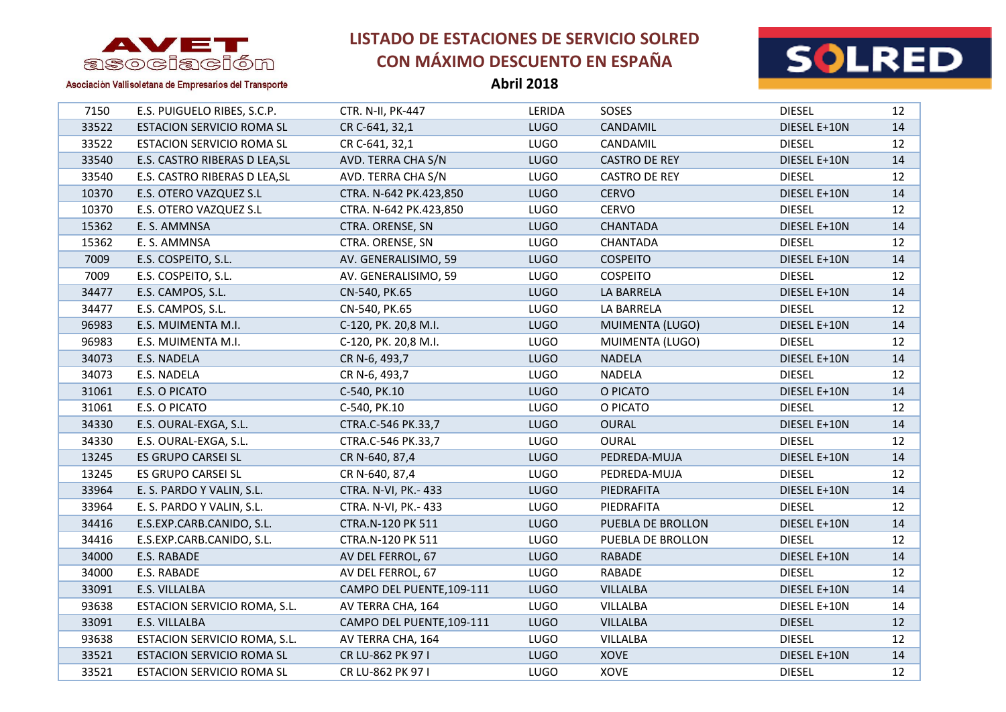

**Abril 2018**



Asociación Vallisoletana de Empresarios del Transporte

| 33522<br><b>LUGO</b><br><b>ESTACION SERVICIO ROMA SL</b><br>CANDAMIL<br>DIESEL E+10N<br>CR C-641, 32,1<br>33522<br><b>LUGO</b><br><b>ESTACION SERVICIO ROMA SL</b><br>CR C-641, 32,1<br>CANDAMIL<br><b>DIESEL</b><br>33540<br>E.S. CASTRO RIBERAS D LEA, SL<br>AVD. TERRA CHA S/N<br><b>LUGO</b><br><b>CASTRO DE REY</b><br>DIESEL E+10N<br>33540<br>E.S. CASTRO RIBERAS D LEA, SL<br>AVD. TERRA CHA S/N<br><b>LUGO</b><br>CASTRO DE REY<br><b>DIESEL</b><br>10370<br>E.S. OTERO VAZQUEZ S.L<br>CTRA. N-642 PK.423,850<br><b>LUGO</b><br><b>CERVO</b><br>DIESEL E+10N<br>10370<br>E.S. OTERO VAZQUEZ S.L<br>CTRA. N-642 PK.423,850<br><b>LUGO</b><br><b>CERVO</b><br><b>DIESEL</b><br>15362<br><b>LUGO</b><br>DIESEL E+10N<br>E. S. AMMNSA<br>CTRA. ORENSE, SN<br><b>CHANTADA</b><br>15362<br>E. S. AMMNSA<br>CTRA. ORENSE, SN<br><b>LUGO</b><br><b>CHANTADA</b><br><b>DIESEL</b><br>E.S. COSPEITO, S.L.<br>AV. GENERALISIMO, 59<br><b>LUGO</b><br><b>COSPEITO</b><br>7009<br>DIESEL E+10N<br>7009<br>E.S. COSPEITO, S.L.<br>AV. GENERALISIMO, 59<br>LUGO<br><b>COSPEITO</b><br><b>DIESEL</b><br>34477<br>E.S. CAMPOS, S.L.<br><b>LUGO</b><br>DIESEL E+10N<br>CN-540, PK.65<br>LA BARRELA<br>34477<br>E.S. CAMPOS, S.L.<br><b>LUGO</b><br><b>DIESEL</b><br>CN-540, PK.65<br>LA BARRELA<br>96983<br>E.S. MUIMENTA M.I.<br>C-120, PK. 20,8 M.I.<br><b>LUGO</b><br>MUIMENTA (LUGO)<br>DIESEL E+10N<br>96983<br>E.S. MUIMENTA M.I.<br>C-120, PK. 20,8 M.I.<br><b>LUGO</b><br>MUIMENTA (LUGO)<br><b>DIESEL</b><br><b>NADELA</b><br>34073<br>CR N-6, 493,7<br><b>LUGO</b><br>DIESEL E+10N<br>E.S. NADELA<br>34073<br><b>LUGO</b><br>E.S. NADELA<br>CR N-6, 493,7<br>NADELA<br><b>DIESEL</b><br>31061<br>E.S. O PICATO<br>C-540, PK.10<br><b>LUGO</b><br>O PICATO<br>DIESEL E+10N<br>31061<br>E.S. O PICATO<br>C-540, PK.10<br><b>LUGO</b><br>O PICATO<br><b>DIESEL</b><br>34330<br>E.S. OURAL-EXGA, S.L.<br>CTRA.C-546 PK.33,7<br><b>LUGO</b><br><b>OURAL</b><br>DIESEL E+10N<br>34330<br>E.S. OURAL-EXGA, S.L.<br>CTRA.C-546 PK.33,7<br><b>LUGO</b><br><b>OURAL</b><br><b>DIESEL</b><br>13245<br>ES GRUPO CARSEI SL<br>CR N-640, 87,4<br><b>LUGO</b><br>PEDREDA-MUJA<br>DIESEL E+10N<br>13245<br>ES GRUPO CARSEI SL<br>CR N-640, 87,4<br>LUGO<br>PEDREDA-MUJA<br><b>DIESEL</b><br>33964<br>E. S. PARDO Y VALIN, S.L.<br>CTRA. N-VI, PK.- 433<br><b>LUGO</b><br>PIEDRAFITA<br>DIESEL E+10N<br>33964<br>E. S. PARDO Y VALIN, S.L.<br>CTRA. N-VI, PK.- 433<br>LUGO<br>PIEDRAFITA<br><b>DIESEL</b><br>E.S.EXP.CARB.CANIDO, S.L.<br>34416<br>CTRA.N-120 PK 511<br>PUEBLA DE BROLLON<br>DIESEL E+10N<br><b>LUGO</b><br>34416<br>E.S.EXP.CARB.CANIDO, S.L.<br>CTRA.N-120 PK 511<br><b>LUGO</b><br>PUEBLA DE BROLLON<br><b>DIESEL</b> | 7150 | E.S. PUIGUELO RIBES, S.C.P. | CTR. N-II, PK-447 | LERIDA | SOSES | <b>DIESEL</b> | 12 |
|--------------------------------------------------------------------------------------------------------------------------------------------------------------------------------------------------------------------------------------------------------------------------------------------------------------------------------------------------------------------------------------------------------------------------------------------------------------------------------------------------------------------------------------------------------------------------------------------------------------------------------------------------------------------------------------------------------------------------------------------------------------------------------------------------------------------------------------------------------------------------------------------------------------------------------------------------------------------------------------------------------------------------------------------------------------------------------------------------------------------------------------------------------------------------------------------------------------------------------------------------------------------------------------------------------------------------------------------------------------------------------------------------------------------------------------------------------------------------------------------------------------------------------------------------------------------------------------------------------------------------------------------------------------------------------------------------------------------------------------------------------------------------------------------------------------------------------------------------------------------------------------------------------------------------------------------------------------------------------------------------------------------------------------------------------------------------------------------------------------------------------------------------------------------------------------------------------------------------------------------------------------------------------------------------------------------------------------------------------------------------------------------------------------------------------------------------------------------------------------------------------------------------------------------------------------------------------------------------------------------------------------------------------------------------------------------------------------------------|------|-----------------------------|-------------------|--------|-------|---------------|----|
|                                                                                                                                                                                                                                                                                                                                                                                                                                                                                                                                                                                                                                                                                                                                                                                                                                                                                                                                                                                                                                                                                                                                                                                                                                                                                                                                                                                                                                                                                                                                                                                                                                                                                                                                                                                                                                                                                                                                                                                                                                                                                                                                                                                                                                                                                                                                                                                                                                                                                                                                                                                                                                                                                                                          |      |                             |                   |        |       |               | 14 |
|                                                                                                                                                                                                                                                                                                                                                                                                                                                                                                                                                                                                                                                                                                                                                                                                                                                                                                                                                                                                                                                                                                                                                                                                                                                                                                                                                                                                                                                                                                                                                                                                                                                                                                                                                                                                                                                                                                                                                                                                                                                                                                                                                                                                                                                                                                                                                                                                                                                                                                                                                                                                                                                                                                                          |      |                             |                   |        |       |               | 12 |
|                                                                                                                                                                                                                                                                                                                                                                                                                                                                                                                                                                                                                                                                                                                                                                                                                                                                                                                                                                                                                                                                                                                                                                                                                                                                                                                                                                                                                                                                                                                                                                                                                                                                                                                                                                                                                                                                                                                                                                                                                                                                                                                                                                                                                                                                                                                                                                                                                                                                                                                                                                                                                                                                                                                          |      |                             |                   |        |       |               | 14 |
|                                                                                                                                                                                                                                                                                                                                                                                                                                                                                                                                                                                                                                                                                                                                                                                                                                                                                                                                                                                                                                                                                                                                                                                                                                                                                                                                                                                                                                                                                                                                                                                                                                                                                                                                                                                                                                                                                                                                                                                                                                                                                                                                                                                                                                                                                                                                                                                                                                                                                                                                                                                                                                                                                                                          |      |                             |                   |        |       |               | 12 |
|                                                                                                                                                                                                                                                                                                                                                                                                                                                                                                                                                                                                                                                                                                                                                                                                                                                                                                                                                                                                                                                                                                                                                                                                                                                                                                                                                                                                                                                                                                                                                                                                                                                                                                                                                                                                                                                                                                                                                                                                                                                                                                                                                                                                                                                                                                                                                                                                                                                                                                                                                                                                                                                                                                                          |      |                             |                   |        |       |               | 14 |
|                                                                                                                                                                                                                                                                                                                                                                                                                                                                                                                                                                                                                                                                                                                                                                                                                                                                                                                                                                                                                                                                                                                                                                                                                                                                                                                                                                                                                                                                                                                                                                                                                                                                                                                                                                                                                                                                                                                                                                                                                                                                                                                                                                                                                                                                                                                                                                                                                                                                                                                                                                                                                                                                                                                          |      |                             |                   |        |       |               | 12 |
|                                                                                                                                                                                                                                                                                                                                                                                                                                                                                                                                                                                                                                                                                                                                                                                                                                                                                                                                                                                                                                                                                                                                                                                                                                                                                                                                                                                                                                                                                                                                                                                                                                                                                                                                                                                                                                                                                                                                                                                                                                                                                                                                                                                                                                                                                                                                                                                                                                                                                                                                                                                                                                                                                                                          |      |                             |                   |        |       |               | 14 |
|                                                                                                                                                                                                                                                                                                                                                                                                                                                                                                                                                                                                                                                                                                                                                                                                                                                                                                                                                                                                                                                                                                                                                                                                                                                                                                                                                                                                                                                                                                                                                                                                                                                                                                                                                                                                                                                                                                                                                                                                                                                                                                                                                                                                                                                                                                                                                                                                                                                                                                                                                                                                                                                                                                                          |      |                             |                   |        |       |               | 12 |
|                                                                                                                                                                                                                                                                                                                                                                                                                                                                                                                                                                                                                                                                                                                                                                                                                                                                                                                                                                                                                                                                                                                                                                                                                                                                                                                                                                                                                                                                                                                                                                                                                                                                                                                                                                                                                                                                                                                                                                                                                                                                                                                                                                                                                                                                                                                                                                                                                                                                                                                                                                                                                                                                                                                          |      |                             |                   |        |       |               | 14 |
|                                                                                                                                                                                                                                                                                                                                                                                                                                                                                                                                                                                                                                                                                                                                                                                                                                                                                                                                                                                                                                                                                                                                                                                                                                                                                                                                                                                                                                                                                                                                                                                                                                                                                                                                                                                                                                                                                                                                                                                                                                                                                                                                                                                                                                                                                                                                                                                                                                                                                                                                                                                                                                                                                                                          |      |                             |                   |        |       |               | 12 |
|                                                                                                                                                                                                                                                                                                                                                                                                                                                                                                                                                                                                                                                                                                                                                                                                                                                                                                                                                                                                                                                                                                                                                                                                                                                                                                                                                                                                                                                                                                                                                                                                                                                                                                                                                                                                                                                                                                                                                                                                                                                                                                                                                                                                                                                                                                                                                                                                                                                                                                                                                                                                                                                                                                                          |      |                             |                   |        |       |               | 14 |
|                                                                                                                                                                                                                                                                                                                                                                                                                                                                                                                                                                                                                                                                                                                                                                                                                                                                                                                                                                                                                                                                                                                                                                                                                                                                                                                                                                                                                                                                                                                                                                                                                                                                                                                                                                                                                                                                                                                                                                                                                                                                                                                                                                                                                                                                                                                                                                                                                                                                                                                                                                                                                                                                                                                          |      |                             |                   |        |       |               | 12 |
|                                                                                                                                                                                                                                                                                                                                                                                                                                                                                                                                                                                                                                                                                                                                                                                                                                                                                                                                                                                                                                                                                                                                                                                                                                                                                                                                                                                                                                                                                                                                                                                                                                                                                                                                                                                                                                                                                                                                                                                                                                                                                                                                                                                                                                                                                                                                                                                                                                                                                                                                                                                                                                                                                                                          |      |                             |                   |        |       |               | 14 |
|                                                                                                                                                                                                                                                                                                                                                                                                                                                                                                                                                                                                                                                                                                                                                                                                                                                                                                                                                                                                                                                                                                                                                                                                                                                                                                                                                                                                                                                                                                                                                                                                                                                                                                                                                                                                                                                                                                                                                                                                                                                                                                                                                                                                                                                                                                                                                                                                                                                                                                                                                                                                                                                                                                                          |      |                             |                   |        |       |               | 12 |
|                                                                                                                                                                                                                                                                                                                                                                                                                                                                                                                                                                                                                                                                                                                                                                                                                                                                                                                                                                                                                                                                                                                                                                                                                                                                                                                                                                                                                                                                                                                                                                                                                                                                                                                                                                                                                                                                                                                                                                                                                                                                                                                                                                                                                                                                                                                                                                                                                                                                                                                                                                                                                                                                                                                          |      |                             |                   |        |       |               | 14 |
|                                                                                                                                                                                                                                                                                                                                                                                                                                                                                                                                                                                                                                                                                                                                                                                                                                                                                                                                                                                                                                                                                                                                                                                                                                                                                                                                                                                                                                                                                                                                                                                                                                                                                                                                                                                                                                                                                                                                                                                                                                                                                                                                                                                                                                                                                                                                                                                                                                                                                                                                                                                                                                                                                                                          |      |                             |                   |        |       |               | 12 |
|                                                                                                                                                                                                                                                                                                                                                                                                                                                                                                                                                                                                                                                                                                                                                                                                                                                                                                                                                                                                                                                                                                                                                                                                                                                                                                                                                                                                                                                                                                                                                                                                                                                                                                                                                                                                                                                                                                                                                                                                                                                                                                                                                                                                                                                                                                                                                                                                                                                                                                                                                                                                                                                                                                                          |      |                             |                   |        |       |               | 14 |
|                                                                                                                                                                                                                                                                                                                                                                                                                                                                                                                                                                                                                                                                                                                                                                                                                                                                                                                                                                                                                                                                                                                                                                                                                                                                                                                                                                                                                                                                                                                                                                                                                                                                                                                                                                                                                                                                                                                                                                                                                                                                                                                                                                                                                                                                                                                                                                                                                                                                                                                                                                                                                                                                                                                          |      |                             |                   |        |       |               | 12 |
|                                                                                                                                                                                                                                                                                                                                                                                                                                                                                                                                                                                                                                                                                                                                                                                                                                                                                                                                                                                                                                                                                                                                                                                                                                                                                                                                                                                                                                                                                                                                                                                                                                                                                                                                                                                                                                                                                                                                                                                                                                                                                                                                                                                                                                                                                                                                                                                                                                                                                                                                                                                                                                                                                                                          |      |                             |                   |        |       |               | 14 |
|                                                                                                                                                                                                                                                                                                                                                                                                                                                                                                                                                                                                                                                                                                                                                                                                                                                                                                                                                                                                                                                                                                                                                                                                                                                                                                                                                                                                                                                                                                                                                                                                                                                                                                                                                                                                                                                                                                                                                                                                                                                                                                                                                                                                                                                                                                                                                                                                                                                                                                                                                                                                                                                                                                                          |      |                             |                   |        |       |               | 12 |
|                                                                                                                                                                                                                                                                                                                                                                                                                                                                                                                                                                                                                                                                                                                                                                                                                                                                                                                                                                                                                                                                                                                                                                                                                                                                                                                                                                                                                                                                                                                                                                                                                                                                                                                                                                                                                                                                                                                                                                                                                                                                                                                                                                                                                                                                                                                                                                                                                                                                                                                                                                                                                                                                                                                          |      |                             |                   |        |       |               | 14 |
|                                                                                                                                                                                                                                                                                                                                                                                                                                                                                                                                                                                                                                                                                                                                                                                                                                                                                                                                                                                                                                                                                                                                                                                                                                                                                                                                                                                                                                                                                                                                                                                                                                                                                                                                                                                                                                                                                                                                                                                                                                                                                                                                                                                                                                                                                                                                                                                                                                                                                                                                                                                                                                                                                                                          |      |                             |                   |        |       |               | 12 |
|                                                                                                                                                                                                                                                                                                                                                                                                                                                                                                                                                                                                                                                                                                                                                                                                                                                                                                                                                                                                                                                                                                                                                                                                                                                                                                                                                                                                                                                                                                                                                                                                                                                                                                                                                                                                                                                                                                                                                                                                                                                                                                                                                                                                                                                                                                                                                                                                                                                                                                                                                                                                                                                                                                                          |      |                             |                   |        |       |               | 14 |
|                                                                                                                                                                                                                                                                                                                                                                                                                                                                                                                                                                                                                                                                                                                                                                                                                                                                                                                                                                                                                                                                                                                                                                                                                                                                                                                                                                                                                                                                                                                                                                                                                                                                                                                                                                                                                                                                                                                                                                                                                                                                                                                                                                                                                                                                                                                                                                                                                                                                                                                                                                                                                                                                                                                          |      |                             |                   |        |       |               | 12 |
|                                                                                                                                                                                                                                                                                                                                                                                                                                                                                                                                                                                                                                                                                                                                                                                                                                                                                                                                                                                                                                                                                                                                                                                                                                                                                                                                                                                                                                                                                                                                                                                                                                                                                                                                                                                                                                                                                                                                                                                                                                                                                                                                                                                                                                                                                                                                                                                                                                                                                                                                                                                                                                                                                                                          |      |                             |                   |        |       |               | 14 |
|                                                                                                                                                                                                                                                                                                                                                                                                                                                                                                                                                                                                                                                                                                                                                                                                                                                                                                                                                                                                                                                                                                                                                                                                                                                                                                                                                                                                                                                                                                                                                                                                                                                                                                                                                                                                                                                                                                                                                                                                                                                                                                                                                                                                                                                                                                                                                                                                                                                                                                                                                                                                                                                                                                                          |      |                             |                   |        |       |               | 12 |

 E.S. RABADE AV DEL FERROL, 67 LUGO RABADE DIESEL E+10N 14 E.S. RABADE AV DEL FERROL, 67 LUGO RABADE DIESEL 12 33091 E.S. VILLALBA CAMPO DEL PUENTE,109-111 LUGO VILLALBA DIESEL E+10N 14 93638 ESTACION SERVICIO ROMA, S.L. AV TERRA CHA, 164 LUGO VILLALBA DIESEL E+10N 14 E.S. VILLALBA CAMPO DEL PUENTE,109-111 LUGO VILLALBA DIESEL 12 93638 ESTACION SERVICIO ROMA, S.L. AV TERRA CHA, 164 LUGO VILLALBA DIESEL DIESEL 12 33521 ESTACION SERVICIO ROMA SL CR LU-862 PK 97 I LUGO XOVE NOVE DIESEL E+10N 14 33521 ESTACION SERVICIO ROMA SL CR LU-862 PK 97 I LUGO XOVE NOTE DIESEL DIESEL 12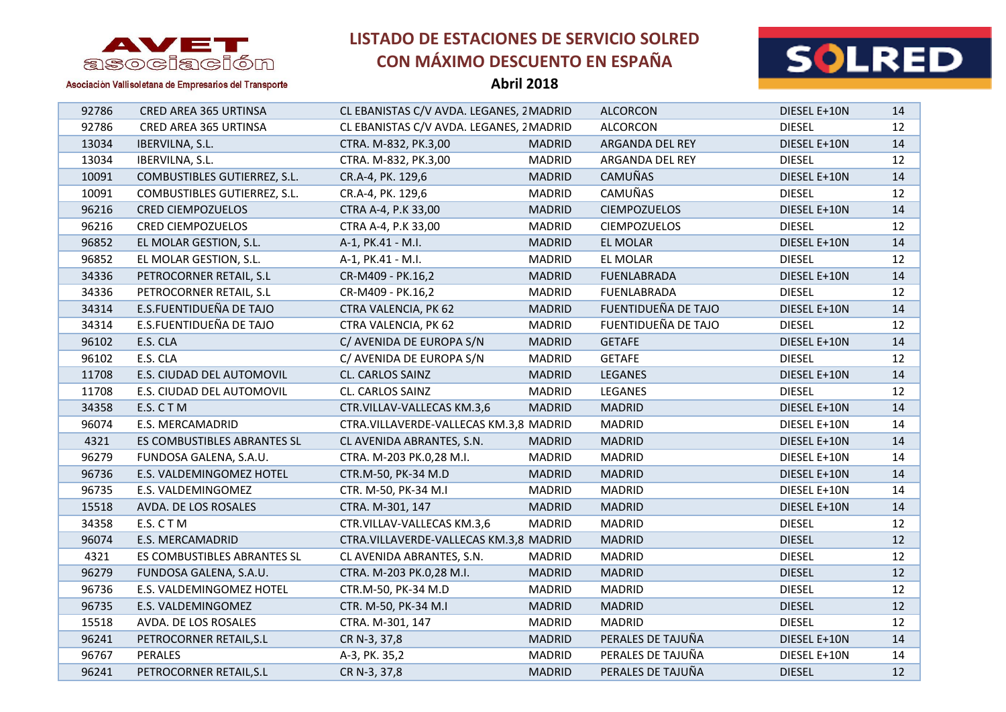

**Abril 2018**



| 92786 | CRED AREA 365 URTINSA        | CL EBANISTAS C/V AVDA. LEGANES, 2 MADRID |               | <b>ALCORCON</b>     | DIESEL E+10N  | 14 |
|-------|------------------------------|------------------------------------------|---------------|---------------------|---------------|----|
| 92786 | CRED AREA 365 URTINSA        | CL EBANISTAS C/V AVDA. LEGANES, 2 MADRID |               | <b>ALCORCON</b>     | <b>DIESEL</b> | 12 |
| 13034 | IBERVILNA, S.L.              | CTRA. M-832, PK.3,00                     | <b>MADRID</b> | ARGANDA DEL REY     | DIESEL E+10N  | 14 |
| 13034 | IBERVILNA, S.L.              | CTRA. M-832, PK.3,00                     | <b>MADRID</b> | ARGANDA DEL REY     | <b>DIESEL</b> | 12 |
| 10091 | COMBUSTIBLES GUTIERREZ, S.L. | CR.A-4, PK. 129,6                        | <b>MADRID</b> | <b>CAMUÑAS</b>      | DIESEL E+10N  | 14 |
| 10091 | COMBUSTIBLES GUTIERREZ, S.L. | CR.A-4, PK. 129,6                        | <b>MADRID</b> | CAMUÑAS             | <b>DIESEL</b> | 12 |
| 96216 | <b>CRED CIEMPOZUELOS</b>     | CTRA A-4, P.K 33,00                      | <b>MADRID</b> | <b>CIEMPOZUELOS</b> | DIESEL E+10N  | 14 |
| 96216 | <b>CRED CIEMPOZUELOS</b>     | CTRA A-4, P.K 33,00                      | <b>MADRID</b> | <b>CIEMPOZUELOS</b> | <b>DIESEL</b> | 12 |
| 96852 | EL MOLAR GESTION, S.L.       | A-1, PK.41 - M.I.                        | <b>MADRID</b> | <b>EL MOLAR</b>     | DIESEL E+10N  | 14 |
| 96852 | EL MOLAR GESTION, S.L.       | A-1, PK.41 - M.I.                        | <b>MADRID</b> | EL MOLAR            | <b>DIESEL</b> | 12 |
| 34336 | PETROCORNER RETAIL, S.L      | CR-M409 - PK.16,2                        | <b>MADRID</b> | <b>FUENLABRADA</b>  | DIESEL E+10N  | 14 |
| 34336 | PETROCORNER RETAIL, S.L      | CR-M409 - PK.16,2                        | <b>MADRID</b> | <b>FUENLABRADA</b>  | <b>DIESEL</b> | 12 |
| 34314 | E.S.FUENTIDUEÑA DE TAJO      | CTRA VALENCIA, PK 62                     | <b>MADRID</b> | FUENTIDUEÑA DE TAJO | DIESEL E+10N  | 14 |
| 34314 | E.S.FUENTIDUEÑA DE TAJO      | CTRA VALENCIA, PK 62                     | <b>MADRID</b> | FUENTIDUEÑA DE TAJO | <b>DIESEL</b> | 12 |
| 96102 | E.S. CLA                     | C/ AVENIDA DE EUROPA S/N                 | <b>MADRID</b> | <b>GETAFE</b>       | DIESEL E+10N  | 14 |
| 96102 | E.S. CLA                     | C/ AVENIDA DE EUROPA S/N                 | <b>MADRID</b> | <b>GETAFE</b>       | <b>DIESEL</b> | 12 |
| 11708 | E.S. CIUDAD DEL AUTOMOVIL    | CL. CARLOS SAINZ                         | <b>MADRID</b> | LEGANES             | DIESEL E+10N  | 14 |
| 11708 | E.S. CIUDAD DEL AUTOMOVIL    | CL. CARLOS SAINZ                         | <b>MADRID</b> | LEGANES             | <b>DIESEL</b> | 12 |
| 34358 | E.S. CTM                     | CTR.VILLAV-VALLECAS KM.3,6               | <b>MADRID</b> | <b>MADRID</b>       | DIESEL E+10N  | 14 |
| 96074 | E.S. MERCAMADRID             | CTRA.VILLAVERDE-VALLECAS KM.3,8 MADRID   |               | <b>MADRID</b>       | DIESEL E+10N  | 14 |
| 4321  | ES COMBUSTIBLES ABRANTES SL  | CL AVENIDA ABRANTES, S.N.                | <b>MADRID</b> | <b>MADRID</b>       | DIESEL E+10N  | 14 |
| 96279 | FUNDOSA GALENA, S.A.U.       | CTRA. M-203 PK.0,28 M.I.                 | <b>MADRID</b> | <b>MADRID</b>       | DIESEL E+10N  | 14 |
| 96736 | E.S. VALDEMINGOMEZ HOTEL     | CTR.M-50, PK-34 M.D                      | <b>MADRID</b> | <b>MADRID</b>       | DIESEL E+10N  | 14 |
| 96735 | E.S. VALDEMINGOMEZ           | CTR. M-50, PK-34 M.I                     | <b>MADRID</b> | <b>MADRID</b>       | DIESEL E+10N  | 14 |
| 15518 | AVDA. DE LOS ROSALES         | CTRA. M-301, 147                         | <b>MADRID</b> | <b>MADRID</b>       | DIESEL E+10N  | 14 |
| 34358 | E.S. CTM                     | CTR.VILLAV-VALLECAS KM.3,6               | <b>MADRID</b> | <b>MADRID</b>       | <b>DIESEL</b> | 12 |
| 96074 | E.S. MERCAMADRID             | CTRA.VILLAVERDE-VALLECAS KM.3,8 MADRID   |               | <b>MADRID</b>       | <b>DIESEL</b> | 12 |
| 4321  | ES COMBUSTIBLES ABRANTES SL  | CL AVENIDA ABRANTES, S.N.                | <b>MADRID</b> | <b>MADRID</b>       | <b>DIESEL</b> | 12 |
| 96279 | FUNDOSA GALENA, S.A.U.       | CTRA. M-203 PK.0,28 M.I.                 | <b>MADRID</b> | <b>MADRID</b>       | <b>DIESEL</b> | 12 |
| 96736 | E.S. VALDEMINGOMEZ HOTEL     | CTR.M-50, PK-34 M.D                      | <b>MADRID</b> | <b>MADRID</b>       | <b>DIESEL</b> | 12 |
| 96735 | E.S. VALDEMINGOMEZ           | CTR. M-50, PK-34 M.I                     | <b>MADRID</b> | <b>MADRID</b>       | <b>DIESEL</b> | 12 |
| 15518 | AVDA. DE LOS ROSALES         | CTRA. M-301, 147                         | <b>MADRID</b> | <b>MADRID</b>       | <b>DIESEL</b> | 12 |
| 96241 | PETROCORNER RETAIL, S.L      | CR N-3, 37,8                             | <b>MADRID</b> | PERALES DE TAJUÑA   | DIESEL E+10N  | 14 |
| 96767 | PERALES                      | A-3, PK. 35,2                            | <b>MADRID</b> | PERALES DE TAJUÑA   | DIESEL E+10N  | 14 |
| 96241 | PETROCORNER RETAIL, S.L      | CR N-3, 37,8                             | <b>MADRID</b> | PERALES DE TAJUÑA   | <b>DIESEL</b> | 12 |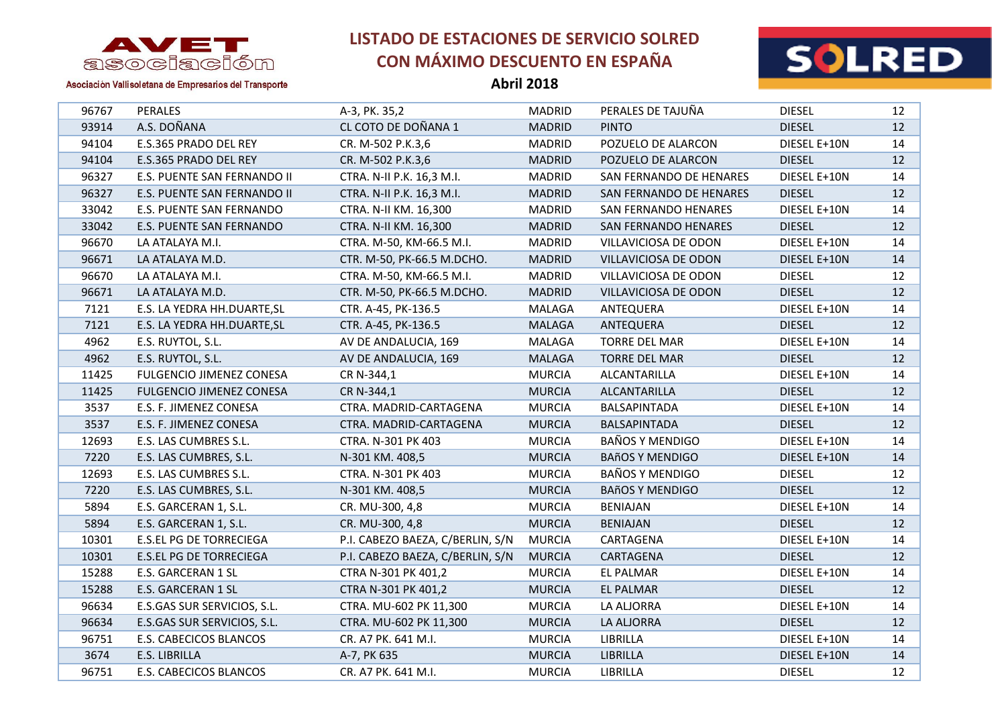



Asociación Vallisoletana de Empresarios del Transporte

| 96767 | <b>PERALES</b>                 | A-3, PK. 35,2                    | <b>MADRID</b> | PERALES DE TAJUÑA       | <b>DIESEL</b> | 12              |
|-------|--------------------------------|----------------------------------|---------------|-------------------------|---------------|-----------------|
| 93914 | A.S. DOÑANA                    | CL COTO DE DOÑANA 1              | <b>MADRID</b> | <b>PINTO</b>            | <b>DIESEL</b> | 12              |
| 94104 | E.S.365 PRADO DEL REY          | CR. M-502 P.K.3,6                | <b>MADRID</b> | POZUELO DE ALARCON      | DIESEL E+10N  | 14              |
| 94104 | E.S.365 PRADO DEL REY          | CR. M-502 P.K.3,6                | <b>MADRID</b> | POZUELO DE ALARCON      | <b>DIESEL</b> | 12              |
| 96327 | E.S. PUENTE SAN FERNANDO II    | CTRA. N-II P.K. 16,3 M.I.        | <b>MADRID</b> | SAN FERNANDO DE HENARES | DIESEL E+10N  | 14              |
| 96327 | E.S. PUENTE SAN FERNANDO II    | CTRA. N-II P.K. 16,3 M.I.        | <b>MADRID</b> | SAN FERNANDO DE HENARES | <b>DIESEL</b> | 12              |
| 33042 | E.S. PUENTE SAN FERNANDO       | CTRA. N-II KM. 16,300            | <b>MADRID</b> | SAN FERNANDO HENARES    | DIESEL E+10N  | 14              |
| 33042 | E.S. PUENTE SAN FERNANDO       | CTRA. N-II KM. 16,300            | <b>MADRID</b> | SAN FERNANDO HENARES    | <b>DIESEL</b> | 12              |
| 96670 | LA ATALAYA M.I.                | CTRA. M-50, KM-66.5 M.I.         | <b>MADRID</b> | VILLAVICIOSA DE ODON    | DIESEL E+10N  | 14              |
| 96671 | LA ATALAYA M.D.                | CTR. M-50, PK-66.5 M.DCHO.       | <b>MADRID</b> | VILLAVICIOSA DE ODON    | DIESEL E+10N  | 14              |
| 96670 | LA ATALAYA M.I.                | CTRA. M-50, KM-66.5 M.I.         | <b>MADRID</b> | VILLAVICIOSA DE ODON    | <b>DIESEL</b> | 12              |
| 96671 | LA ATALAYA M.D.                | CTR. M-50, PK-66.5 M.DCHO.       | <b>MADRID</b> | VILLAVICIOSA DE ODON    | <b>DIESEL</b> | 12 <sup>2</sup> |
| 7121  | E.S. LA YEDRA HH.DUARTE, SL    | CTR. A-45, PK-136.5              | MALAGA        | ANTEQUERA               | DIESEL E+10N  | 14              |
| 7121  | E.S. LA YEDRA HH.DUARTE, SL    | CTR. A-45, PK-136.5              | <b>MALAGA</b> | ANTEQUERA               | <b>DIESEL</b> | 12              |
| 4962  | E.S. RUYTOL, S.L.              | AV DE ANDALUCIA, 169             | MALAGA        | <b>TORRE DEL MAR</b>    | DIESEL E+10N  | 14              |
| 4962  | E.S. RUYTOL, S.L.              | AV DE ANDALUCIA, 169             | <b>MALAGA</b> | <b>TORRE DEL MAR</b>    | <b>DIESEL</b> | 12 <sup>2</sup> |
| 11425 | FULGENCIO JIMENEZ CONESA       | CR N-344,1                       | <b>MURCIA</b> | ALCANTARILLA            | DIESEL E+10N  | 14              |
| 11425 | FULGENCIO JIMENEZ CONESA       | CR N-344,1                       | <b>MURCIA</b> | ALCANTARILLA            | <b>DIESEL</b> | 12 <sup>2</sup> |
| 3537  | E.S. F. JIMENEZ CONESA         | CTRA. MADRID-CARTAGENA           | <b>MURCIA</b> | <b>BALSAPINTADA</b>     | DIESEL E+10N  | 14              |
| 3537  | E.S. F. JIMENEZ CONESA         | CTRA. MADRID-CARTAGENA           | <b>MURCIA</b> | BALSAPINTADA            | <b>DIESEL</b> | 12              |
| 12693 | E.S. LAS CUMBRES S.L.          | CTRA. N-301 PK 403               | <b>MURCIA</b> | <b>BAÑOS Y MENDIGO</b>  | DIESEL E+10N  | 14              |
| 7220  | E.S. LAS CUMBRES, S.L.         | N-301 KM. 408,5                  | <b>MURCIA</b> | <b>BAñOS Y MENDIGO</b>  | DIESEL E+10N  | 14              |
| 12693 | E.S. LAS CUMBRES S.L.          | CTRA. N-301 PK 403               | <b>MURCIA</b> | <b>BAÑOS Y MENDIGO</b>  | <b>DIESEL</b> | 12              |
| 7220  | E.S. LAS CUMBRES, S.L.         | N-301 KM. 408,5                  | <b>MURCIA</b> | <b>BAñOS Y MENDIGO</b>  | <b>DIESEL</b> | 12              |
| 5894  | E.S. GARCERAN 1, S.L.          | CR. MU-300, 4,8                  | <b>MURCIA</b> | <b>BENIAJAN</b>         | DIESEL E+10N  | 14              |
| 5894  | E.S. GARCERAN 1, S.L.          | CR. MU-300, 4,8                  | <b>MURCIA</b> | <b>BENIAJAN</b>         | <b>DIESEL</b> | 12              |
| 10301 | <b>E.S.EL PG DE TORRECIEGA</b> | P.I. CABEZO BAEZA, C/BERLIN, S/N | <b>MURCIA</b> | CARTAGENA               | DIESEL E+10N  | 14              |
| 10301 | <b>E.S.EL PG DE TORRECIEGA</b> | P.I. CABEZO BAEZA, C/BERLIN, S/N | <b>MURCIA</b> | CARTAGENA               | <b>DIESEL</b> | 12              |
| 15288 | E.S. GARCERAN 1 SL             | CTRA N-301 PK 401,2              | <b>MURCIA</b> | EL PALMAR               | DIESEL E+10N  | 14              |
| 15288 | E.S. GARCERAN 1 SL             | CTRA N-301 PK 401,2              | <b>MURCIA</b> | EL PALMAR               | <b>DIESEL</b> | 12              |
| 96634 | E.S.GAS SUR SERVICIOS, S.L.    | CTRA. MU-602 PK 11,300           | <b>MURCIA</b> | LA ALJORRA              | DIESEL E+10N  | 14              |
| 96634 | E.S.GAS SUR SERVICIOS, S.L.    | CTRA. MU-602 PK 11,300           | <b>MURCIA</b> | LA ALJORRA              | <b>DIESEL</b> | 12              |
| 96751 | E.S. CABECICOS BLANCOS         | CR. A7 PK. 641 M.I.              | <b>MURCIA</b> | LIBRILLA                | DIESEL E+10N  | 14              |
| 3674  | E.S. LIBRILLA                  | A-7, PK 635                      | <b>MURCIA</b> | LIBRILLA                | DIESEL E+10N  | 14              |
| 96751 | E.S. CABECICOS BLANCOS         | CR. A7 PK. 641 M.I.              | <b>MURCIA</b> | LIBRILLA                | <b>DIESEL</b> | 12              |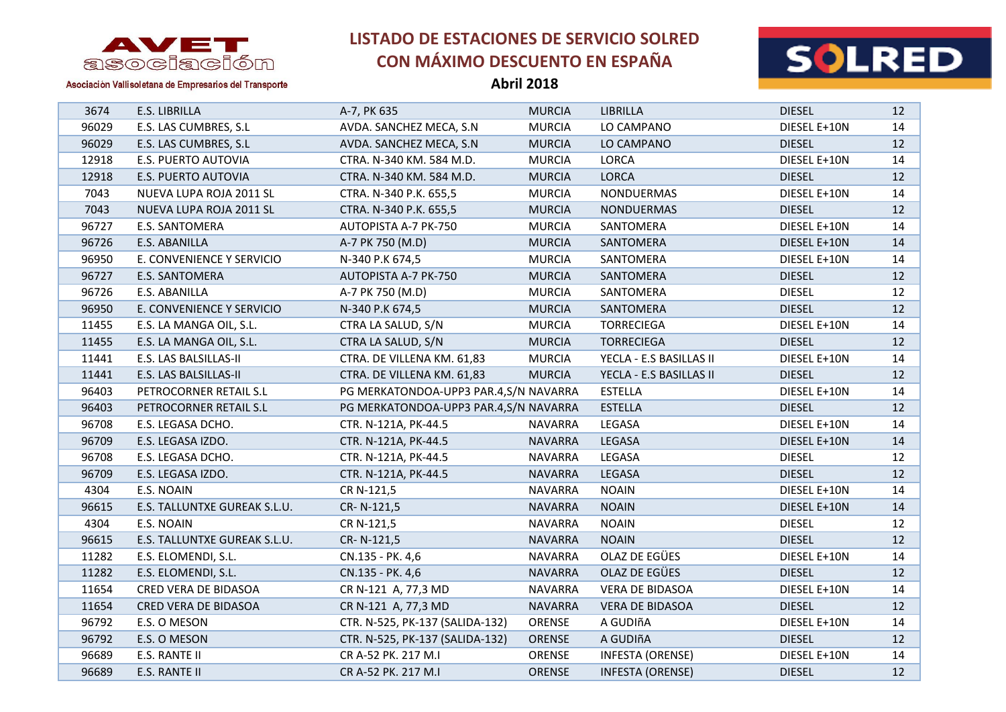



Asociación Vallisoletana de Empresarios del Transporte

| 3674  | E.S. LIBRILLA                | A-7, PK 635                           | <b>MURCIA</b>  | LIBRILLA                | <b>DIESEL</b> | 12              |
|-------|------------------------------|---------------------------------------|----------------|-------------------------|---------------|-----------------|
| 96029 | E.S. LAS CUMBRES, S.L        | AVDA. SANCHEZ MECA, S.N.              | <b>MURCIA</b>  | LO CAMPANO              | DIESEL E+10N  | 14              |
| 96029 | E.S. LAS CUMBRES, S.L        | AVDA. SANCHEZ MECA, S.N.              | <b>MURCIA</b>  | LO CAMPANO              | <b>DIESEL</b> | 12              |
| 12918 | E.S. PUERTO AUTOVIA          | CTRA. N-340 KM. 584 M.D.              | <b>MURCIA</b>  | <b>LORCA</b>            | DIESEL E+10N  | 14              |
| 12918 | E.S. PUERTO AUTOVIA          | CTRA. N-340 KM. 584 M.D.              | <b>MURCIA</b>  | <b>LORCA</b>            | <b>DIESEL</b> | 12              |
| 7043  | NUEVA LUPA ROJA 2011 SL      | CTRA. N-340 P.K. 655,5                | <b>MURCIA</b>  | NONDUERMAS              | DIESEL E+10N  | 14              |
| 7043  | NUEVA LUPA ROJA 2011 SL      | CTRA. N-340 P.K. 655,5                | <b>MURCIA</b>  | <b>NONDUERMAS</b>       | <b>DIESEL</b> | 12              |
| 96727 | E.S. SANTOMERA               | AUTOPISTA A-7 PK-750                  | <b>MURCIA</b>  | SANTOMERA               | DIESEL E+10N  | 14              |
| 96726 | E.S. ABANILLA                | A-7 PK 750 (M.D)                      | <b>MURCIA</b>  | SANTOMERA               | DIESEL E+10N  | 14              |
| 96950 | E. CONVENIENCE Y SERVICIO    | N-340 P.K 674,5                       | <b>MURCIA</b>  | SANTOMERA               | DIESEL E+10N  | 14              |
| 96727 | E.S. SANTOMERA               | AUTOPISTA A-7 PK-750                  | <b>MURCIA</b>  | SANTOMERA               | <b>DIESEL</b> | 12              |
| 96726 | E.S. ABANILLA                | A-7 PK 750 (M.D)                      | <b>MURCIA</b>  | SANTOMERA               | <b>DIESEL</b> | 12              |
| 96950 | E. CONVENIENCE Y SERVICIO    | N-340 P.K 674,5                       | <b>MURCIA</b>  | SANTOMERA               | <b>DIESEL</b> | 12              |
| 11455 | E.S. LA MANGA OIL, S.L.      | CTRA LA SALUD, S/N                    | <b>MURCIA</b>  | <b>TORRECIEGA</b>       | DIESEL E+10N  | 14              |
| 11455 | E.S. LA MANGA OIL, S.L.      | CTRA LA SALUD, S/N                    | <b>MURCIA</b>  | <b>TORRECIEGA</b>       | <b>DIESEL</b> | 12              |
| 11441 | E.S. LAS BALSILLAS-II        | CTRA. DE VILLENA KM. 61,83            | <b>MURCIA</b>  | YECLA - E.S BASILLAS II | DIESEL E+10N  | 14              |
| 11441 | E.S. LAS BALSILLAS-II        | CTRA. DE VILLENA KM. 61,83            | <b>MURCIA</b>  | YECLA - E.S BASILLAS II | <b>DIESEL</b> | 12 <sup>2</sup> |
| 96403 | PETROCORNER RETAIL S.L       | PG MERKATONDOA-UPP3 PAR.4,S/N NAVARRA |                | <b>ESTELLA</b>          | DIESEL E+10N  | 14              |
| 96403 | PETROCORNER RETAIL S.L       | PG MERKATONDOA-UPP3 PAR.4,S/N NAVARRA |                | <b>ESTELLA</b>          | <b>DIESEL</b> | 12 <sup>2</sup> |
| 96708 | E.S. LEGASA DCHO.            | CTR. N-121A, PK-44.5                  | <b>NAVARRA</b> | LEGASA                  | DIESEL E+10N  | 14              |
| 96709 | E.S. LEGASA IZDO.            | CTR. N-121A, PK-44.5                  | <b>NAVARRA</b> | LEGASA                  | DIESEL E+10N  | 14              |
| 96708 | E.S. LEGASA DCHO.            | CTR. N-121A, PK-44.5                  | <b>NAVARRA</b> | LEGASA                  | <b>DIESEL</b> | 12              |
| 96709 | E.S. LEGASA IZDO.            | CTR. N-121A, PK-44.5                  | <b>NAVARRA</b> | LEGASA                  | <b>DIESEL</b> | 12              |
| 4304  | E.S. NOAIN                   | CR N-121,5                            | <b>NAVARRA</b> | <b>NOAIN</b>            | DIESEL E+10N  | 14              |
| 96615 | E.S. TALLUNTXE GUREAK S.L.U. | CR-N-121,5                            | <b>NAVARRA</b> | <b>NOAIN</b>            | DIESEL E+10N  | 14              |
| 4304  | E.S. NOAIN                   | CR N-121,5                            | <b>NAVARRA</b> | <b>NOAIN</b>            | <b>DIESEL</b> | 12              |
| 96615 | E.S. TALLUNTXE GUREAK S.L.U. | CR-N-121,5                            | <b>NAVARRA</b> | <b>NOAIN</b>            | <b>DIESEL</b> | 12              |
| 11282 | E.S. ELOMENDI, S.L.          | CN.135 - PK. 4,6                      | <b>NAVARRA</b> | OLAZ DE EGÜES           | DIESEL E+10N  | 14              |
| 11282 | E.S. ELOMENDI, S.L.          | CN.135 - PK. 4,6                      | <b>NAVARRA</b> | OLAZ DE EGÜES           | <b>DIESEL</b> | 12              |
| 11654 | CRED VERA DE BIDASOA         | CR N-121 A, 77,3 MD                   | <b>NAVARRA</b> | VERA DE BIDASOA         | DIESEL E+10N  | 14              |
| 11654 | CRED VERA DE BIDASOA         | CR N-121 A, 77,3 MD                   | <b>NAVARRA</b> | <b>VERA DE BIDASOA</b>  | <b>DIESEL</b> | 12 <sup>2</sup> |
| 96792 | E.S. O MESON                 | CTR. N-525, PK-137 (SALIDA-132)       | ORENSE         | A GUDIñA                | DIESEL E+10N  | 14              |
| 96792 | E.S. O MESON                 | CTR. N-525, PK-137 (SALIDA-132)       | ORENSE         | A GUDIñA                | <b>DIESEL</b> | 12              |
| 96689 | E.S. RANTE II                | CR A-52 PK. 217 M.I                   | ORENSE         | <b>INFESTA (ORENSE)</b> | DIESEL E+10N  | 14              |
| 96689 | E.S. RANTE II                | CR A-52 PK. 217 M.I                   | <b>ORENSE</b>  | <b>INFESTA (ORENSE)</b> | <b>DIESEL</b> | 12              |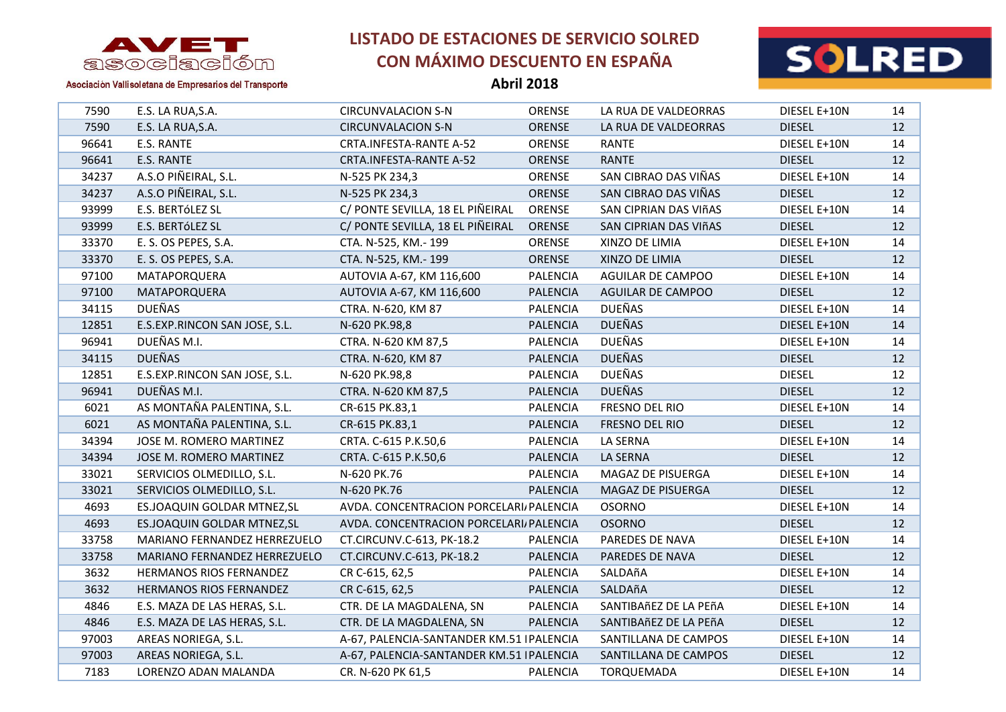

**Abril 2018**



| 7590  | E.S. LA RUA, S.A.             | <b>CIRCUNVALACION S-N</b>                 | ORENSE          | LA RUA DE VALDEORRAS     | DIESEL E+10N  | 14 |
|-------|-------------------------------|-------------------------------------------|-----------------|--------------------------|---------------|----|
| 7590  | E.S. LA RUA, S.A.             | <b>CIRCUNVALACION S-N</b>                 | ORENSE          | LA RUA DE VALDEORRAS     | <b>DIESEL</b> | 12 |
| 96641 | E.S. RANTE                    | CRTA.INFESTA-RANTE A-52                   | ORENSE          | <b>RANTE</b>             | DIESEL E+10N  | 14 |
| 96641 | E.S. RANTE                    | CRTA.INFESTA-RANTE A-52                   | <b>ORENSE</b>   | <b>RANTE</b>             | <b>DIESEL</b> | 12 |
| 34237 | A.S.O PIÑEIRAL, S.L.          | N-525 PK 234,3                            | ORENSE          | SAN CIBRAO DAS VIÑAS     | DIESEL E+10N  | 14 |
| 34237 | A.S.O PIÑEIRAL, S.L.          | N-525 PK 234,3                            | ORENSE          | SAN CIBRAO DAS VIÑAS     | <b>DIESEL</b> | 12 |
| 93999 | E.S. BERTÓLEZ SL              | C/ PONTE SEVILLA, 18 EL PIÑEIRAL          | ORENSE          | SAN CIPRIAN DAS VIñAS    | DIESEL E+10N  | 14 |
| 93999 | E.S. BERTÓLEZ SL              | C/ PONTE SEVILLA, 18 EL PIÑEIRAL          | ORENSE          | SAN CIPRIAN DAS VIñAS    | <b>DIESEL</b> | 12 |
| 33370 | E. S. OS PEPES, S.A.          | CTA. N-525, KM.- 199                      | <b>ORENSE</b>   | XINZO DE LIMIA           | DIESEL E+10N  | 14 |
| 33370 | E. S. OS PEPES, S.A.          | CTA. N-525, KM.- 199                      | ORENSE          | XINZO DE LIMIA           | <b>DIESEL</b> | 12 |
| 97100 | MATAPORQUERA                  | AUTOVIA A-67, KM 116,600                  | <b>PALENCIA</b> | <b>AGUILAR DE CAMPOO</b> | DIESEL E+10N  | 14 |
| 97100 | MATAPORQUERA                  | AUTOVIA A-67, KM 116,600                  | <b>PALENCIA</b> | <b>AGUILAR DE CAMPOO</b> | <b>DIESEL</b> | 12 |
| 34115 | <b>DUEÑAS</b>                 | CTRA. N-620, KM 87                        | <b>PALENCIA</b> | <b>DUEÑAS</b>            | DIESEL E+10N  | 14 |
| 12851 | E.S.EXP.RINCON SAN JOSE, S.L. | N-620 PK.98,8                             | <b>PALENCIA</b> | <b>DUEÑAS</b>            | DIESEL E+10N  | 14 |
| 96941 | DUEÑAS M.I.                   | CTRA. N-620 KM 87,5                       | <b>PALENCIA</b> | <b>DUEÑAS</b>            | DIESEL E+10N  | 14 |
| 34115 | <b>DUEÑAS</b>                 | CTRA. N-620, KM 87                        | <b>PALENCIA</b> | <b>DUEÑAS</b>            | <b>DIESEL</b> | 12 |
| 12851 | E.S.EXP.RINCON SAN JOSE, S.L. | N-620 PK.98,8                             | <b>PALENCIA</b> | <b>DUEÑAS</b>            | <b>DIESEL</b> | 12 |
| 96941 | DUEÑAS M.I.                   | CTRA. N-620 KM 87,5                       | <b>PALENCIA</b> | <b>DUEÑAS</b>            | <b>DIESEL</b> | 12 |
| 6021  | AS MONTAÑA PALENTINA, S.L.    | CR-615 PK.83,1                            | <b>PALENCIA</b> | FRESNO DEL RIO           | DIESEL E+10N  | 14 |
| 6021  | AS MONTAÑA PALENTINA, S.L.    | CR-615 PK.83,1                            | <b>PALENCIA</b> | FRESNO DEL RIO           | <b>DIESEL</b> | 12 |
| 34394 | JOSE M. ROMERO MARTINEZ       | CRTA. C-615 P.K.50,6                      | <b>PALENCIA</b> | LA SERNA                 | DIESEL E+10N  | 14 |
| 34394 | JOSE M. ROMERO MARTINEZ       | CRTA. C-615 P.K.50,6                      | <b>PALENCIA</b> | LA SERNA                 | <b>DIESEL</b> | 12 |
| 33021 | SERVICIOS OLMEDILLO, S.L.     | N-620 PK.76                               | <b>PALENCIA</b> | MAGAZ DE PISUERGA        | DIESEL E+10N  | 14 |
| 33021 | SERVICIOS OLMEDILLO, S.L.     | N-620 PK.76                               | <b>PALENCIA</b> | MAGAZ DE PISUERGA        | <b>DIESEL</b> | 12 |
| 4693  | ES.JOAQUIN GOLDAR MTNEZ, SL   | AVDA. CONCENTRACION PORCELARI PALENCIA    |                 | <b>OSORNO</b>            | DIESEL E+10N  | 14 |
| 4693  | ES.JOAQUIN GOLDAR MTNEZ, SL   | AVDA. CONCENTRACION PORCELARI/ PALENCIA   |                 | <b>OSORNO</b>            | <b>DIESEL</b> | 12 |
| 33758 | MARIANO FERNANDEZ HERREZUELO  | CT.CIRCUNV.C-613, PK-18.2                 | <b>PALENCIA</b> | PAREDES DE NAVA          | DIESEL E+10N  | 14 |
| 33758 | MARIANO FERNANDEZ HERREZUELO  | CT.CIRCUNV.C-613, PK-18.2                 | <b>PALENCIA</b> | PAREDES DE NAVA          | <b>DIESEL</b> | 12 |
| 3632  | HERMANOS RIOS FERNANDEZ       | CR C-615, 62,5                            | <b>PALENCIA</b> | SALDAñA                  | DIESEL E+10N  | 14 |
| 3632  | HERMANOS RIOS FERNANDEZ       | CR C-615, 62,5                            | <b>PALENCIA</b> | SALDAñA                  | <b>DIESEL</b> | 12 |
| 4846  | E.S. MAZA DE LAS HERAS, S.L.  | CTR. DE LA MAGDALENA, SN                  | PALENCIA        | SANTIBAñEZ DE LA PEñA    | DIESEL E+10N  | 14 |
| 4846  | E.S. MAZA DE LAS HERAS, S.L.  | CTR. DE LA MAGDALENA, SN                  | <b>PALENCIA</b> | SANTIBAñEZ DE LA PEñA    | <b>DIESEL</b> | 12 |
| 97003 | AREAS NORIEGA, S.L.           | A-67, PALENCIA-SANTANDER KM.51   PALENCIA |                 | SANTILLANA DE CAMPOS     | DIESEL E+10N  | 14 |
| 97003 | AREAS NORIEGA, S.L.           | A-67, PALENCIA-SANTANDER KM.51   PALENCIA |                 | SANTILLANA DE CAMPOS     | <b>DIESEL</b> | 12 |
| 7183  | LORENZO ADAN MALANDA          | CR. N-620 PK 61,5                         | <b>PALENCIA</b> | <b>TORQUEMADA</b>        | DIESEL E+10N  | 14 |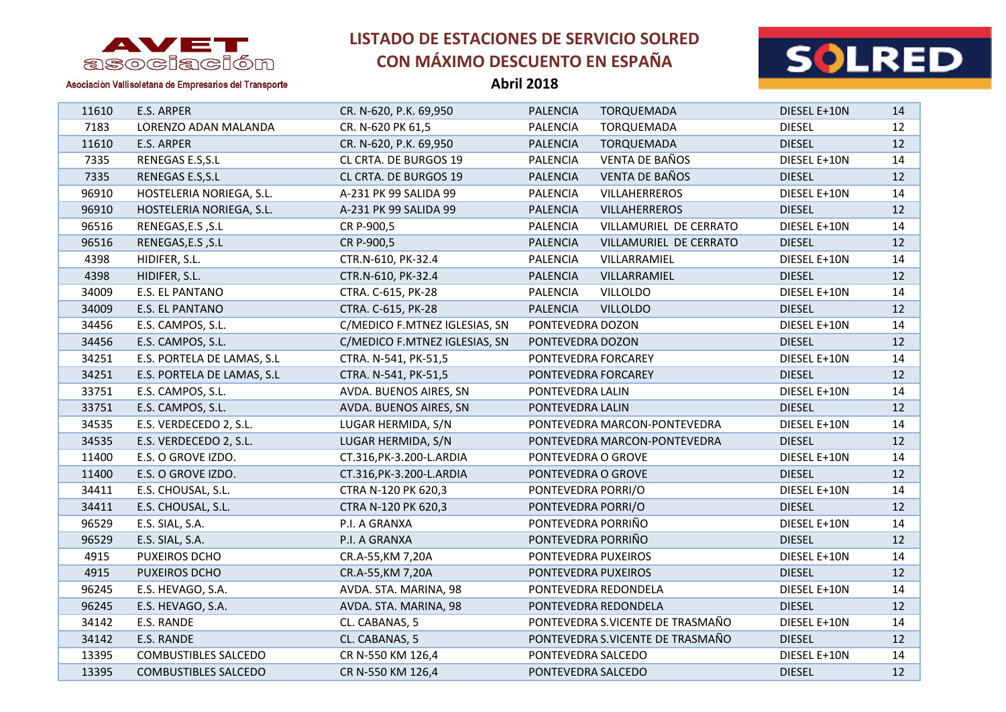

**Abril 2018**



| 11610 | E.S. ARPER                  | CR. N-620, P.K. 69,950        | <b>PALENCIA</b><br><b>TORQUEMADA</b>      | DIESEL E+10N  | 14 |
|-------|-----------------------------|-------------------------------|-------------------------------------------|---------------|----|
| 7183  | LORENZO ADAN MALANDA        | CR. N-620 PK 61,5             | PALENCIA<br>TORQUEMADA                    | <b>DIESEL</b> | 12 |
| 11610 | E.S. ARPER                  | CR. N-620, P.K. 69,950        | <b>PALENCIA</b><br>TORQUEMADA             | <b>DIESEL</b> | 12 |
| 7335  | RENEGAS E.S, S.L            | CL CRTA. DE BURGOS 19         | <b>VENTA DE BAÑOS</b><br><b>PALENCIA</b>  | DIESEL E+10N  | 14 |
| 7335  | RENEGAS E.S, S.L            | CL CRTA. DE BURGOS 19         | <b>VENTA DE BAÑOS</b><br><b>PALENCIA</b>  | <b>DIESEL</b> | 12 |
| 96910 | HOSTELERIA NORIEGA, S.L.    | A-231 PK 99 SALIDA 99         | PALENCIA<br>VILLAHERREROS                 | DIESEL E+10N  | 14 |
| 96910 | HOSTELERIA NORIEGA, S.L.    | A-231 PK 99 SALIDA 99         | <b>VILLAHERREROS</b><br><b>PALENCIA</b>   | <b>DIESEL</b> | 12 |
| 96516 | RENEGAS, E.S , S.L          | CR P-900,5                    | <b>PALENCIA</b><br>VILLAMURIEL DE CERRATO | DIESEL E+10N  | 14 |
| 96516 | RENEGAS, E.S , S.L          | CR P-900,5                    | VILLAMURIEL DE CERRATO<br>PALENCIA        | <b>DIESEL</b> | 12 |
| 4398  | HIDIFER, S.L.               | CTR.N-610, PK-32.4            | VILLARRAMIEL<br><b>PALENCIA</b>           | DIESEL E+10N  | 14 |
| 4398  | HIDIFER, S.L.               | CTR.N-610, PK-32.4            | <b>PALENCIA</b><br>VILLARRAMIEL           | <b>DIESEL</b> | 12 |
| 34009 | E.S. EL PANTANO             | CTRA. C-615, PK-28            | PALENCIA<br><b>VILLOLDO</b>               | DIESEL E+10N  | 14 |
| 34009 | E.S. EL PANTANO             | CTRA. C-615, PK-28            | <b>PALENCIA</b><br><b>VILLOLDO</b>        | <b>DIESEL</b> | 12 |
| 34456 | E.S. CAMPOS, S.L.           | C/MEDICO F.MTNEZ IGLESIAS, SN | PONTEVEDRA DOZON                          | DIESEL E+10N  | 14 |
| 34456 | E.S. CAMPOS, S.L.           | C/MEDICO F.MTNEZ IGLESIAS, SN | PONTEVEDRA DOZON                          | <b>DIESEL</b> | 12 |
| 34251 | E.S. PORTELA DE LAMAS, S.L  | CTRA. N-541, PK-51,5          | PONTEVEDRA FORCAREY                       | DIESEL E+10N  | 14 |
| 34251 | E.S. PORTELA DE LAMAS, S.L  | CTRA. N-541, PK-51,5          | PONTEVEDRA FORCAREY                       | <b>DIESEL</b> | 12 |
| 33751 | E.S. CAMPOS, S.L.           | AVDA. BUENOS AIRES, SN        | PONTEVEDRA LALIN                          | DIESEL E+10N  | 14 |
| 33751 | E.S. CAMPOS, S.L.           | AVDA. BUENOS AIRES, SN        | PONTEVEDRA LALIN                          | <b>DIESEL</b> | 12 |
| 34535 | E.S. VERDECEDO 2, S.L.      | LUGAR HERMIDA, S/N            | PONTEVEDRA MARCON-PONTEVEDRA              | DIESEL E+10N  | 14 |
| 34535 | E.S. VERDECEDO 2, S.L.      | LUGAR HERMIDA, S/N            | PONTEVEDRA MARCON-PONTEVEDRA              | <b>DIESEL</b> | 12 |
| 11400 | E.S. O GROVE IZDO.          | CT.316, PK-3.200-L. ARDIA     | PONTEVEDRA O GROVE                        | DIESEL E+10N  | 14 |
| 11400 | E.S. O GROVE IZDO.          | CT.316, PK-3.200-L. ARDIA     | PONTEVEDRA O GROVE                        | <b>DIESEL</b> | 12 |
| 34411 | E.S. CHOUSAL, S.L.          | CTRA N-120 PK 620,3           | PONTEVEDRA PORRI/O                        | DIESEL E+10N  | 14 |
| 34411 | E.S. CHOUSAL, S.L.          | CTRA N-120 PK 620,3           | PONTEVEDRA PORRI/O                        | <b>DIESEL</b> | 12 |
| 96529 | E.S. SIAL, S.A.             | P.I. A GRANXA                 | PONTEVEDRA PORRIÑO                        | DIESEL E+10N  | 14 |
| 96529 | E.S. SIAL, S.A.             | P.I. A GRANXA                 | PONTEVEDRA PORRIÑO                        | <b>DIESEL</b> | 12 |
| 4915  | PUXEIROS DCHO               | CR.A-55, KM 7, 20A            | PONTEVEDRA PUXEIROS                       | DIESEL E+10N  | 14 |
| 4915  | PUXEIROS DCHO               | CR.A-55, KM 7, 20A            | PONTEVEDRA PUXEIROS                       | <b>DIESEL</b> | 12 |
| 96245 | E.S. HEVAGO, S.A.           | AVDA. STA. MARINA, 98         | PONTEVEDRA REDONDELA                      | DIESEL E+10N  | 14 |
| 96245 | E.S. HEVAGO, S.A.           | AVDA. STA. MARINA, 98         | PONTEVEDRA REDONDELA                      | <b>DIESEL</b> | 12 |
| 34142 | E.S. RANDE                  | CL. CABANAS, 5                | PONTEVEDRA S.VICENTE DE TRASMAÑO          | DIESEL E+10N  | 14 |
| 34142 | E.S. RANDE                  | CL. CABANAS, 5                | PONTEVEDRA S.VICENTE DE TRASMAÑO          | <b>DIESEL</b> | 12 |
| 13395 | <b>COMBUSTIBLES SALCEDO</b> | CR N-550 KM 126,4             | PONTEVEDRA SALCEDO                        | DIESEL E+10N  | 14 |
| 13395 | <b>COMBUSTIBLES SALCEDO</b> | CR N-550 KM 126,4             | PONTEVEDRA SALCEDO                        | <b>DIESEL</b> | 12 |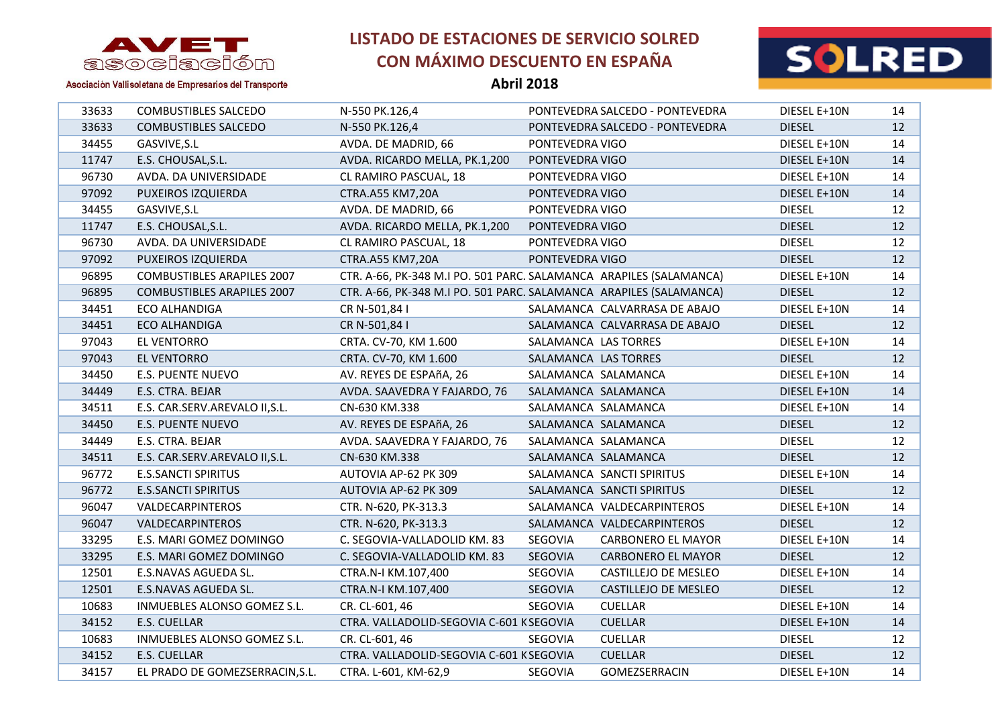

**Abril 2018**



| 33633 | <b>COMBUSTIBLES SALCEDO</b>       | N-550 PK.126,4                                                     |                      | PONTEVEDRA SALCEDO - PONTEVEDRA | DIESEL E+10N  | 14 |
|-------|-----------------------------------|--------------------------------------------------------------------|----------------------|---------------------------------|---------------|----|
| 33633 | <b>COMBUSTIBLES SALCEDO</b>       | N-550 PK.126,4                                                     |                      | PONTEVEDRA SALCEDO - PONTEVEDRA | <b>DIESEL</b> | 12 |
| 34455 | GASVIVE, S.L                      | AVDA. DE MADRID, 66                                                | PONTEVEDRA VIGO      |                                 | DIESEL E+10N  | 14 |
| 11747 | E.S. CHOUSAL, S.L.                | AVDA. RICARDO MELLA, PK.1,200                                      | PONTEVEDRA VIGO      |                                 | DIESEL E+10N  | 14 |
| 96730 | AVDA. DA UNIVERSIDADE             | CL RAMIRO PASCUAL, 18                                              | PONTEVEDRA VIGO      |                                 | DIESEL E+10N  | 14 |
| 97092 | PUXEIROS IZQUIERDA                | CTRA.A55 KM7,20A                                                   | PONTEVEDRA VIGO      |                                 | DIESEL E+10N  | 14 |
| 34455 | GASVIVE, S.L                      | AVDA. DE MADRID, 66                                                | PONTEVEDRA VIGO      |                                 | <b>DIESEL</b> | 12 |
| 11747 | E.S. CHOUSAL, S.L.                | AVDA. RICARDO MELLA, PK.1,200                                      | PONTEVEDRA VIGO      |                                 | <b>DIESEL</b> | 12 |
| 96730 | AVDA. DA UNIVERSIDADE             | CL RAMIRO PASCUAL, 18                                              | PONTEVEDRA VIGO      |                                 | <b>DIESEL</b> | 12 |
| 97092 | PUXEIROS IZQUIERDA                | CTRA.A55 KM7,20A                                                   | PONTEVEDRA VIGO      |                                 | <b>DIESEL</b> | 12 |
| 96895 | <b>COMBUSTIBLES ARAPILES 2007</b> | CTR. A-66, PK-348 M.I PO. 501 PARC. SALAMANCA ARAPILES (SALAMANCA) |                      |                                 | DIESEL E+10N  | 14 |
| 96895 | <b>COMBUSTIBLES ARAPILES 2007</b> | CTR. A-66, PK-348 M.I PO. 501 PARC. SALAMANCA ARAPILES (SALAMANCA) |                      |                                 | <b>DIESEL</b> | 12 |
| 34451 | <b>ECO ALHANDIGA</b>              | CR N-501,84 I                                                      |                      | SALAMANCA CALVARRASA DE ABAJO   | DIESEL E+10N  | 14 |
| 34451 | ECO ALHANDIGA                     | CR N-501,84 I                                                      |                      | SALAMANCA CALVARRASA DE ABAJO   | <b>DIESEL</b> | 12 |
| 97043 | EL VENTORRO                       | CRTA. CV-70, KM 1.600                                              | SALAMANCA LAS TORRES |                                 | DIESEL E+10N  | 14 |
| 97043 | <b>EL VENTORRO</b>                | CRTA. CV-70, KM 1.600                                              | SALAMANCA LAS TORRES |                                 | <b>DIESEL</b> | 12 |
| 34450 | <b>E.S. PUENTE NUEVO</b>          | AV. REYES DE ESPAñA, 26                                            | SALAMANCA SALAMANCA  |                                 | DIESEL E+10N  | 14 |
| 34449 | E.S. CTRA. BEJAR                  | AVDA. SAAVEDRA Y FAJARDO, 76                                       | SALAMANCA SALAMANCA  |                                 | DIESEL E+10N  | 14 |
| 34511 | E.S. CAR.SERV.AREVALO II, S.L.    | CN-630 KM.338                                                      | SALAMANCA SALAMANCA  |                                 | DIESEL E+10N  | 14 |
| 34450 | <b>E.S. PUENTE NUEVO</b>          | AV. REYES DE ESPAñA, 26                                            | SALAMANCA SALAMANCA  |                                 | <b>DIESEL</b> | 12 |
| 34449 | E.S. CTRA. BEJAR                  | AVDA. SAAVEDRA Y FAJARDO, 76                                       | SALAMANCA SALAMANCA  |                                 | <b>DIESEL</b> | 12 |
| 34511 | E.S. CAR.SERV.AREVALO II, S.L.    | CN-630 KM.338                                                      | SALAMANCA SALAMANCA  |                                 | <b>DIESEL</b> | 12 |
| 96772 | <b>E.S.SANCTI SPIRITUS</b>        | AUTOVIA AP-62 PK 309                                               |                      | SALAMANCA SANCTI SPIRITUS       | DIESEL E+10N  | 14 |
| 96772 | <b>E.S.SANCTI SPIRITUS</b>        | AUTOVIA AP-62 PK 309                                               |                      | SALAMANCA SANCTI SPIRITUS       | <b>DIESEL</b> | 12 |
| 96047 | VALDECARPINTEROS                  | CTR. N-620, PK-313.3                                               |                      | SALAMANCA VALDECARPINTEROS      | DIESEL E+10N  | 14 |
| 96047 | VALDECARPINTEROS                  | CTR. N-620, PK-313.3                                               |                      | SALAMANCA VALDECARPINTEROS      | <b>DIESEL</b> | 12 |
| 33295 | E.S. MARI GOMEZ DOMINGO           | C. SEGOVIA-VALLADOLID KM. 83                                       | SEGOVIA              | <b>CARBONERO EL MAYOR</b>       | DIESEL E+10N  | 14 |
| 33295 | E.S. MARI GOMEZ DOMINGO           | C. SEGOVIA-VALLADOLID KM. 83                                       | SEGOVIA              | <b>CARBONERO EL MAYOR</b>       | <b>DIESEL</b> | 12 |
| 12501 | E.S.NAVAS AGUEDA SL.              | CTRA.N-I KM.107,400                                                | SEGOVIA              | CASTILLEJO DE MESLEO            | DIESEL E+10N  | 14 |
| 12501 | E.S.NAVAS AGUEDA SL.              | CTRA.N-I KM.107,400                                                | <b>SEGOVIA</b>       | CASTILLEJO DE MESLEO            | <b>DIESEL</b> | 12 |
| 10683 | INMUEBLES ALONSO GOMEZ S.L.       | CR. CL-601, 46                                                     | SEGOVIA              | <b>CUELLAR</b>                  | DIESEL E+10N  | 14 |
| 34152 | E.S. CUELLAR                      | CTRA. VALLADOLID-SEGOVIA C-601 KSEGOVIA                            |                      | <b>CUELLAR</b>                  | DIESEL E+10N  | 14 |
| 10683 | INMUEBLES ALONSO GOMEZ S.L.       | CR. CL-601, 46                                                     | SEGOVIA              | <b>CUELLAR</b>                  | <b>DIESEL</b> | 12 |
| 34152 | E.S. CUELLAR                      | CTRA. VALLADOLID-SEGOVIA C-601 KSEGOVIA                            |                      | <b>CUELLAR</b>                  | <b>DIESEL</b> | 12 |
| 34157 | EL PRADO DE GOMEZSERRACIN, S.L.   | CTRA. L-601, KM-62,9                                               | SEGOVIA              | <b>GOMEZSERRACIN</b>            | DIESEL E+10N  | 14 |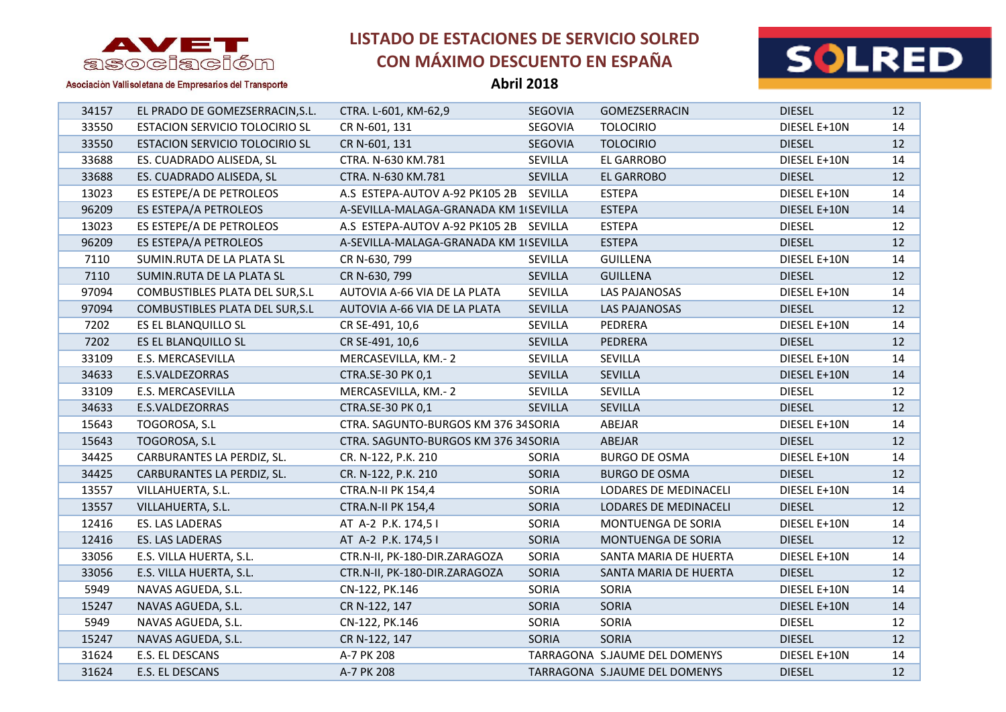

**Abril 2018**



Asociación Vallisoletana de Empresarios del Transporte

| 34157 | EL PRADO DE GOMEZSERRACIN, S.L.       | CTRA. L-601, KM-62,9                   | <b>SEGOVIA</b> | <b>GOMEZSERRACIN</b>          | <b>DIESEL</b> | 12 |
|-------|---------------------------------------|----------------------------------------|----------------|-------------------------------|---------------|----|
| 33550 | <b>ESTACION SERVICIO TOLOCIRIO SL</b> | CR N-601, 131                          | SEGOVIA        | <b>TOLOCIRIO</b>              | DIESEL E+10N  | 14 |
| 33550 | <b>ESTACION SERVICIO TOLOCIRIO SL</b> | CR N-601, 131                          | SEGOVIA        | <b>TOLOCIRIO</b>              | <b>DIESEL</b> | 12 |
| 33688 | ES. CUADRADO ALISEDA, SL              | CTRA. N-630 KM.781                     | SEVILLA        | EL GARROBO                    | DIESEL E+10N  | 14 |
| 33688 | ES. CUADRADO ALISEDA, SL              | CTRA. N-630 KM.781                     | <b>SEVILLA</b> | <b>EL GARROBO</b>             | <b>DIESEL</b> | 12 |
| 13023 | ES ESTEPE/A DE PETROLEOS              | A.S ESTEPA-AUTOV A-92 PK105 2B SEVILLA |                | <b>ESTEPA</b>                 | DIESEL E+10N  | 14 |
| 96209 | ES ESTEPA/A PETROLEOS                 | A-SEVILLA-MALAGA-GRANADA KM 1 SEVILLA  |                | <b>ESTEPA</b>                 | DIESEL E+10N  | 14 |
| 13023 | ES ESTEPE/A DE PETROLEOS              | A.S ESTEPA-AUTOV A-92 PK105 2B SEVILLA |                | <b>ESTEPA</b>                 | <b>DIESEL</b> | 12 |
| 96209 | ES ESTEPA/A PETROLEOS                 | A-SEVILLA-MALAGA-GRANADA KM 1 SEVILLA  |                | <b>ESTEPA</b>                 | <b>DIESEL</b> | 12 |
| 7110  | SUMIN.RUTA DE LA PLATA SL             | CR N-630, 799                          | SEVILLA        | <b>GUILLENA</b>               | DIESEL E+10N  | 14 |
| 7110  | SUMIN.RUTA DE LA PLATA SL             | CR N-630, 799                          | SEVILLA        | <b>GUILLENA</b>               | <b>DIESEL</b> | 12 |
| 97094 | COMBUSTIBLES PLATA DEL SUR, S.L       | AUTOVIA A-66 VIA DE LA PLATA           | SEVILLA        | LAS PAJANOSAS                 | DIESEL E+10N  | 14 |
| 97094 | COMBUSTIBLES PLATA DEL SUR, S.L       | AUTOVIA A-66 VIA DE LA PLATA           | SEVILLA        | LAS PAJANOSAS                 | <b>DIESEL</b> | 12 |
| 7202  | ES EL BLANQUILLO SL                   | CR SE-491, 10,6                        | SEVILLA        | PEDRERA                       | DIESEL E+10N  | 14 |
| 7202  | ES EL BLANQUILLO SL                   | CR SE-491, 10,6                        | SEVILLA        | PEDRERA                       | <b>DIESEL</b> | 12 |
| 33109 | E.S. MERCASEVILLA                     | MERCASEVILLA, KM.-2                    | SEVILLA        | SEVILLA                       | DIESEL E+10N  | 14 |
| 34633 | E.S.VALDEZORRAS                       | CTRA.SE-30 PK 0,1                      | SEVILLA        | SEVILLA                       | DIESEL E+10N  | 14 |
| 33109 | E.S. MERCASEVILLA                     | MERCASEVILLA, KM.-2                    | SEVILLA        | SEVILLA                       | <b>DIESEL</b> | 12 |
| 34633 | E.S.VALDEZORRAS                       | CTRA.SE-30 PK 0,1                      | <b>SEVILLA</b> | <b>SEVILLA</b>                | <b>DIESEL</b> | 12 |
| 15643 | TOGOROSA, S.L                         | CTRA. SAGUNTO-BURGOS KM 376 34 SORIA   |                | ABEJAR                        | DIESEL E+10N  | 14 |
| 15643 | TOGOROSA, S.L                         | CTRA. SAGUNTO-BURGOS KM 376 34 SORIA   |                | ABEJAR                        | <b>DIESEL</b> | 12 |
| 34425 | CARBURANTES LA PERDIZ, SL.            | CR. N-122, P.K. 210                    | SORIA          | <b>BURGO DE OSMA</b>          | DIESEL E+10N  | 14 |
| 34425 | CARBURANTES LA PERDIZ, SL.            | CR. N-122, P.K. 210                    | <b>SORIA</b>   | <b>BURGO DE OSMA</b>          | <b>DIESEL</b> | 12 |
| 13557 | VILLAHUERTA, S.L.                     | <b>CTRA.N-II PK 154,4</b>              | SORIA          | LODARES DE MEDINACELI         | DIESEL E+10N  | 14 |
| 13557 | VILLAHUERTA, S.L.                     | <b>CTRA.N-II PK 154,4</b>              | <b>SORIA</b>   | LODARES DE MEDINACELI         | <b>DIESEL</b> | 12 |
| 12416 | ES. LAS LADERAS                       | AT A-2 P.K. 174,5 I                    | SORIA          | MONTUENGA DE SORIA            | DIESEL E+10N  | 14 |
| 12416 | ES. LAS LADERAS                       | AT A-2 P.K. 174,5 I                    | <b>SORIA</b>   | MONTUENGA DE SORIA            | <b>DIESEL</b> | 12 |
| 33056 | E.S. VILLA HUERTA, S.L.               | CTR.N-II, PK-180-DIR.ZARAGOZA          | SORIA          | SANTA MARIA DE HUERTA         | DIESEL E+10N  | 14 |
| 33056 | E.S. VILLA HUERTA, S.L.               | CTR.N-II, PK-180-DIR.ZARAGOZA          | <b>SORIA</b>   | SANTA MARIA DE HUERTA         | <b>DIESEL</b> | 12 |
| 5949  | NAVAS AGUEDA, S.L.                    | CN-122, PK.146                         | SORIA          | SORIA                         | DIESEL E+10N  | 14 |
| 15247 | NAVAS AGUEDA, S.L.                    | CR N-122, 147                          | SORIA          | SORIA                         | DIESEL E+10N  | 14 |
| 5949  | NAVAS AGUEDA, S.L.                    | CN-122, PK.146                         | SORIA          | SORIA                         | <b>DIESEL</b> | 12 |
| 15247 | NAVAS AGUEDA, S.L.                    | CR N-122, 147                          | <b>SORIA</b>   | <b>SORIA</b>                  | <b>DIESEL</b> | 12 |
| 31624 | E.S. EL DESCANS                       | A-7 PK 208                             |                | TARRAGONA S.JAUME DEL DOMENYS | DIESEL E+10N  | 14 |

E.S. EL DESCANS A-7 PK 208 TARRAGONA S.JAUME DEL DOMENYS DIESEL 12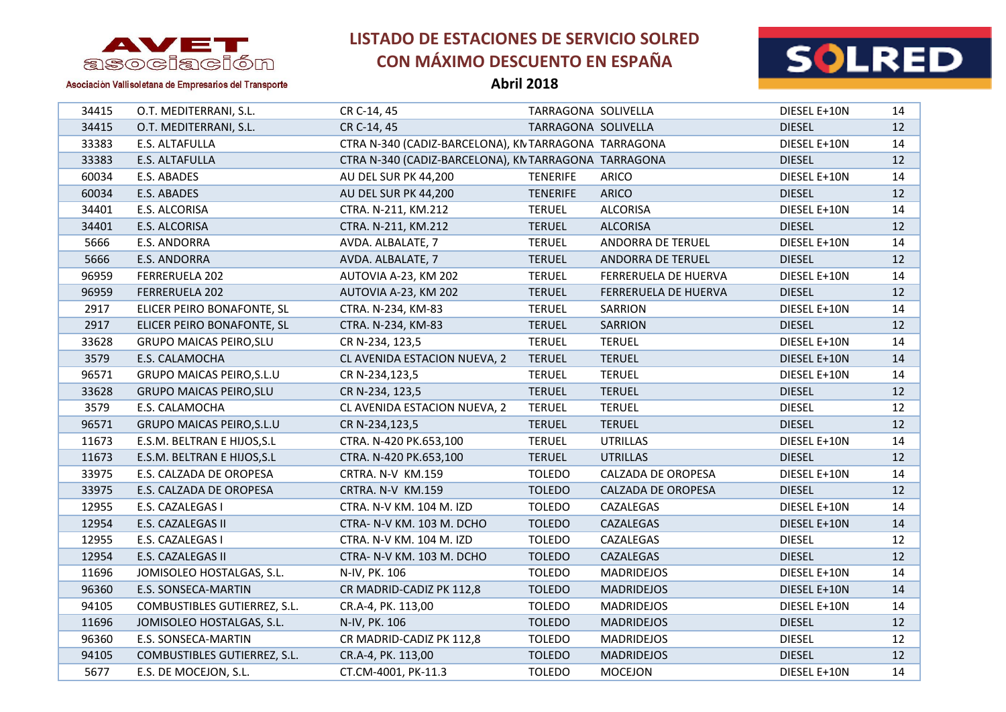

**Abril 2018**



| 34415 | O.T. MEDITERRANI, S.L.           | CR C-14, 45                                          | TARRAGONA SOLIVELLA |                      | DIESEL E+10N  | 14 |
|-------|----------------------------------|------------------------------------------------------|---------------------|----------------------|---------------|----|
| 34415 | O.T. MEDITERRANI, S.L.           | CR C-14, 45                                          | TARRAGONA SOLIVELLA |                      | <b>DIESEL</b> | 12 |
| 33383 | E.S. ALTAFULLA                   | CTRA N-340 (CADIZ-BARCELONA), KN TARRAGONA TARRAGONA |                     |                      | DIESEL E+10N  | 14 |
| 33383 | E.S. ALTAFULLA                   | CTRA N-340 (CADIZ-BARCELONA), KN TARRAGONA TARRAGONA |                     |                      | <b>DIESEL</b> | 12 |
| 60034 | E.S. ABADES                      | AU DEL SUR PK 44,200                                 | <b>TENERIFE</b>     | ARICO                | DIESEL E+10N  | 14 |
| 60034 | E.S. ABADES                      | AU DEL SUR PK 44,200                                 | <b>TENERIFE</b>     | ARICO                | <b>DIESEL</b> | 12 |
| 34401 | E.S. ALCORISA                    | CTRA. N-211, KM.212                                  | <b>TERUEL</b>       | <b>ALCORISA</b>      | DIESEL E+10N  | 14 |
| 34401 | E.S. ALCORISA                    | CTRA. N-211, KM.212                                  | <b>TERUEL</b>       | <b>ALCORISA</b>      | <b>DIESEL</b> | 12 |
| 5666  | E.S. ANDORRA                     | AVDA. ALBALATE, 7                                    | <b>TERUEL</b>       | ANDORRA DE TERUEL    | DIESEL E+10N  | 14 |
| 5666  | E.S. ANDORRA                     | AVDA. ALBALATE, 7                                    | <b>TERUEL</b>       | ANDORRA DE TERUEL    | <b>DIESEL</b> | 12 |
| 96959 | FERRERUELA 202                   | AUTOVIA A-23, KM 202                                 | <b>TERUEL</b>       | FERRERUELA DE HUERVA | DIESEL E+10N  | 14 |
| 96959 | FERRERUELA 202                   | AUTOVIA A-23, KM 202                                 | <b>TERUEL</b>       | FERRERUELA DE HUERVA | <b>DIESEL</b> | 12 |
| 2917  | ELICER PEIRO BONAFONTE, SL       | CTRA. N-234, KM-83                                   | <b>TERUEL</b>       | SARRION              | DIESEL E+10N  | 14 |
| 2917  | ELICER PEIRO BONAFONTE, SL       | CTRA. N-234, KM-83                                   | <b>TERUEL</b>       | SARRION              | <b>DIESEL</b> | 12 |
| 33628 | <b>GRUPO MAICAS PEIRO, SLU</b>   | CR N-234, 123,5                                      | <b>TERUEL</b>       | <b>TERUEL</b>        | DIESEL E+10N  | 14 |
| 3579  | E.S. CALAMOCHA                   | CL AVENIDA ESTACION NUEVA, 2                         | <b>TERUEL</b>       | <b>TERUEL</b>        | DIESEL E+10N  | 14 |
| 96571 | <b>GRUPO MAICAS PEIRO, S.L.U</b> | CR N-234,123,5                                       | <b>TERUEL</b>       | <b>TERUEL</b>        | DIESEL E+10N  | 14 |
| 33628 | <b>GRUPO MAICAS PEIRO, SLU</b>   | CR N-234, 123,5                                      | <b>TERUEL</b>       | <b>TERUEL</b>        | <b>DIESEL</b> | 12 |
| 3579  | E.S. CALAMOCHA                   | CL AVENIDA ESTACION NUEVA, 2                         | <b>TERUEL</b>       | <b>TERUEL</b>        | <b>DIESEL</b> | 12 |
| 96571 | <b>GRUPO MAICAS PEIRO, S.L.U</b> | CR N-234,123,5                                       | <b>TERUEL</b>       | <b>TERUEL</b>        | <b>DIESEL</b> | 12 |
| 11673 | E.S.M. BELTRAN E HIJOS, S.L      | CTRA. N-420 PK.653,100                               | <b>TERUEL</b>       | <b>UTRILLAS</b>      | DIESEL E+10N  | 14 |
| 11673 | E.S.M. BELTRAN E HIJOS, S.L      | CTRA. N-420 PK.653,100                               | <b>TERUEL</b>       | <b>UTRILLAS</b>      | <b>DIESEL</b> | 12 |
| 33975 | E.S. CALZADA DE OROPESA          | CRTRA. N-V KM.159                                    | <b>TOLEDO</b>       | CALZADA DE OROPESA   | DIESEL E+10N  | 14 |
| 33975 | E.S. CALZADA DE OROPESA          | CRTRA. N-V KM.159                                    | <b>TOLEDO</b>       | CALZADA DE OROPESA   | <b>DIESEL</b> | 12 |
| 12955 | E.S. CAZALEGAS I                 | CTRA. N-V KM. 104 M. IZD                             | <b>TOLEDO</b>       | CAZALEGAS            | DIESEL E+10N  | 14 |
| 12954 | E.S. CAZALEGAS II                | CTRA- N-V KM. 103 M. DCHO                            | <b>TOLEDO</b>       | CAZALEGAS            | DIESEL E+10N  | 14 |
| 12955 | E.S. CAZALEGAS I                 | CTRA. N-V KM. 104 M. IZD                             | <b>TOLEDO</b>       | CAZALEGAS            | <b>DIESEL</b> | 12 |
| 12954 | E.S. CAZALEGAS II                | CTRA- N-V KM. 103 M. DCHO                            | <b>TOLEDO</b>       | CAZALEGAS            | <b>DIESEL</b> | 12 |
| 11696 | JOMISOLEO HOSTALGAS, S.L.        | N-IV, PK. 106                                        | <b>TOLEDO</b>       | <b>MADRIDEJOS</b>    | DIESEL E+10N  | 14 |
| 96360 | E.S. SONSECA-MARTIN              | CR MADRID-CADIZ PK 112,8                             | <b>TOLEDO</b>       | <b>MADRIDEJOS</b>    | DIESEL E+10N  | 14 |
| 94105 | COMBUSTIBLES GUTIERREZ, S.L.     | CR.A-4, PK. 113,00                                   | <b>TOLEDO</b>       | <b>MADRIDEJOS</b>    | DIESEL E+10N  | 14 |
| 11696 | JOMISOLEO HOSTALGAS, S.L.        | N-IV, PK. 106                                        | <b>TOLEDO</b>       | <b>MADRIDEJOS</b>    | <b>DIESEL</b> | 12 |
| 96360 | E.S. SONSECA-MARTIN              | CR MADRID-CADIZ PK 112,8                             | <b>TOLEDO</b>       | <b>MADRIDEJOS</b>    | <b>DIESEL</b> | 12 |
| 94105 | COMBUSTIBLES GUTIERREZ, S.L.     | CR.A-4, PK. 113,00                                   | <b>TOLEDO</b>       | <b>MADRIDEJOS</b>    | <b>DIESEL</b> | 12 |
| 5677  | E.S. DE MOCEJON, S.L.            | CT.CM-4001, PK-11.3                                  | <b>TOLEDO</b>       | <b>MOCEJON</b>       | DIESEL E+10N  | 14 |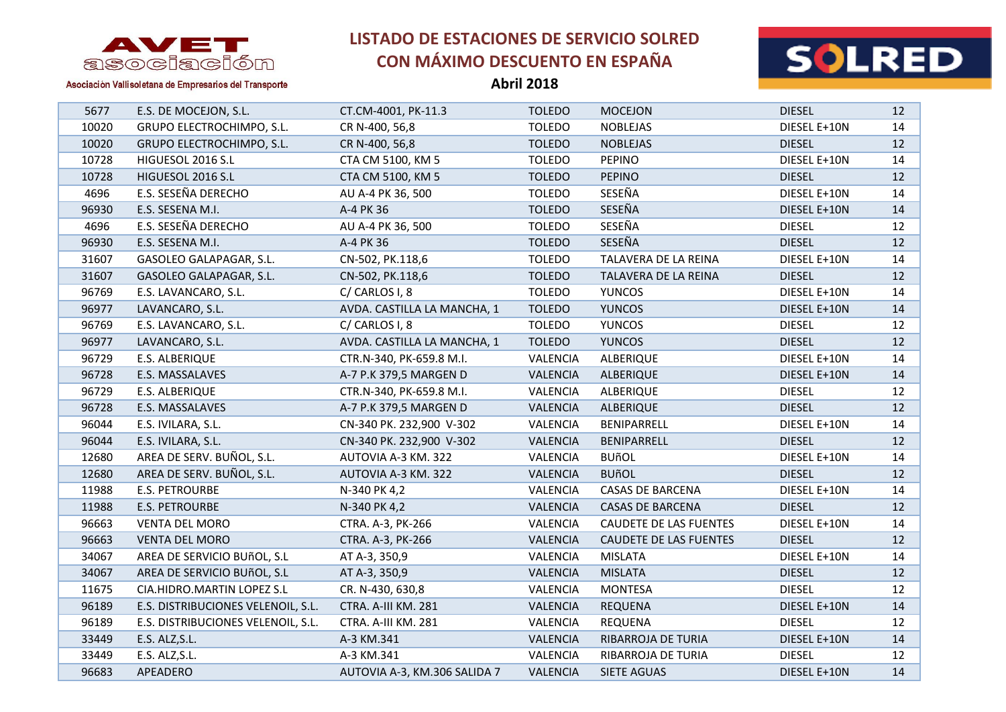

**Abril 2018**



| 5677  | E.S. DE MOCEJON, S.L.              | CT.CM-4001, PK-11.3          | <b>TOLEDO</b>   | <b>MOCEJON</b>                | <b>DIESEL</b> | 12 |
|-------|------------------------------------|------------------------------|-----------------|-------------------------------|---------------|----|
| 10020 | GRUPO ELECTROCHIMPO, S.L.          | CR N-400, 56,8               | <b>TOLEDO</b>   | <b>NOBLEJAS</b>               | DIESEL E+10N  | 14 |
| 10020 | GRUPO ELECTROCHIMPO, S.L.          | CR N-400, 56,8               | <b>TOLEDO</b>   | <b>NOBLEJAS</b>               | <b>DIESEL</b> | 12 |
| 10728 | HIGUESOL 2016 S.L                  | CTA CM 5100, KM 5            | <b>TOLEDO</b>   | <b>PEPINO</b>                 | DIESEL E+10N  | 14 |
| 10728 | HIGUESOL 2016 S.L                  | CTA CM 5100, KM 5            | <b>TOLEDO</b>   | <b>PEPINO</b>                 | <b>DIESEL</b> | 12 |
| 4696  | E.S. SESEÑA DERECHO                | AU A-4 PK 36, 500            | <b>TOLEDO</b>   | SESEÑA                        | DIESEL E+10N  | 14 |
| 96930 | E.S. SESENA M.I.                   | A-4 PK 36                    | <b>TOLEDO</b>   | SESEÑA                        | DIESEL E+10N  | 14 |
| 4696  | E.S. SESEÑA DERECHO                | AU A-4 PK 36, 500            | <b>TOLEDO</b>   | SESEÑA                        | <b>DIESEL</b> | 12 |
| 96930 | E.S. SESENA M.I.                   | A-4 PK 36                    | <b>TOLEDO</b>   | SESEÑA                        | <b>DIESEL</b> | 12 |
| 31607 | GASOLEO GALAPAGAR, S.L.            | CN-502, PK.118,6             | <b>TOLEDO</b>   | TALAVERA DE LA REINA          | DIESEL E+10N  | 14 |
| 31607 | GASOLEO GALAPAGAR, S.L.            | CN-502, PK.118,6             | <b>TOLEDO</b>   | TALAVERA DE LA REINA          | <b>DIESEL</b> | 12 |
| 96769 | E.S. LAVANCARO, S.L.               | C/CARLOS I, 8                | <b>TOLEDO</b>   | <b>YUNCOS</b>                 | DIESEL E+10N  | 14 |
| 96977 | LAVANCARO, S.L.                    | AVDA. CASTILLA LA MANCHA, 1  | <b>TOLEDO</b>   | <b>YUNCOS</b>                 | DIESEL E+10N  | 14 |
| 96769 | E.S. LAVANCARO, S.L.               | C/CARLOS I, 8                | <b>TOLEDO</b>   | <b>YUNCOS</b>                 | <b>DIESEL</b> | 12 |
| 96977 | LAVANCARO, S.L.                    | AVDA. CASTILLA LA MANCHA, 1  | <b>TOLEDO</b>   | <b>YUNCOS</b>                 | <b>DIESEL</b> | 12 |
| 96729 | E.S. ALBERIQUE                     | CTR.N-340, PK-659.8 M.I.     | VALENCIA        | ALBERIQUE                     | DIESEL E+10N  | 14 |
| 96728 | E.S. MASSALAVES                    | A-7 P.K 379,5 MARGEN D       | VALENCIA        | ALBERIQUE                     | DIESEL E+10N  | 14 |
| 96729 | E.S. ALBERIQUE                     | CTR.N-340, PK-659.8 M.I.     | VALENCIA        | ALBERIQUE                     | <b>DIESEL</b> | 12 |
| 96728 | E.S. MASSALAVES                    | A-7 P.K 379,5 MARGEN D       | <b>VALENCIA</b> | ALBERIQUE                     | <b>DIESEL</b> | 12 |
| 96044 | E.S. IVILARA, S.L.                 | CN-340 PK. 232,900 V-302     | VALENCIA        | BENIPARRELL                   | DIESEL E+10N  | 14 |
| 96044 | E.S. IVILARA, S.L.                 | CN-340 PK. 232,900 V-302     | VALENCIA        | BENIPARRELL                   | <b>DIESEL</b> | 12 |
| 12680 | AREA DE SERV. BUÑOL, S.L.          | AUTOVIA A-3 KM. 322          | VALENCIA        | <b>BUñOL</b>                  | DIESEL E+10N  | 14 |
| 12680 | AREA DE SERV. BUÑOL, S.L.          | AUTOVIA A-3 KM. 322          | VALENCIA        | <b>BUñOL</b>                  | <b>DIESEL</b> | 12 |
| 11988 | E.S. PETROURBE                     | N-340 PK 4,2                 | VALENCIA        | <b>CASAS DE BARCENA</b>       | DIESEL E+10N  | 14 |
| 11988 | <b>E.S. PETROURBE</b>              | N-340 PK 4,2                 | VALENCIA        | <b>CASAS DE BARCENA</b>       | <b>DIESEL</b> | 12 |
| 96663 | <b>VENTA DEL MORO</b>              | CTRA. A-3, PK-266            | VALENCIA        | <b>CAUDETE DE LAS FUENTES</b> | DIESEL E+10N  | 14 |
| 96663 | <b>VENTA DEL MORO</b>              | CTRA. A-3, PK-266            | VALENCIA        | <b>CAUDETE DE LAS FUENTES</b> | <b>DIESEL</b> | 12 |
| 34067 | AREA DE SERVICIO BUñOL, S.L        | AT A-3, 350,9                | VALENCIA        | <b>MISLATA</b>                | DIESEL E+10N  | 14 |
| 34067 | AREA DE SERVICIO BUñOL, S.L        | AT A-3, 350,9                | VALENCIA        | <b>MISLATA</b>                | <b>DIESEL</b> | 12 |
| 11675 | CIA.HIDRO.MARTIN LOPEZ S.L         | CR. N-430, 630,8             | VALENCIA        | <b>MONTESA</b>                | <b>DIESEL</b> | 12 |
| 96189 | E.S. DISTRIBUCIONES VELENOIL, S.L. | CTRA. A-III KM. 281          | VALENCIA        | <b>REQUENA</b>                | DIESEL E+10N  | 14 |
| 96189 | E.S. DISTRIBUCIONES VELENOIL, S.L. | CTRA. A-III KM. 281          | VALENCIA        | <b>REQUENA</b>                | <b>DIESEL</b> | 12 |
| 33449 | E.S. ALZ, S.L.                     | A-3 KM.341                   | VALENCIA        | RIBARROJA DE TURIA            | DIESEL E+10N  | 14 |
| 33449 | E.S. ALZ, S.L.                     | A-3 KM.341                   | VALENCIA        | RIBARROJA DE TURIA            | <b>DIESEL</b> | 12 |
| 96683 | APEADERO                           | AUTOVIA A-3, KM.306 SALIDA 7 | <b>VALENCIA</b> | <b>SIETE AGUAS</b>            | DIESEL E+10N  | 14 |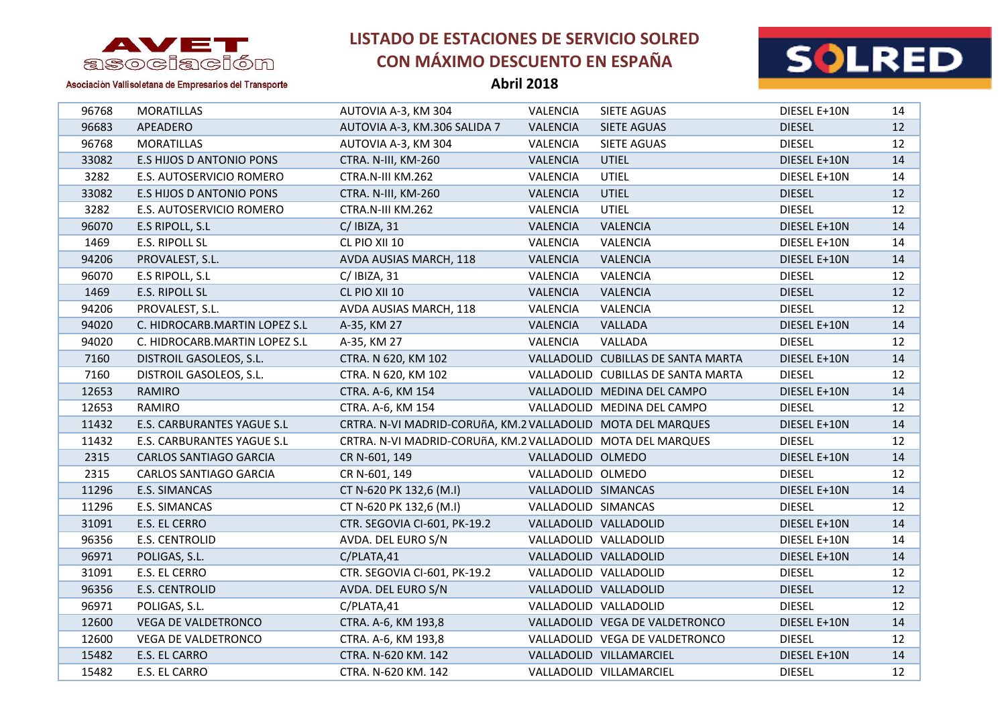



Asociación Vallisoletana de Empresarios del Transporte

| 96768 | <b>MORATILLAS</b>             | AUTOVIA A-3, KM 304                                         | VALENCIA            | SIETE AGUAS                        | DIESEL E+10N  | 14              |
|-------|-------------------------------|-------------------------------------------------------------|---------------------|------------------------------------|---------------|-----------------|
| 96683 | APEADERO                      | AUTOVIA A-3, KM.306 SALIDA 7                                | VALENCIA            | SIETE AGUAS                        | <b>DIESEL</b> | 12              |
| 96768 | <b>MORATILLAS</b>             | AUTOVIA A-3, KM 304                                         | <b>VALENCIA</b>     | SIETE AGUAS                        | <b>DIESEL</b> | 12              |
| 33082 | E.S HIJOS D ANTONIO PONS      | CTRA. N-III, KM-260                                         | <b>VALENCIA</b>     | <b>UTIEL</b>                       | DIESEL E+10N  | 14              |
| 3282  | E.S. AUTOSERVICIO ROMERO      | CTRA.N-III KM.262                                           | VALENCIA            | <b>UTIEL</b>                       | DIESEL E+10N  | 14              |
| 33082 | E.S HIJOS D ANTONIO PONS      | CTRA. N-III, KM-260                                         | <b>VALENCIA</b>     | <b>UTIEL</b>                       | <b>DIESEL</b> | 12 <sup>2</sup> |
| 3282  | E.S. AUTOSERVICIO ROMERO      | CTRA.N-III KM.262                                           | VALENCIA            | <b>UTIEL</b>                       | <b>DIESEL</b> | 12              |
| 96070 | E.S RIPOLL, S.L               | $C/$ IBIZA, 31                                              | VALENCIA            | <b>VALENCIA</b>                    | DIESEL E+10N  | 14              |
| 1469  | E.S. RIPOLL SL                | CL PIO XII 10                                               | VALENCIA            | VALENCIA                           | DIESEL E+10N  | 14              |
| 94206 | PROVALEST, S.L.               | AVDA AUSIAS MARCH, 118                                      | VALENCIA            | VALENCIA                           | DIESEL E+10N  | 14              |
| 96070 | E.S RIPOLL, S.L               | $C/$ IBIZA, 31                                              | VALENCIA            | VALENCIA                           | <b>DIESEL</b> | 12              |
| 1469  | E.S. RIPOLL SL                | CL PIO XII 10                                               | <b>VALENCIA</b>     | VALENCIA                           | <b>DIESEL</b> | 12              |
| 94206 | PROVALEST, S.L.               | AVDA AUSIAS MARCH, 118                                      | VALENCIA            | VALENCIA                           | <b>DIESEL</b> | 12              |
| 94020 | C. HIDROCARB.MARTIN LOPEZ S.L | A-35, KM 27                                                 | <b>VALENCIA</b>     | VALLADA                            | DIESEL E+10N  | 14              |
| 94020 | C. HIDROCARB.MARTIN LOPEZ S.L | A-35, KM 27                                                 | VALENCIA            | VALLADA                            | <b>DIESEL</b> | 12              |
| 7160  | DISTROIL GASOLEOS, S.L.       | CTRA. N 620, KM 102                                         |                     | VALLADOLID CUBILLAS DE SANTA MARTA | DIESEL E+10N  | 14              |
| 7160  | DISTROIL GASOLEOS, S.L.       | CTRA. N 620, KM 102                                         |                     | VALLADOLID CUBILLAS DE SANTA MARTA | <b>DIESEL</b> | 12              |
| 12653 | RAMIRO                        | CTRA. A-6, KM 154                                           |                     | VALLADOLID MEDINA DEL CAMPO        | DIESEL E+10N  | 14              |
| 12653 | RAMIRO                        | CTRA. A-6, KM 154                                           |                     | VALLADOLID MEDINA DEL CAMPO        | <b>DIESEL</b> | 12              |
| 11432 | E.S. CARBURANTES YAGUE S.L    | CRTRA. N-VI MADRID-CORUñA, KM.2 VALLADOLID MOTA DEL MARQUES |                     |                                    | DIESEL E+10N  | 14              |
| 11432 | E.S. CARBURANTES YAGUE S.L    | CRTRA. N-VI MADRID-CORUñA, KM.2 VALLADOLID MOTA DEL MARQUES |                     |                                    | <b>DIESEL</b> | 12              |
| 2315  | <b>CARLOS SANTIAGO GARCIA</b> | CR N-601, 149                                               | VALLADOLID OLMEDO   |                                    | DIESEL E+10N  | 14              |
| 2315  | CARLOS SANTIAGO GARCIA        | CR N-601, 149                                               | VALLADOLID OLMEDO   |                                    | <b>DIESEL</b> | 12              |
| 11296 | E.S. SIMANCAS                 | CT N-620 PK 132,6 (M.I)                                     | VALLADOLID SIMANCAS |                                    | DIESEL E+10N  | 14              |
| 11296 | E.S. SIMANCAS                 | CT N-620 PK 132,6 (M.I)                                     | VALLADOLID SIMANCAS |                                    | <b>DIESEL</b> | 12              |
| 31091 | E.S. EL CERRO                 | CTR. SEGOVIA CI-601, PK-19.2                                |                     | VALLADOLID VALLADOLID              | DIESEL E+10N  | 14              |
| 96356 | E.S. CENTROLID                | AVDA. DEL EURO S/N                                          |                     | VALLADOLID VALLADOLID              | DIESEL E+10N  | 14              |
| 96971 | POLIGAS, S.L.                 | C/PLATA,41                                                  |                     | VALLADOLID VALLADOLID              | DIESEL E+10N  | 14              |
| 31091 | E.S. EL CERRO                 | CTR. SEGOVIA CI-601, PK-19.2                                |                     | VALLADOLID VALLADOLID              | <b>DIESEL</b> | 12              |
| 96356 | E.S. CENTROLID                | AVDA. DEL EURO S/N                                          |                     | VALLADOLID VALLADOLID              | <b>DIESEL</b> | 12              |
| 96971 | POLIGAS, S.L.                 | C/PLATA,41                                                  |                     | VALLADOLID VALLADOLID              | <b>DIESEL</b> | 12              |
| 12600 | <b>VEGA DE VALDETRONCO</b>    | CTRA. A-6, KM 193,8                                         |                     | VALLADOLID VEGA DE VALDETRONCO     | DIESEL E+10N  | 14              |
| 12600 | VEGA DE VALDETRONCO           | CTRA. A-6, KM 193,8                                         |                     | VALLADOLID VEGA DE VALDETRONCO     | <b>DIESEL</b> | 12              |
| 15482 | E.S. EL CARRO                 | CTRA. N-620 KM. 142                                         |                     | VALLADOLID VILLAMARCIEL            | DIESEL E+10N  | 14              |
| 15482 | E.S. EL CARRO                 | CTRA. N-620 KM. 142                                         |                     | VALLADOLID VILLAMARCIEL            | <b>DIESEL</b> | 12              |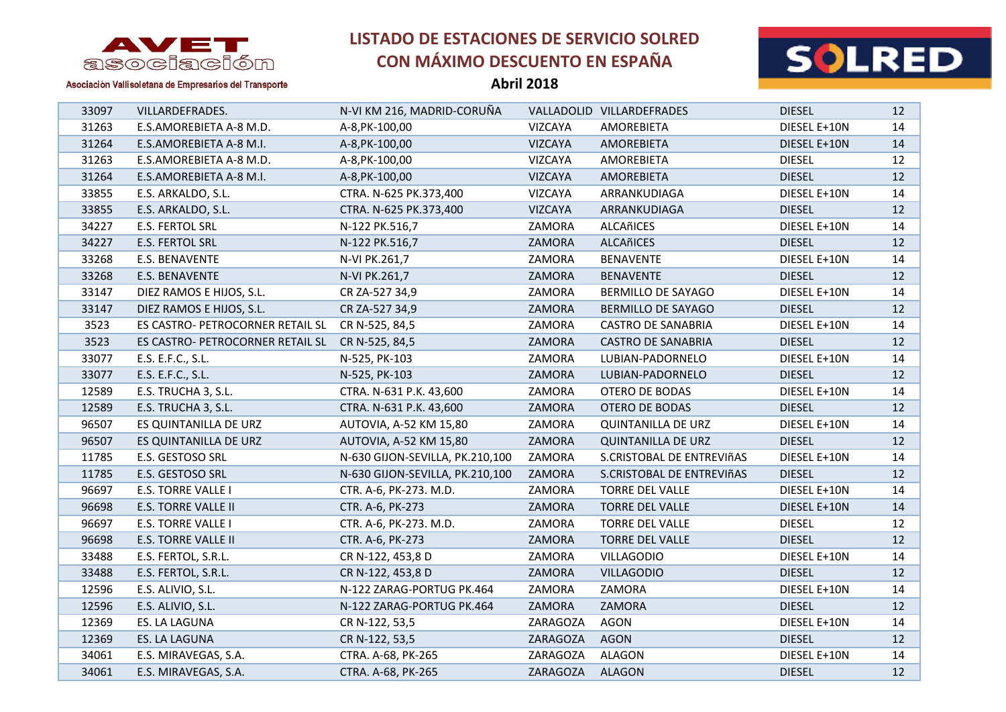



Asociación Vallisoletana de Empresarios del Transporte

| 33097 | VILLARDEFRADES.                  | N-VI KM 216, MADRID-CORUÑA      |                | VALLADOLID VILLARDEFRADES | <b>DIESEL</b> | 12              |
|-------|----------------------------------|---------------------------------|----------------|---------------------------|---------------|-----------------|
| 31263 | E.S.AMOREBIETA A-8 M.D.          | A-8, PK-100, 00                 | VIZCAYA        | AMOREBIETA                | DIESEL E+10N  | 14              |
| 31264 | E.S.AMOREBIETA A-8 M.I.          | A-8, PK-100, 00                 | VIZCAYA        | AMOREBIETA                | DIESEL E+10N  | 14              |
| 31263 | E.S.AMOREBIETA A-8 M.D.          | A-8, PK-100, 00                 | VIZCAYA        | AMOREBIETA                | <b>DIESEL</b> | 12              |
| 31264 | E.S.AMOREBIETA A-8 M.I.          | A-8, PK-100, 00                 | <b>VIZCAYA</b> | AMOREBIETA                | <b>DIESEL</b> | 12              |
| 33855 | E.S. ARKALDO, S.L.               | CTRA. N-625 PK.373,400          | VIZCAYA        | ARRANKUDIAGA              | DIESEL E+10N  | 14              |
| 33855 | E.S. ARKALDO, S.L.               | CTRA. N-625 PK.373,400          | VIZCAYA        | ARRANKUDIAGA              | <b>DIESEL</b> | 12 <sup>2</sup> |
| 34227 | E.S. FERTOL SRL                  | N-122 PK.516,7                  | ZAMORA         | ALCAñICES                 | DIESEL E+10N  | 14              |
| 34227 | E.S. FERTOL SRL                  | N-122 PK.516,7                  | ZAMORA         | ALCAñICES                 | <b>DIESEL</b> | 12              |
| 33268 | E.S. BENAVENTE                   | N-VI PK.261,7                   | ZAMORA         | <b>BENAVENTE</b>          | DIESEL E+10N  | 14              |
| 33268 | E.S. BENAVENTE                   | N-VI PK.261,7                   | ZAMORA         | <b>BENAVENTE</b>          | <b>DIESEL</b> | 12 <sup>2</sup> |
| 33147 | DIEZ RAMOS E HIJOS, S.L.         | CR ZA-527 34,9                  | ZAMORA         | BERMILLO DE SAYAGO        | DIESEL E+10N  | 14              |
| 33147 | DIEZ RAMOS E HIJOS, S.L.         | CR ZA-527 34,9                  | ZAMORA         | BERMILLO DE SAYAGO        | <b>DIESEL</b> | 12              |
| 3523  | ES CASTRO- PETROCORNER RETAIL SL | CR N-525, 84,5                  | ZAMORA         | <b>CASTRO DE SANABRIA</b> | DIESEL E+10N  | 14              |
| 3523  | ES CASTRO- PETROCORNER RETAIL SL | CR N-525, 84,5                  | ZAMORA         | <b>CASTRO DE SANABRIA</b> | <b>DIESEL</b> | 12              |
| 33077 | E.S. E.F.C., S.L.                | N-525, PK-103                   | ZAMORA         | LUBIAN-PADORNELO          | DIESEL E+10N  | 14              |
| 33077 | E.S. E.F.C., S.L.                | N-525, PK-103                   | ZAMORA         | LUBIAN-PADORNELO          | <b>DIESEL</b> | 12 <sup>2</sup> |
| 12589 | E.S. TRUCHA 3, S.L.              | CTRA. N-631 P.K. 43,600         | ZAMORA         | OTERO DE BODAS            | DIESEL E+10N  | 14              |
| 12589 | E.S. TRUCHA 3, S.L.              | CTRA. N-631 P.K. 43,600         | ZAMORA         | OTERO DE BODAS            | <b>DIESEL</b> | 12              |
| 96507 | ES QUINTANILLA DE URZ            | AUTOVIA, A-52 KM 15,80          | ZAMORA         | <b>QUINTANILLA DE URZ</b> | DIESEL E+10N  | 14              |
| 96507 | ES QUINTANILLA DE URZ            | AUTOVIA, A-52 KM 15,80          | ZAMORA         | <b>QUINTANILLA DE URZ</b> | <b>DIESEL</b> | 12              |
| 11785 | E.S. GESTOSO SRL                 | N-630 GIJON-SEVILLA, PK.210,100 | ZAMORA         | S.CRISTOBAL DE ENTREVIñAS | DIESEL E+10N  | 14              |
| 11785 | E.S. GESTOSO SRL                 | N-630 GIJON-SEVILLA, PK.210,100 | ZAMORA         | S.CRISTOBAL DE ENTREVIÑAS | <b>DIESEL</b> | 12              |
| 96697 | E.S. TORRE VALLE I               | CTR. A-6, PK-273. M.D.          | ZAMORA         | <b>TORRE DEL VALLE</b>    | DIESEL E+10N  | 14              |
| 96698 | <b>E.S. TORRE VALLE II</b>       | CTR. A-6, PK-273                | ZAMORA         | <b>TORRE DEL VALLE</b>    | DIESEL E+10N  | 14              |
| 96697 | <b>E.S. TORRE VALLE I</b>        | CTR. A-6, PK-273. M.D.          | ZAMORA         | <b>TORRE DEL VALLE</b>    | <b>DIESEL</b> | 12              |
| 96698 | <b>E.S. TORRE VALLE II</b>       | CTR. A-6, PK-273                | ZAMORA         | <b>TORRE DEL VALLE</b>    | <b>DIESEL</b> | 12              |
| 33488 | E.S. FERTOL, S.R.L.              | CR N-122, 453,8 D               | ZAMORA         | <b>VILLAGODIO</b>         | DIESEL E+10N  | 14              |
| 33488 | E.S. FERTOL, S.R.L.              | CR N-122, 453,8 D               | ZAMORA         | <b>VILLAGODIO</b>         | <b>DIESEL</b> | 12              |
| 12596 | E.S. ALIVIO, S.L.                | N-122 ZARAG-PORTUG PK.464       | ZAMORA         | ZAMORA                    | DIESEL E+10N  | 14              |
| 12596 | E.S. ALIVIO, S.L.                | N-122 ZARAG-PORTUG PK.464       | ZAMORA         | ZAMORA                    | <b>DIESEL</b> | 12              |
| 12369 | ES. LA LAGUNA                    | CR N-122, 53,5                  | ZARAGOZA       | AGON                      | DIESEL E+10N  | 14              |
| 12369 | ES. LA LAGUNA                    | CR N-122, 53,5                  | ZARAGOZA       | <b>AGON</b>               | <b>DIESEL</b> | 12              |
| 34061 | E.S. MIRAVEGAS, S.A.             | CTRA. A-68, PK-265              | ZARAGOZA       | <b>ALAGON</b>             | DIESEL E+10N  | 14              |
| 34061 | E.S. MIRAVEGAS, S.A.             | CTRA. A-68, PK-265              | ZARAGOZA       | <b>ALAGON</b>             | <b>DIESEL</b> | 12              |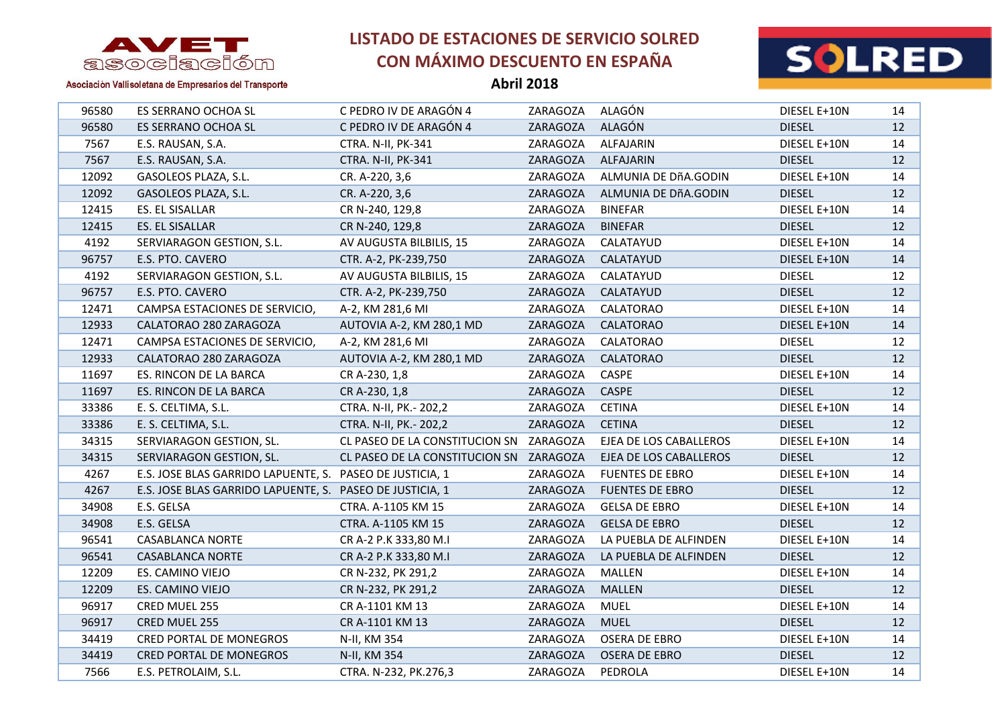



Asociación Vallisoletana de Empresarios del Transporte

| 96580 | ES SERRANO OCHOA SL                                      | C PEDRO IV DE ARAGÓN 4                  | ZARAGOZA | ALAGÓN                 | DIESEL E+10N  | 14 |
|-------|----------------------------------------------------------|-----------------------------------------|----------|------------------------|---------------|----|
| 96580 | ES SERRANO OCHOA SL                                      | C PEDRO IV DE ARAGÓN 4                  | ZARAGOZA | ALAGÓN                 | <b>DIESEL</b> | 12 |
| 7567  | E.S. RAUSAN, S.A.                                        | CTRA. N-II, PK-341                      | ZARAGOZA | ALFAJARIN              | DIESEL E+10N  | 14 |
| 7567  | E.S. RAUSAN, S.A.                                        | CTRA. N-II, PK-341                      | ZARAGOZA | ALFAJARIN              | <b>DIESEL</b> | 12 |
| 12092 | GASOLEOS PLAZA, S.L.                                     | CR. A-220, 3,6                          | ZARAGOZA | ALMUNIA DE DÑA.GODIN   | DIESEL E+10N  | 14 |
| 12092 | GASOLEOS PLAZA, S.L.                                     | CR. A-220, 3,6                          | ZARAGOZA | ALMUNIA DE DÑA.GODIN   | <b>DIESEL</b> | 12 |
| 12415 | ES. EL SISALLAR                                          | CR N-240, 129,8                         | ZARAGOZA | <b>BINEFAR</b>         | DIESEL E+10N  | 14 |
| 12415 | ES. EL SISALLAR                                          | CR N-240, 129,8                         | ZARAGOZA | <b>BINEFAR</b>         | <b>DIESEL</b> | 12 |
| 4192  | SERVIARAGON GESTION, S.L.                                | AV AUGUSTA BILBILIS, 15                 | ZARAGOZA | CALATAYUD              | DIESEL E+10N  | 14 |
| 96757 | E.S. PTO. CAVERO                                         | CTR. A-2, PK-239,750                    | ZARAGOZA | CALATAYUD              | DIESEL E+10N  | 14 |
| 4192  | SERVIARAGON GESTION, S.L.                                | AV AUGUSTA BILBILIS, 15                 | ZARAGOZA | CALATAYUD              | <b>DIESEL</b> | 12 |
| 96757 | E.S. PTO. CAVERO                                         | CTR. A-2, PK-239,750                    | ZARAGOZA | CALATAYUD              | <b>DIESEL</b> | 12 |
| 12471 | CAMPSA ESTACIONES DE SERVICIO,                           | A-2, KM 281,6 MI                        | ZARAGOZA | CALATORAO              | DIESEL E+10N  | 14 |
| 12933 | CALATORAO 280 ZARAGOZA                                   | AUTOVIA A-2, KM 280,1 MD                | ZARAGOZA | <b>CALATORAO</b>       | DIESEL E+10N  | 14 |
| 12471 | CAMPSA ESTACIONES DE SERVICIO,                           | A-2, KM 281,6 MI                        | ZARAGOZA | CALATORAO              | <b>DIESEL</b> | 12 |
| 12933 | CALATORAO 280 ZARAGOZA                                   | AUTOVIA A-2, KM 280,1 MD                | ZARAGOZA | CALATORAO              | <b>DIESEL</b> | 12 |
| 11697 | ES. RINCON DE LA BARCA                                   | CR A-230, 1,8                           | ZARAGOZA | CASPE                  | DIESEL E+10N  | 14 |
| 11697 | ES. RINCON DE LA BARCA                                   | CR A-230, 1,8                           | ZARAGOZA | CASPE                  | <b>DIESEL</b> | 12 |
| 33386 | E. S. CELTIMA, S.L.                                      | CTRA. N-II, PK.- 202,2                  | ZARAGOZA | <b>CETINA</b>          | DIESEL E+10N  | 14 |
| 33386 | E. S. CELTIMA, S.L.                                      | CTRA. N-II, PK.- 202,2                  | ZARAGOZA | <b>CETINA</b>          | <b>DIESEL</b> | 12 |
| 34315 | SERVIARAGON GESTION, SL.                                 | CL PASEO DE LA CONSTITUCION SN          | ZARAGOZA | EJEA DE LOS CABALLEROS | DIESEL E+10N  | 14 |
| 34315 | SERVIARAGON GESTION, SL.                                 | CL PASEO DE LA CONSTITUCION SN ZARAGOZA |          | EJEA DE LOS CABALLEROS | <b>DIESEL</b> | 12 |
| 4267  | E.S. JOSE BLAS GARRIDO LAPUENTE, S. PASEO DE JUSTICIA, 1 |                                         | ZARAGOZA | <b>FUENTES DE EBRO</b> | DIESEL E+10N  | 14 |
| 4267  | E.S. JOSE BLAS GARRIDO LAPUENTE, S. PASEO DE JUSTICIA, 1 |                                         | ZARAGOZA | <b>FUENTES DE EBRO</b> | <b>DIESEL</b> | 12 |
| 34908 | E.S. GELSA                                               | CTRA. A-1105 KM 15                      | ZARAGOZA | <b>GELSA DE EBRO</b>   | DIESEL E+10N  | 14 |
| 34908 | E.S. GELSA                                               | CTRA. A-1105 KM 15                      | ZARAGOZA | <b>GELSA DE EBRO</b>   | <b>DIESEL</b> | 12 |
| 96541 | <b>CASABLANCA NORTE</b>                                  | CR A-2 P.K 333,80 M.I                   | ZARAGOZA | LA PUEBLA DE ALFINDEN  | DIESEL E+10N  | 14 |
| 96541 | <b>CASABLANCA NORTE</b>                                  | CR A-2 P.K 333,80 M.I                   | ZARAGOZA | LA PUEBLA DE ALFINDEN  | <b>DIESEL</b> | 12 |
| 12209 | ES. CAMINO VIEJO                                         | CR N-232, PK 291,2                      | ZARAGOZA | MALLEN                 | DIESEL E+10N  | 14 |
| 12209 | ES. CAMINO VIEJO                                         | CR N-232, PK 291,2                      | ZARAGOZA | <b>MALLEN</b>          | <b>DIESEL</b> | 12 |
| 96917 | CRED MUEL 255                                            | CR A-1101 KM 13                         | ZARAGOZA | <b>MUEL</b>            | DIESEL E+10N  | 14 |
| 96917 | CRED MUEL 255                                            | CR A-1101 KM 13                         | ZARAGOZA | <b>MUEL</b>            | <b>DIESEL</b> | 12 |
| 34419 | <b>CRED PORTAL DE MONEGROS</b>                           | N-II, KM 354                            | ZARAGOZA | <b>OSERA DE EBRO</b>   | DIESEL E+10N  | 14 |
| 34419 | CRED PORTAL DE MONEGROS                                  | N-II, KM 354                            | ZARAGOZA | <b>OSERA DE EBRO</b>   | <b>DIESEL</b> | 12 |
| 7566  | E.S. PETROLAIM, S.L.                                     | CTRA. N-232, PK.276,3                   | ZARAGOZA | PEDROLA                | DIESEL E+10N  | 14 |